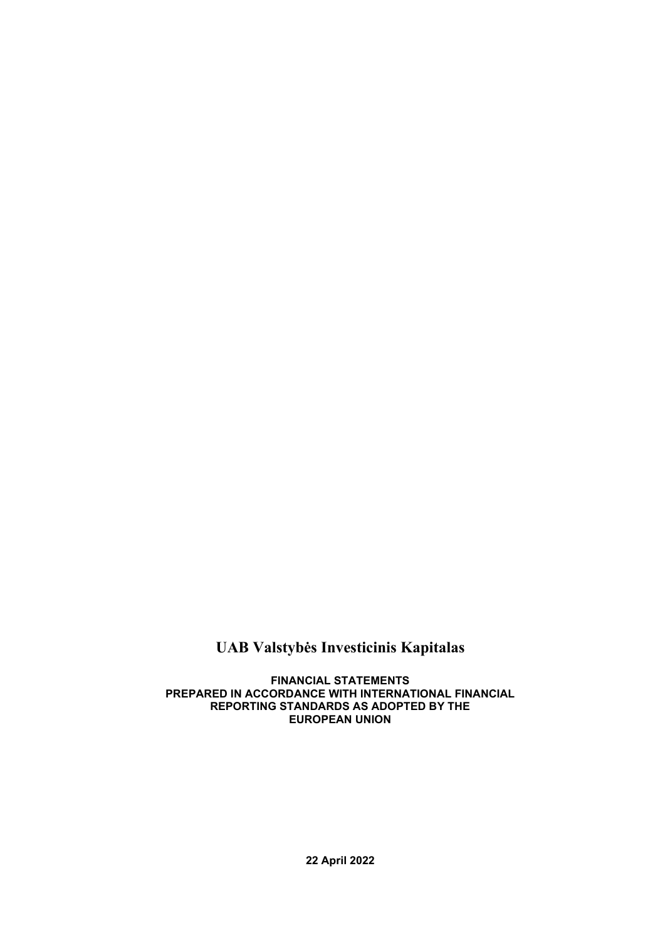# **UAB Valstybės Investicinis Kapitalas**

**FINANCIAL STATEMENTS PREPARED IN ACCORDANCE WITH INTERNATIONAL FINANCIAL REPORTING STANDARDS AS ADOPTED BY THE EUROPEAN UNION**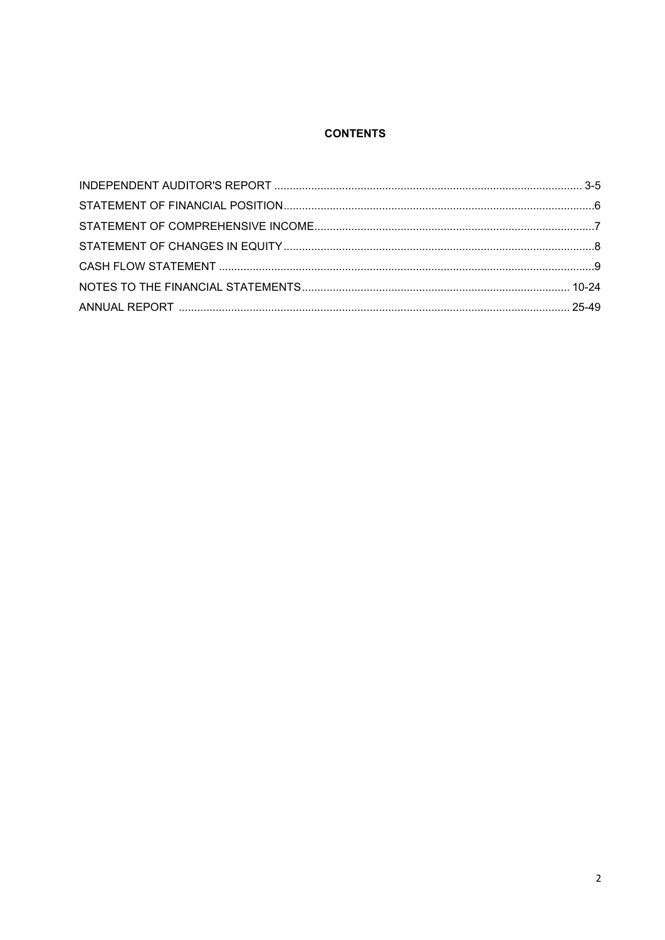# **CONTENTS**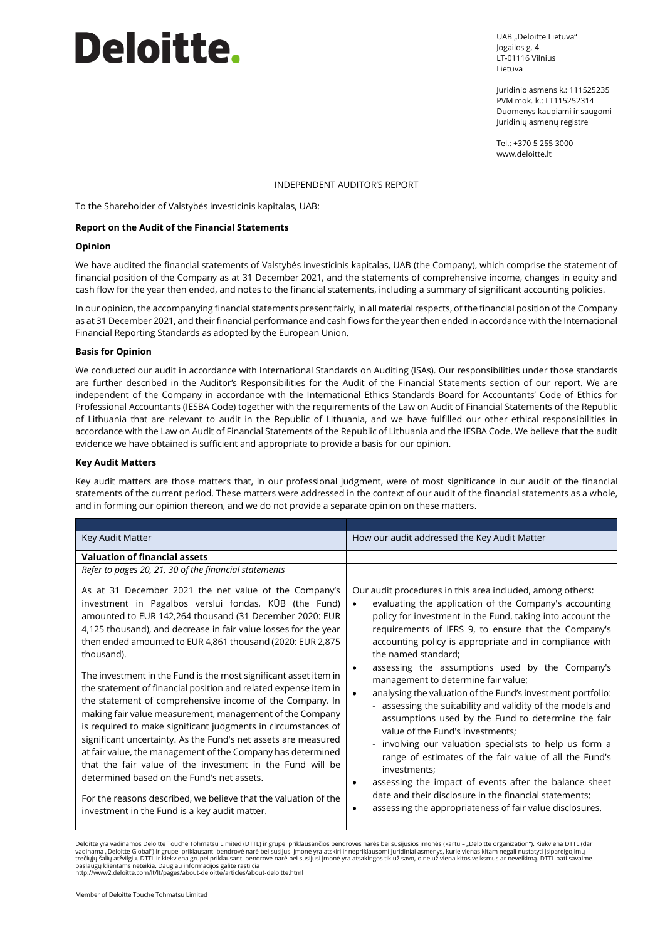# **Deloitte.**

UAB "Deloitte Lietuva" Jogailos g. 4 LT-01116 Vilnius Lietuva

Juridinio asmens k.: 111525235 PVM mok. k.: LT115252314 Duomenys kaupiami ir saugomi Juridinių asmenų registre

Tel.: +370 5 255 3000 www.deloitte.lt

#### INDEPENDENT AUDITOR'S REPORT

To the Shareholder of Valstybės investicinis kapitalas, UAB:

#### **Report on the Audit of the Financial Statements**

#### **Opinion**

We have audited the financial statements of Valstybės investicinis kapitalas, UAB (the Company), which comprise the statement of financial position of the Company as at 31 December 2021, and the statements of comprehensive income, changes in equity and cash flow for the year then ended, and notes to the financial statements, including a summary of significant accounting policies.

In our opinion, the accompanying financial statements present fairly, in all material respects, of the financial position of the Company as at 31 December 2021, and their financial performance and cash flows for the year then ended in accordance with the International Financial Reporting Standards as adopted by the European Union.

#### **Basis for Opinion**

We conducted our audit in accordance with International Standards on Auditing (ISAs). Our responsibilities under those standards are further described in the Auditor's Responsibilities for the Audit of the Financial Statements section of our report. We are independent of the Company in accordance with the International Ethics Standards Board for Accountants' Code of Ethics for Professional Accountants (IESBA Code) together with the requirements of the Law on Audit of Financial Statements of the Republic of Lithuania that are relevant to audit in the Republic of Lithuania, and we have fulfilled our other ethical responsibilities in accordance with the Law on Audit of Financial Statements of the Republic of Lithuania and the IESBA Code. We believe that the audit evidence we have obtained is sufficient and appropriate to provide a basis for our opinion.

#### **Key Audit Matters**

Key audit matters are those matters that, in our professional judgment, were of most significance in our audit of the financial statements of the current period. These matters were addressed in the context of our audit of the financial statements as a whole, and in forming our opinion thereon, and we do not provide a separate opinion on these matters.

| Key Audit Matter                                                                                                                                                                                                                                                                                                                                                                                                                                                                                                                                                         | How our audit addressed the Key Audit Matter                                                                                                                                                                                                                                                                                                                                                                                                                                        |
|--------------------------------------------------------------------------------------------------------------------------------------------------------------------------------------------------------------------------------------------------------------------------------------------------------------------------------------------------------------------------------------------------------------------------------------------------------------------------------------------------------------------------------------------------------------------------|-------------------------------------------------------------------------------------------------------------------------------------------------------------------------------------------------------------------------------------------------------------------------------------------------------------------------------------------------------------------------------------------------------------------------------------------------------------------------------------|
| <b>Valuation of financial assets</b>                                                                                                                                                                                                                                                                                                                                                                                                                                                                                                                                     |                                                                                                                                                                                                                                                                                                                                                                                                                                                                                     |
| Refer to pages 20, 21, 30 of the financial statements                                                                                                                                                                                                                                                                                                                                                                                                                                                                                                                    |                                                                                                                                                                                                                                                                                                                                                                                                                                                                                     |
| As at 31 December 2021 the net value of the Company's<br>investment in Pagalbos verslui fondas, KŪB (the Fund)<br>amounted to EUR 142,264 thousand (31 December 2020: EUR<br>4,125 thousand), and decrease in fair value losses for the year<br>then ended amounted to EUR 4,861 thousand (2020: EUR 2,875<br>thousand).                                                                                                                                                                                                                                                 | Our audit procedures in this area included, among others:<br>evaluating the application of the Company's accounting<br>$\bullet$<br>policy for investment in the Fund, taking into account the<br>requirements of IFRS 9, to ensure that the Company's<br>accounting policy is appropriate and in compliance with<br>the named standard;<br>assessing the assumptions used by the Company's                                                                                         |
| The investment in the Fund is the most significant asset item in<br>the statement of financial position and related expense item in<br>the statement of comprehensive income of the Company. In<br>making fair value measurement, management of the Company<br>is required to make significant judgments in circumstances of<br>significant uncertainty. As the Fund's net assets are measured<br>at fair value, the management of the Company has determined<br>that the fair value of the investment in the Fund will be<br>determined based on the Fund's net assets. | management to determine fair value;<br>analysing the valuation of the Fund's investment portfolio:<br>$\bullet$<br>- assessing the suitability and validity of the models and<br>assumptions used by the Fund to determine the fair<br>value of the Fund's investments;<br>- involving our valuation specialists to help us form a<br>range of estimates of the fair value of all the Fund's<br>investments:<br>assessing the impact of events after the balance sheet<br>$\bullet$ |
| For the reasons described, we believe that the valuation of the<br>investment in the Fund is a key audit matter.                                                                                                                                                                                                                                                                                                                                                                                                                                                         | date and their disclosure in the financial statements;<br>assessing the appropriateness of fair value disclosures.<br>$\bullet$                                                                                                                                                                                                                                                                                                                                                     |

Deloitte yra vadinamos Deloitte Touche Tohmatsu Limited (DTTL) ir grupei priklausančios bendrovės narės bei susijusios įmonės (kartu – "Deloitte organization"). Kiekviena DTTL (dar vadinama "Deloitte Global") ir grupei priklausanti bendrovė narė bei susijusi įmonė yra atskiri ir nepriklausomi juridiniai asmenys, kurie vienas kitam negali nustatyti įsipareigojimų<br>trečiųjų šalių atžvilgiu. DTTL ir kiek paslaugų klientams neteikia. Daugiau informacijos galite rasti čia

http://www2.deloitte.com/lt/lt/pages/about-deloitte/articles/about-deloitte.html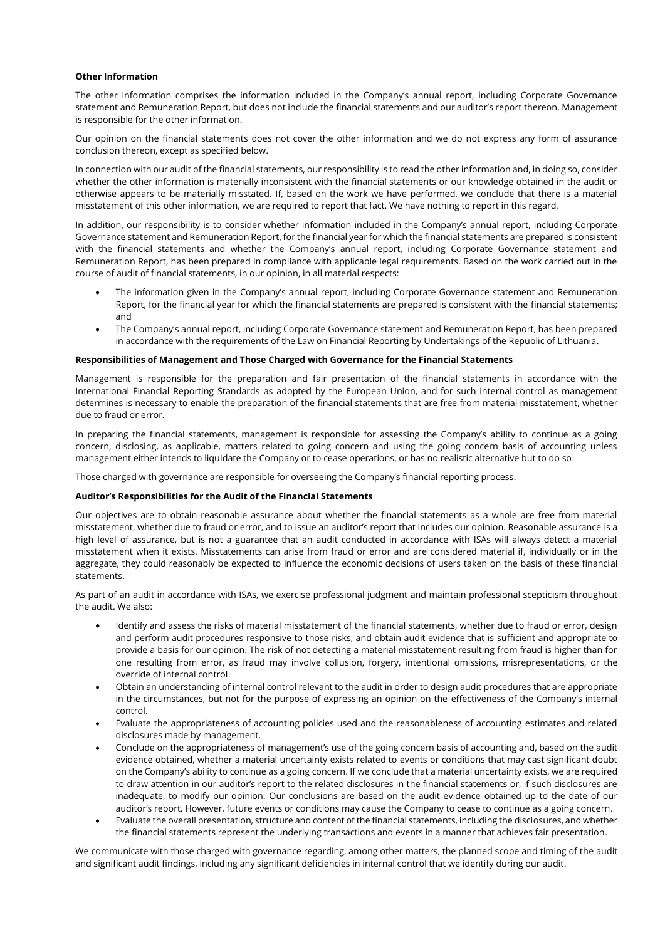#### **Other Information**

The other information comprises the information included in the Company's annual report, including Corporate Governance statement and Remuneration Report, but does not include the financial statements and our auditor's report thereon. Management is responsible for the other information.

Our opinion on the financial statements does not cover the other information and we do not express any form of assurance conclusion thereon, except as specified below.

In connection with our audit of the financial statements, our responsibility is to read the other information and, in doing so, consider whether the other information is materially inconsistent with the financial statements or our knowledge obtained in the audit or otherwise appears to be materially misstated. If, based on the work we have performed, we conclude that there is a material misstatement of this other information, we are required to report that fact. We have nothing to report in this regard.

In addition, our responsibility is to consider whether information included in the Company's annual report, including Corporate Governance statement and Remuneration Report, for the financial year for which the financial statements are prepared is consistent with the financial statements and whether the Company's annual report, including Corporate Governance statement and Remuneration Report, has been prepared in compliance with applicable legal requirements. Based on the work carried out in the course of audit of financial statements, in our opinion, in all material respects:

- The information given in the Company's annual report, including Corporate Governance statement and Remuneration Report, for the financial year for which the financial statements are prepared is consistent with the financial statements; and
- The Company's annual report, including Corporate Governance statement and Remuneration Report, has been prepared in accordance with the requirements of the Law on Financial Reporting by Undertakings of the Republic of Lithuania.

#### **Responsibilities of Management and Those Charged with Governance for the Financial Statements**

Management is responsible for the preparation and fair presentation of the financial statements in accordance with the International Financial Reporting Standards as adopted by the European Union, and for such internal control as management determines is necessary to enable the preparation of the financial statements that are free from material misstatement, whether due to fraud or error.

In preparing the financial statements, management is responsible for assessing the Company's ability to continue as a going concern, disclosing, as applicable, matters related to going concern and using the going concern basis of accounting unless management either intends to liquidate the Company or to cease operations, or has no realistic alternative but to do so.

Those charged with governance are responsible for overseeing the Company's financial reporting process.

#### **Auditor's Responsibilities for the Audit of the Financial Statements**

Our objectives are to obtain reasonable assurance about whether the financial statements as a whole are free from material misstatement, whether due to fraud or error, and to issue an auditor's report that includes our opinion. Reasonable assurance is a high level of assurance, but is not a guarantee that an audit conducted in accordance with ISAs will always detect a material misstatement when it exists. Misstatements can arise from fraud or error and are considered material if, individually or in the aggregate, they could reasonably be expected to influence the economic decisions of users taken on the basis of these financial statements.

As part of an audit in accordance with ISAs, we exercise professional judgment and maintain professional scepticism throughout the audit. We also:

- Identify and assess the risks of material misstatement of the financial statements, whether due to fraud or error, design and perform audit procedures responsive to those risks, and obtain audit evidence that is sufficient and appropriate to provide a basis for our opinion. The risk of not detecting a material misstatement resulting from fraud is higher than for one resulting from error, as fraud may involve collusion, forgery, intentional omissions, misrepresentations, or the override of internal control.
- Obtain an understanding of internal control relevant to the audit in order to design audit procedures that are appropriate in the circumstances, but not for the purpose of expressing an opinion on the effectiveness of the Company's internal control.
- Evaluate the appropriateness of accounting policies used and the reasonableness of accounting estimates and related disclosures made by management.
- Conclude on the appropriateness of management's use of the going concern basis of accounting and, based on the audit evidence obtained, whether a material uncertainty exists related to events or conditions that may cast significant doubt on the Company's ability to continue as a going concern. If we conclude that a material uncertainty exists, we are required to draw attention in our auditor's report to the related disclosures in the financial statements or, if such disclosures are inadequate, to modify our opinion. Our conclusions are based on the audit evidence obtained up to the date of our auditor's report. However, future events or conditions may cause the Company to cease to continue as a going concern.
- Evaluate the overall presentation, structure and content of the financial statements, including the disclosures, and whether the financial statements represent the underlying transactions and events in a manner that achieves fair presentation.

We communicate with those charged with governance regarding, among other matters, the planned scope and timing of the audit and significant audit findings, including any significant deficiencies in internal control that we identify during our audit.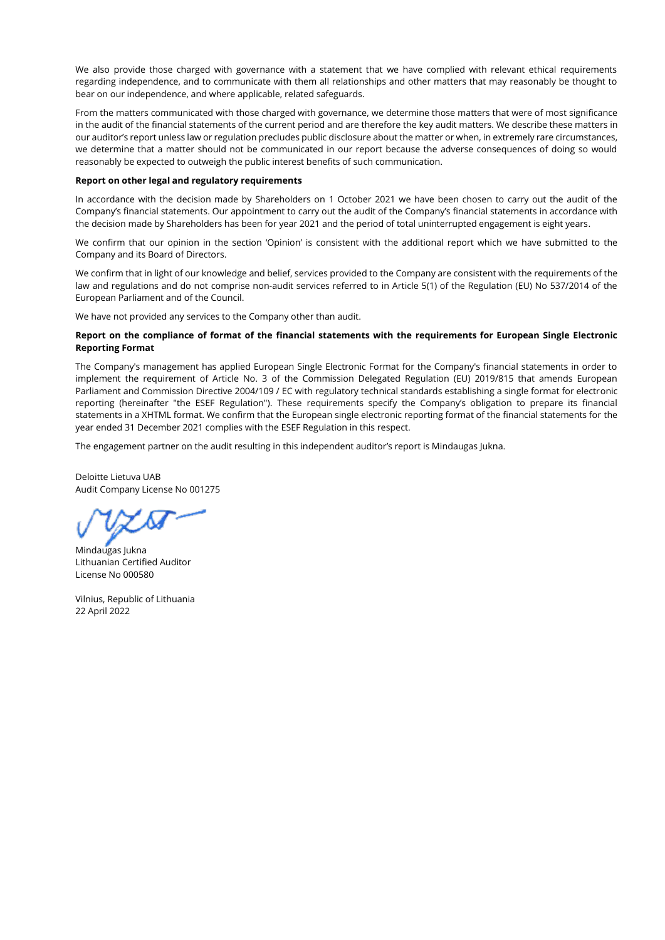We also provide those charged with governance with a statement that we have complied with relevant ethical requirements regarding independence, and to communicate with them all relationships and other matters that may reasonably be thought to bear on our independence, and where applicable, related safeguards.

From the matters communicated with those charged with governance, we determine those matters that were of most significance in the audit of the financial statements of the current period and are therefore the key audit matters. We describe these matters in our auditor's report unless law or regulation precludes public disclosure about the matter or when, in extremely rare circumstances, we determine that a matter should not be communicated in our report because the adverse consequences of doing so would reasonably be expected to outweigh the public interest benefits of such communication.

#### **Report on other legal and regulatory requirements**

In accordance with the decision made by Shareholders on 1 October 2021 we have been chosen to carry out the audit of the Company's financial statements. Our appointment to carry out the audit of the Company's financial statements in accordance with the decision made by Shareholders has been for year 2021 and the period of total uninterrupted engagement is eight years.

We confirm that our opinion in the section 'Opinion' is consistent with the additional report which we have submitted to the Company and its Board of Directors.

We confirm that in light of our knowledge and belief, services provided to the Company are consistent with the requirements of the law and regulations and do not comprise non-audit services referred to in Article 5(1) of the Regulation (EU) No 537/2014 of the European Parliament and of the Council.

We have not provided any services to the Company other than audit.

#### **Report on the compliance of format of the financial statements with the requirements for European Single Electronic Reporting Format**

The Company's management has applied European Single Electronic Format for the Company's financial statements in order to implement the requirement of Article No. 3 of the Commission Delegated Regulation (EU) 2019/815 that amends European Parliament and Commission Directive 2004/109 / EC with regulatory technical standards establishing a single format for electronic reporting (hereinafter "the ESEF Regulation"). These requirements specify the Company's obligation to prepare its financial statements in a XHTML format. We confirm that the European single electronic reporting format of the financial statements for the year ended 31 December 2021 complies with the ESEF Regulation in this respect.

The engagement partner on the audit resulting in this independent auditor's report is Mindaugas Jukna.

Deloitte Lietuva UAB Audit Company License No 001275

Mindaugas Jukna Lithuanian Certified Auditor License No 000580

Vilnius, Republic of Lithuania 22 April 2022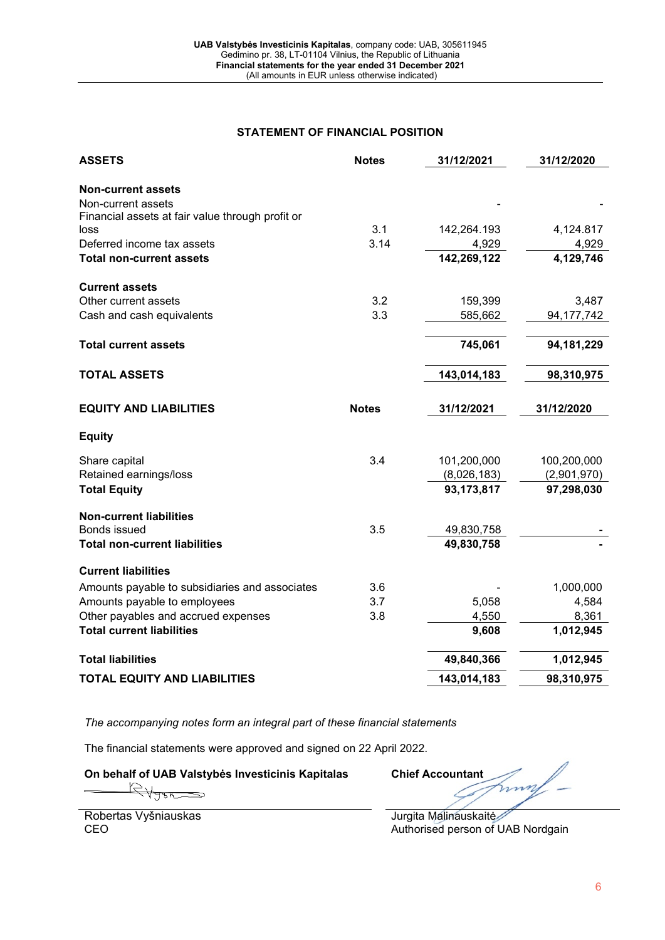# **STATEMENT OF FINANCIAL POSITION**

|                                                  |              | 31/12/2021  | 31/12/2020   |
|--------------------------------------------------|--------------|-------------|--------------|
| <b>Non-current assets</b>                        |              |             |              |
| Non-current assets                               |              |             |              |
| Financial assets at fair value through profit or |              |             |              |
| loss                                             | 3.1          | 142,264.193 | 4,124.817    |
| Deferred income tax assets                       | 3.14         | 4,929       | 4,929        |
| <b>Total non-current assets</b>                  |              | 142,269,122 | 4,129,746    |
| <b>Current assets</b>                            |              |             |              |
| Other current assets                             | 3.2          | 159,399     | 3,487        |
| Cash and cash equivalents                        | 3.3          | 585,662     | 94, 177, 742 |
|                                                  |              |             |              |
| <b>Total current assets</b>                      |              | 745,061     | 94,181,229   |
| <b>TOTAL ASSETS</b>                              |              | 143,014,183 | 98,310,975   |
|                                                  |              |             |              |
| <b>EQUITY AND LIABILITIES</b>                    | <b>Notes</b> | 31/12/2021  | 31/12/2020   |
| <b>Equity</b>                                    |              |             |              |
| Share capital                                    | 3.4          | 101,200,000 | 100,200,000  |
| Retained earnings/loss                           |              | (8,026,183) | (2,901,970)  |
| <b>Total Equity</b>                              |              | 93,173,817  | 97,298,030   |
| <b>Non-current liabilities</b>                   |              |             |              |
| <b>Bonds issued</b>                              | 3.5          | 49,830,758  |              |
| <b>Total non-current liabilities</b>             |              | 49,830,758  |              |
| <b>Current liabilities</b>                       |              |             |              |
| Amounts payable to subsidiaries and associates   | 3.6          |             | 1,000,000    |
| Amounts payable to employees                     | 3.7          | 5,058       | 4,584        |
| Other payables and accrued expenses              | 3.8          | 4,550       | 8,361        |
| <b>Total current liabilities</b>                 |              | 9,608       | 1,012,945    |
| <b>Total liabilities</b>                         |              | 49,840,366  | 1,012,945    |
| <b>TOTAL EQUITY AND LIABILITIES</b>              |              | 143,014,183 | 98,310,975   |

*The accompanying notes form an integral part of these financial statements*

The financial statements were approved and signed on 22 April 2022.

**On behalf of UAB Valstybės Investicinis Kapitalas Chief Accountant**

nn

Robertas Vyšniauskas CEO

Jurgita Malinauskaitė Authorised person of UAB Nordgain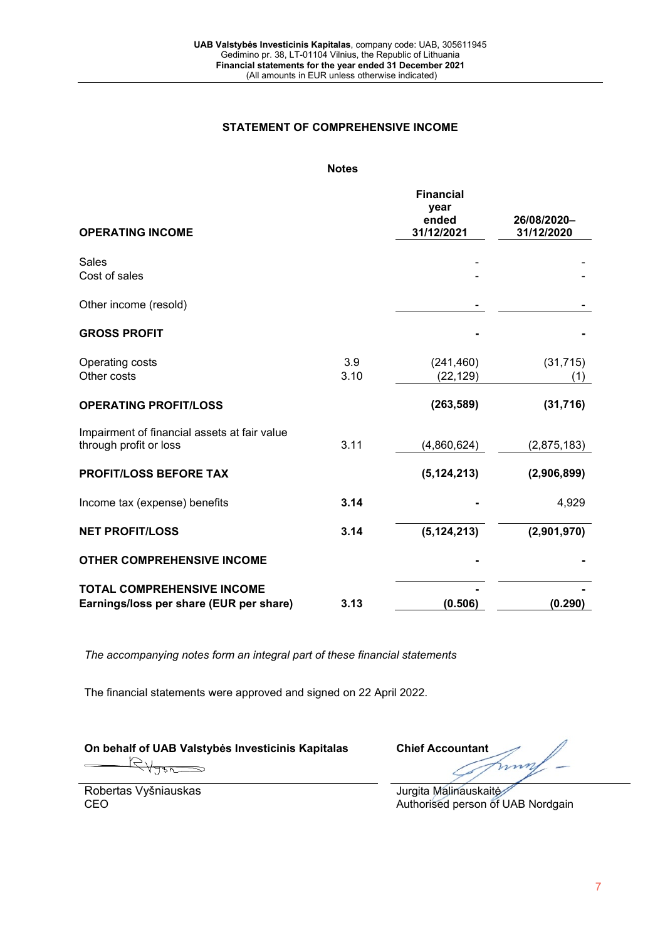#### **STATEMENT OF COMPREHENSIVE INCOME**

## **Notes**

| <b>OPERATING INCOME</b>                                                      |             | <b>Financial</b><br>year<br>ended<br>31/12/2021 | 26/08/2020-<br>31/12/2020 |
|------------------------------------------------------------------------------|-------------|-------------------------------------------------|---------------------------|
|                                                                              |             |                                                 |                           |
| <b>Sales</b><br>Cost of sales                                                |             |                                                 |                           |
| Other income (resold)                                                        |             |                                                 |                           |
| <b>GROSS PROFIT</b>                                                          |             |                                                 |                           |
| Operating costs<br>Other costs                                               | 3.9<br>3.10 | (241, 460)<br>(22, 129)                         | (31, 715)<br>(1)          |
| <b>OPERATING PROFIT/LOSS</b>                                                 |             | (263, 589)                                      | (31, 716)                 |
| Impairment of financial assets at fair value<br>through profit or loss       | 3.11        | (4,860,624)                                     | (2,875,183)               |
| <b>PROFIT/LOSS BEFORE TAX</b>                                                |             | (5, 124, 213)                                   | (2,906,899)               |
| Income tax (expense) benefits                                                | 3.14        |                                                 | 4,929                     |
| <b>NET PROFIT/LOSS</b>                                                       | 3.14        | (5, 124, 213)                                   | (2,901,970)               |
| <b>OTHER COMPREHENSIVE INCOME</b>                                            |             |                                                 |                           |
| <b>TOTAL COMPREHENSIVE INCOME</b><br>Earnings/loss per share (EUR per share) | 3.13        | (0.506)                                         | (0.290)                   |

*The accompanying notes form an integral part of these financial statements*

The financial statements were approved and signed on 22 April 2022.

**On behalf of UAB Valstybės Investicinis Kapitalas Chief Accountant**

mm

Robertas Vyšniauskas CEO

Jurgita Malinauskaitė Authorised person of UAB Nordgain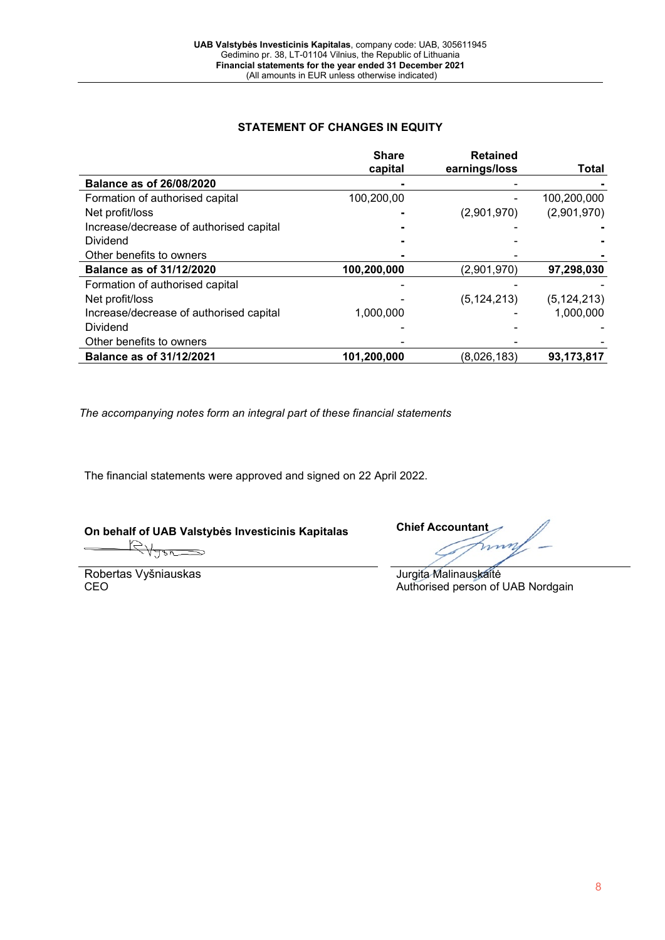# **STATEMENT OF CHANGES IN EQUITY**

|                                         | <b>Share</b><br>capital | <b>Retained</b><br>earnings/loss | <b>Total</b>  |
|-----------------------------------------|-------------------------|----------------------------------|---------------|
| <b>Balance as of 26/08/2020</b>         |                         |                                  |               |
| Formation of authorised capital         | 100,200,00              |                                  | 100,200,000   |
| Net profit/loss                         |                         | (2,901,970)                      | (2,901,970)   |
| Increase/decrease of authorised capital |                         |                                  |               |
| <b>Dividend</b>                         |                         |                                  |               |
| Other benefits to owners                |                         |                                  |               |
| <b>Balance as of 31/12/2020</b>         | 100,200,000             | (2,901,970)                      | 97,298,030    |
| Formation of authorised capital         |                         |                                  |               |
| Net profit/loss                         |                         | (5, 124, 213)                    | (5, 124, 213) |
| Increase/decrease of authorised capital | 1,000,000               |                                  | 1,000,000     |
| Dividend                                |                         |                                  |               |
| Other benefits to owners                |                         |                                  |               |
| <b>Balance as of 31/12/2021</b>         | 101,200,000             | (8,026,183)                      | 93,173,817    |

*The accompanying notes form an integral part of these financial statements*

The financial statements were approved and signed on 22 April 2022.

**On behalf of UAB Valstybės Investicinis Kapitalas Chief Accountant**

Robertas Vyšniauskas CEO

Jurgita Malinauskaitė Authorised person of UAB Nordgain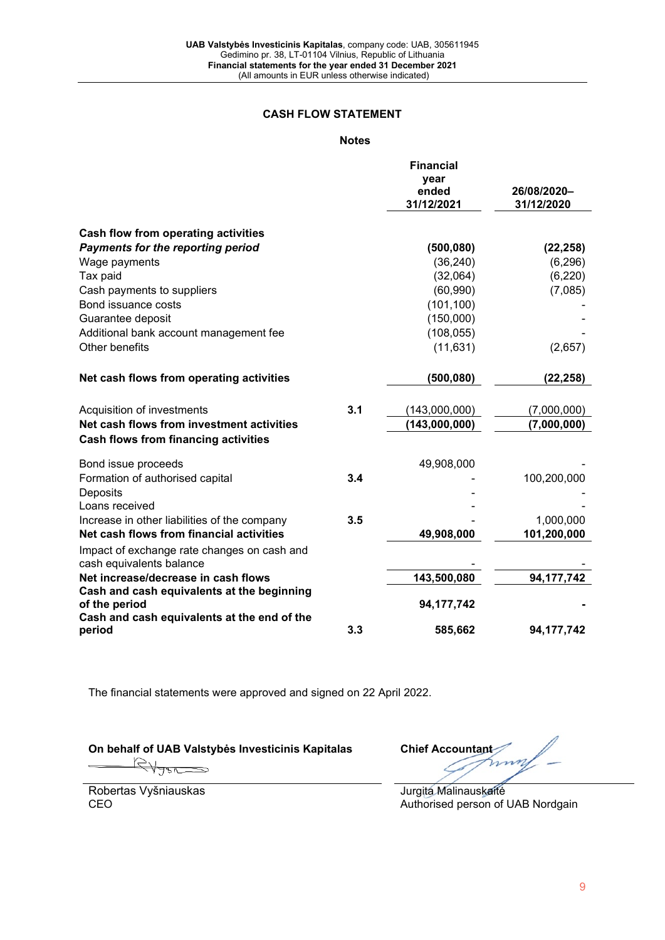# **CASH FLOW STATEMENT**

# **Notes**

|                                                                                          |     | <b>Financial</b><br>year<br>ended<br>31/12/2021 | 26/08/2020-<br>31/12/2020 |
|------------------------------------------------------------------------------------------|-----|-------------------------------------------------|---------------------------|
| Cash flow from operating activities                                                      |     |                                                 |                           |
| <b>Payments for the reporting period</b>                                                 |     | (500, 080)                                      | (22, 258)                 |
| Wage payments                                                                            |     | (36, 240)                                       | (6, 296)                  |
| Tax paid                                                                                 |     | (32,064)                                        | (6, 220)                  |
| Cash payments to suppliers                                                               |     | (60, 990)                                       | (7,085)                   |
| Bond issuance costs                                                                      |     | (101, 100)                                      |                           |
| Guarantee deposit                                                                        |     | (150,000)                                       |                           |
| Additional bank account management fee                                                   |     | (108, 055)                                      |                           |
| Other benefits                                                                           |     | (11, 631)                                       | (2,657)                   |
| Net cash flows from operating activities                                                 |     | (500, 080)                                      | (22, 258)                 |
| Acquisition of investments                                                               | 3.1 | (143,000,000)                                   | (7,000,000)               |
| Net cash flows from investment activities<br><b>Cash flows from financing activities</b> |     | (143,000,000)                                   | (7,000,000)               |
| Bond issue proceeds                                                                      |     | 49,908,000                                      |                           |
| Formation of authorised capital                                                          | 3.4 |                                                 | 100,200,000               |
| Deposits                                                                                 |     |                                                 |                           |
| Loans received                                                                           |     |                                                 |                           |
| Increase in other liabilities of the company                                             | 3.5 |                                                 | 1,000,000                 |
| Net cash flows from financial activities                                                 |     | 49,908,000                                      | 101,200,000               |
| Impact of exchange rate changes on cash and<br>cash equivalents balance                  |     |                                                 |                           |
| Net increase/decrease in cash flows                                                      |     | 143,500,080                                     | 94, 177, 742              |
| Cash and cash equivalents at the beginning<br>of the period                              |     | 94,177,742                                      |                           |
| Cash and cash equivalents at the end of the<br>period                                    | 3.3 | 585,662                                         | 94, 177, 742              |

The financial statements were approved and signed on 22 April 2022.

Robertas Vyšniauskas CEO

**On behalf of UAB Valstybės Investicinis Kapitalas Chief Accountant** 

Jurgita Malinauskaitė Authorised person of UAB Nordgain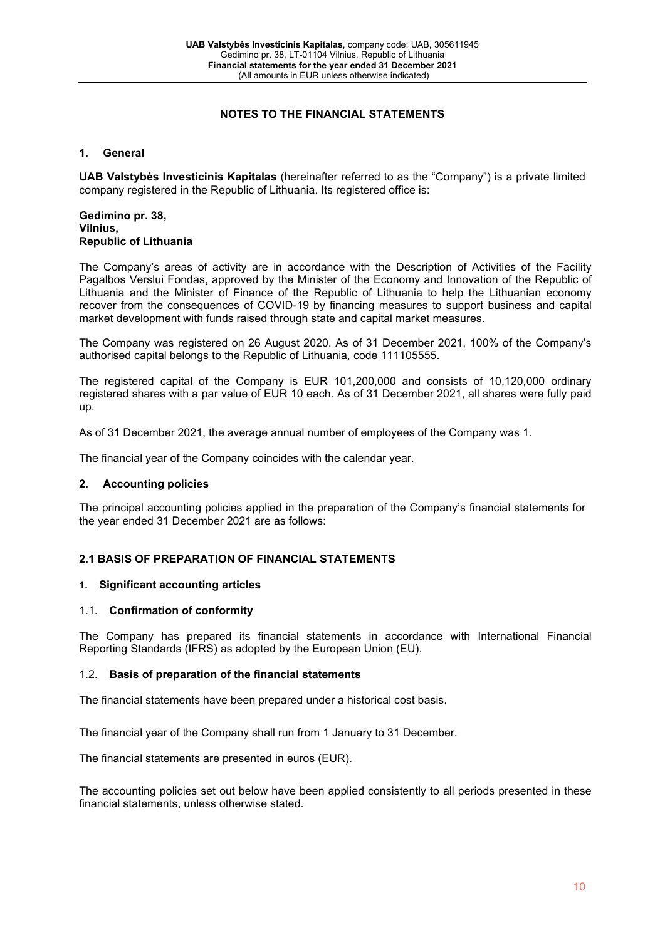# **NOTES TO THE FINANCIAL STATEMENTS**

#### **1. General**

**UAB Valstybės Investicinis Kapitalas** (hereinafter referred to as the "Company") is a private limited company registered in the Republic of Lithuania. Its registered office is:

#### **Gedimino pr. 38, Vilnius, Republic of Lithuania**

The Company's areas of activity are in accordance with the Description of Activities of the Facility Pagalbos Verslui Fondas, approved by the Minister of the Economy and Innovation of the Republic of Lithuania and the Minister of Finance of the Republic of Lithuania to help the Lithuanian economy recover from the consequences of COVID-19 by financing measures to support business and capital market development with funds raised through state and capital market measures.

The Company was registered on 26 August 2020. As of 31 December 2021, 100% of the Company's authorised capital belongs to the Republic of Lithuania, code 111105555.

The registered capital of the Company is EUR 101,200,000 and consists of 10,120,000 ordinary registered shares with a par value of EUR 10 each. As of 31 December 2021, all shares were fully paid up.

As of 31 December 2021, the average annual number of employees of the Company was 1.

The financial year of the Company coincides with the calendar year.

#### **2. Accounting policies**

The principal accounting policies applied in the preparation of the Company's financial statements for the year ended 31 December 2021 are as follows:

# **2.1 BASIS OF PREPARATION OF FINANCIAL STATEMENTS**

#### **1. Significant accounting articles**

#### 1.1. **Confirmation of conformity**

The Company has prepared its financial statements in accordance with International Financial Reporting Standards (IFRS) as adopted by the European Union (EU).

#### 1.2. **Basis of preparation of the financial statements**

The financial statements have been prepared under a historical cost basis.

The financial year of the Company shall run from 1 January to 31 December.

The financial statements are presented in euros (EUR).

The accounting policies set out below have been applied consistently to all periods presented in these financial statements, unless otherwise stated.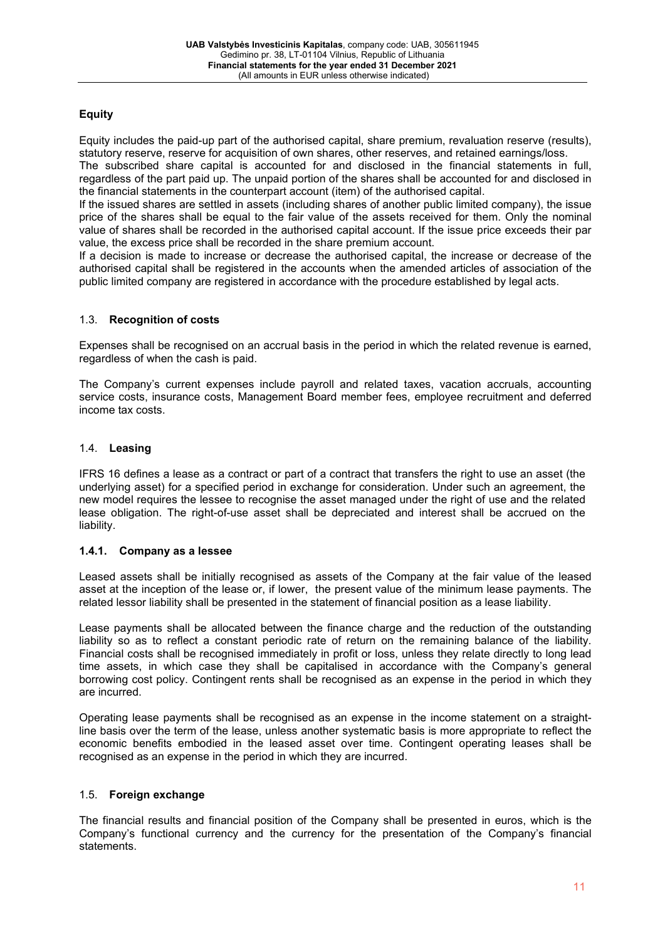# **Equity**

Equity includes the paid-up part of the authorised capital, share premium, revaluation reserve (results), statutory reserve, reserve for acquisition of own shares, other reserves, and retained earnings/loss.

The subscribed share capital is accounted for and disclosed in the financial statements in full, regardless of the part paid up. The unpaid portion of the shares shall be accounted for and disclosed in the financial statements in the counterpart account (item) of the authorised capital.

If the issued shares are settled in assets (including shares of another public limited company), the issue price of the shares shall be equal to the fair value of the assets received for them. Only the nominal value of shares shall be recorded in the authorised capital account. If the issue price exceeds their par value, the excess price shall be recorded in the share premium account.

If a decision is made to increase or decrease the authorised capital, the increase or decrease of the authorised capital shall be registered in the accounts when the amended articles of association of the public limited company are registered in accordance with the procedure established by legal acts.

# 1.3. **Recognition of costs**

Expenses shall be recognised on an accrual basis in the period in which the related revenue is earned, regardless of when the cash is paid.

The Company's current expenses include payroll and related taxes, vacation accruals, accounting service costs, insurance costs, Management Board member fees, employee recruitment and deferred income tax costs.

# 1.4. **Leasing**

IFRS 16 defines a lease as a contract or part of a contract that transfers the right to use an asset (the underlying asset) for a specified period in exchange for consideration. Under such an agreement, the new model requires the lessee to recognise the asset managed under the right of use and the related lease obligation. The right-of-use asset shall be depreciated and interest shall be accrued on the liability.

# **1.4.1. Company as a lessee**

Leased assets shall be initially recognised as assets of the Company at the fair value of the leased asset at the inception of the lease or, if lower, the present value of the minimum lease payments. The related lessor liability shall be presented in the statement of financial position as a lease liability.

Lease payments shall be allocated between the finance charge and the reduction of the outstanding liability so as to reflect a constant periodic rate of return on the remaining balance of the liability. Financial costs shall be recognised immediately in profit or loss, unless they relate directly to long lead time assets, in which case they shall be capitalised in accordance with the Company's general borrowing cost policy. Contingent rents shall be recognised as an expense in the period in which they are incurred.

Operating lease payments shall be recognised as an expense in the income statement on a straightline basis over the term of the lease, unless another systematic basis is more appropriate to reflect the economic benefits embodied in the leased asset over time. Contingent operating leases shall be recognised as an expense in the period in which they are incurred.

# 1.5. **Foreign exchange**

The financial results and financial position of the Company shall be presented in euros, which is the Company's functional currency and the currency for the presentation of the Company's financial statements.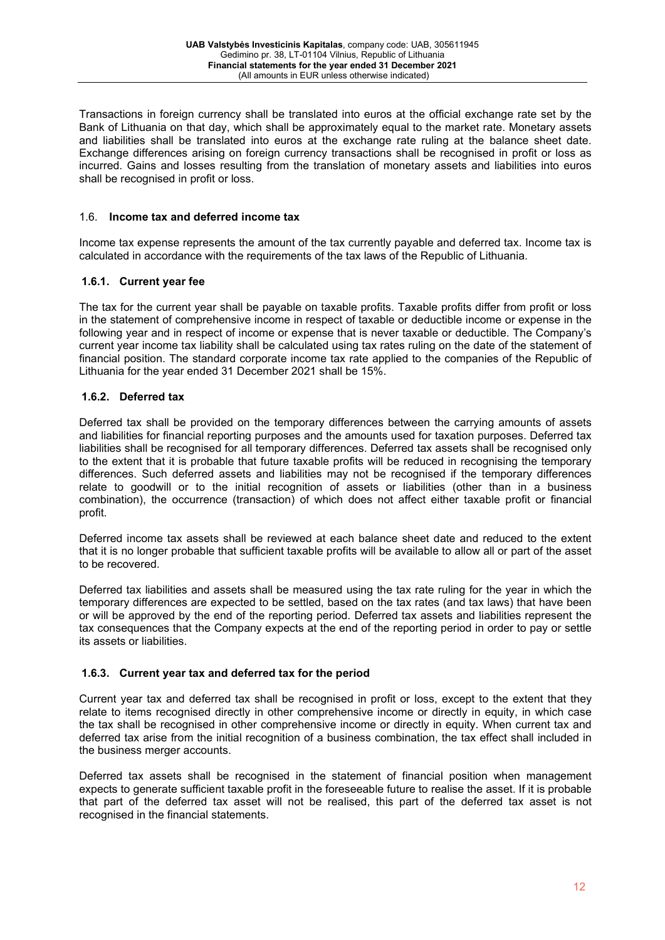Transactions in foreign currency shall be translated into euros at the official exchange rate set by the Bank of Lithuania on that day, which shall be approximately equal to the market rate. Monetary assets and liabilities shall be translated into euros at the exchange rate ruling at the balance sheet date. Exchange differences arising on foreign currency transactions shall be recognised in profit or loss as incurred. Gains and losses resulting from the translation of monetary assets and liabilities into euros shall be recognised in profit or loss.

#### 1.6. **Income tax and deferred income tax**

Income tax expense represents the amount of the tax currently payable and deferred tax. Income tax is calculated in accordance with the requirements of the tax laws of the Republic of Lithuania.

# **1.6.1. Current year fee**

The tax for the current year shall be payable on taxable profits. Taxable profits differ from profit or loss in the statement of comprehensive income in respect of taxable or deductible income or expense in the following year and in respect of income or expense that is never taxable or deductible. The Company's current year income tax liability shall be calculated using tax rates ruling on the date of the statement of financial position. The standard corporate income tax rate applied to the companies of the Republic of Lithuania for the year ended 31 December 2021 shall be 15%.

#### **1.6.2. Deferred tax**

Deferred tax shall be provided on the temporary differences between the carrying amounts of assets and liabilities for financial reporting purposes and the amounts used for taxation purposes. Deferred tax liabilities shall be recognised for all temporary differences. Deferred tax assets shall be recognised only to the extent that it is probable that future taxable profits will be reduced in recognising the temporary differences. Such deferred assets and liabilities may not be recognised if the temporary differences relate to goodwill or to the initial recognition of assets or liabilities (other than in a business combination), the occurrence (transaction) of which does not affect either taxable profit or financial profit.

Deferred income tax assets shall be reviewed at each balance sheet date and reduced to the extent that it is no longer probable that sufficient taxable profits will be available to allow all or part of the asset to be recovered.

Deferred tax liabilities and assets shall be measured using the tax rate ruling for the year in which the temporary differences are expected to be settled, based on the tax rates (and tax laws) that have been or will be approved by the end of the reporting period. Deferred tax assets and liabilities represent the tax consequences that the Company expects at the end of the reporting period in order to pay or settle its assets or liabilities.

# **1.6.3. Current year tax and deferred tax for the period**

Current year tax and deferred tax shall be recognised in profit or loss, except to the extent that they relate to items recognised directly in other comprehensive income or directly in equity, in which case the tax shall be recognised in other comprehensive income or directly in equity. When current tax and deferred tax arise from the initial recognition of a business combination, the tax effect shall included in the business merger accounts.

Deferred tax assets shall be recognised in the statement of financial position when management expects to generate sufficient taxable profit in the foreseeable future to realise the asset. If it is probable that part of the deferred tax asset will not be realised, this part of the deferred tax asset is not recognised in the financial statements.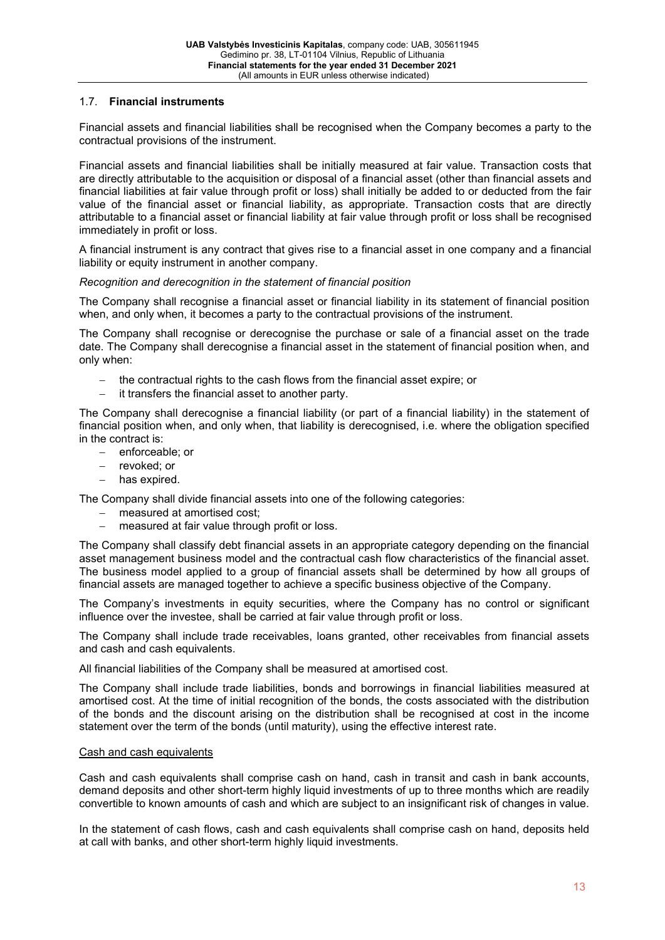## 1.7. **Financial instruments**

Financial assets and financial liabilities shall be recognised when the Company becomes a party to the contractual provisions of the instrument.

Financial assets and financial liabilities shall be initially measured at fair value. Transaction costs that are directly attributable to the acquisition or disposal of a financial asset (other than financial assets and financial liabilities at fair value through profit or loss) shall initially be added to or deducted from the fair value of the financial asset or financial liability, as appropriate. Transaction costs that are directly attributable to a financial asset or financial liability at fair value through profit or loss shall be recognised immediately in profit or loss.

A financial instrument is any contract that gives rise to a financial asset in one company and a financial liability or equity instrument in another company.

#### *Recognition and derecognition in the statement of financial position*

The Company shall recognise a financial asset or financial liability in its statement of financial position when, and only when, it becomes a party to the contractual provisions of the instrument.

The Company shall recognise or derecognise the purchase or sale of a financial asset on the trade date. The Company shall derecognise a financial asset in the statement of financial position when, and only when:

- the contractual rights to the cash flows from the financial asset expire; or
- − it transfers the financial asset to another party.

The Company shall derecognise a financial liability (or part of a financial liability) in the statement of financial position when, and only when, that liability is derecognised, i.e. where the obligation specified in the contract is:

- − enforceable; or
- − revoked; or
- − has expired.

The Company shall divide financial assets into one of the following categories:

- − measured at amortised cost;
- measured at fair value through profit or loss.

The Company shall classify debt financial assets in an appropriate category depending on the financial asset management business model and the contractual cash flow characteristics of the financial asset. The business model applied to a group of financial assets shall be determined by how all groups of financial assets are managed together to achieve a specific business objective of the Company.

The Company's investments in equity securities, where the Company has no control or significant influence over the investee, shall be carried at fair value through profit or loss.

The Company shall include trade receivables, loans granted, other receivables from financial assets and cash and cash equivalents.

All financial liabilities of the Company shall be measured at amortised cost.

The Company shall include trade liabilities, bonds and borrowings in financial liabilities measured at amortised cost. At the time of initial recognition of the bonds, the costs associated with the distribution of the bonds and the discount arising on the distribution shall be recognised at cost in the income statement over the term of the bonds (until maturity), using the effective interest rate.

#### Cash and cash equivalents

Cash and cash equivalents shall comprise cash on hand, cash in transit and cash in bank accounts, demand deposits and other short-term highly liquid investments of up to three months which are readily convertible to known amounts of cash and which are subject to an insignificant risk of changes in value.

In the statement of cash flows, cash and cash equivalents shall comprise cash on hand, deposits held at call with banks, and other short-term highly liquid investments.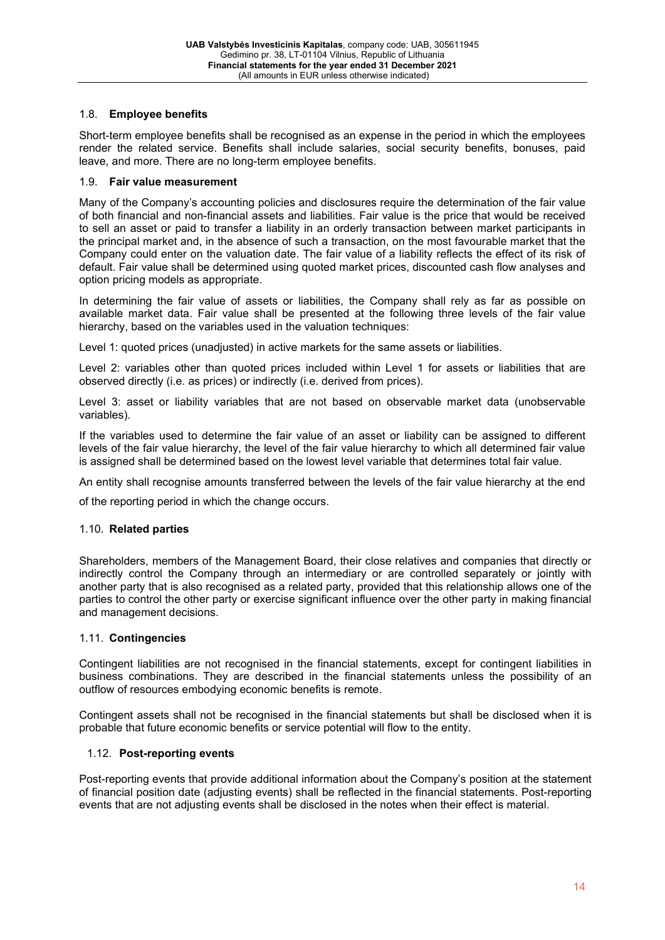# 1.8. **Employee benefits**

Short-term employee benefits shall be recognised as an expense in the period in which the employees render the related service. Benefits shall include salaries, social security benefits, bonuses, paid leave, and more. There are no long-term employee benefits.

# 1.9. **Fair value measurement**

Many of the Company's accounting policies and disclosures require the determination of the fair value of both financial and non-financial assets and liabilities. Fair value is the price that would be received to sell an asset or paid to transfer a liability in an orderly transaction between market participants in the principal market and, in the absence of such a transaction, on the most favourable market that the Company could enter on the valuation date. The fair value of a liability reflects the effect of its risk of default. Fair value shall be determined using quoted market prices, discounted cash flow analyses and option pricing models as appropriate.

In determining the fair value of assets or liabilities, the Company shall rely as far as possible on available market data. Fair value shall be presented at the following three levels of the fair value hierarchy, based on the variables used in the valuation techniques:

Level 1: quoted prices (unadjusted) in active markets for the same assets or liabilities.

Level 2: variables other than quoted prices included within Level 1 for assets or liabilities that are observed directly (i.e. as prices) or indirectly (i.e. derived from prices).

Level 3: asset or liability variables that are not based on observable market data (unobservable variables).

If the variables used to determine the fair value of an asset or liability can be assigned to different levels of the fair value hierarchy, the level of the fair value hierarchy to which all determined fair value is assigned shall be determined based on the lowest level variable that determines total fair value.

An entity shall recognise amounts transferred between the levels of the fair value hierarchy at the end

of the reporting period in which the change occurs.

# 1.10. **Related parties**

Shareholders, members of the Management Board, their close relatives and companies that directly or indirectly control the Company through an intermediary or are controlled separately or jointly with another party that is also recognised as a related party, provided that this relationship allows one of the parties to control the other party or exercise significant influence over the other party in making financial and management decisions.

#### 1.11. **Contingencies**

Contingent liabilities are not recognised in the financial statements, except for contingent liabilities in business combinations. They are described in the financial statements unless the possibility of an outflow of resources embodying economic benefits is remote.

Contingent assets shall not be recognised in the financial statements but shall be disclosed when it is probable that future economic benefits or service potential will flow to the entity.

# 1.12. **Post-reporting events**

Post-reporting events that provide additional information about the Company's position at the statement of financial position date (adjusting events) shall be reflected in the financial statements. Post-reporting events that are not adjusting events shall be disclosed in the notes when their effect is material.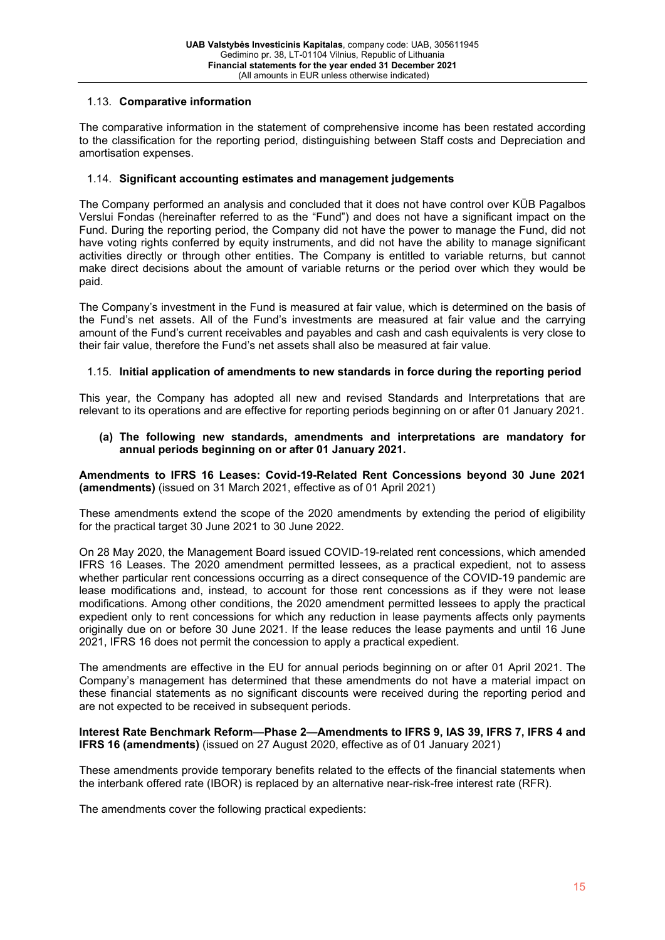# 1.13. **Comparative information**

The comparative information in the statement of comprehensive income has been restated according to the classification for the reporting period, distinguishing between Staff costs and Depreciation and amortisation expenses.

# 1.14. **Significant accounting estimates and management judgements**

The Company performed an analysis and concluded that it does not have control over KŪB Pagalbos Verslui Fondas (hereinafter referred to as the "Fund") and does not have a significant impact on the Fund. During the reporting period, the Company did not have the power to manage the Fund, did not have voting rights conferred by equity instruments, and did not have the ability to manage significant activities directly or through other entities. The Company is entitled to variable returns, but cannot make direct decisions about the amount of variable returns or the period over which they would be paid.

The Company's investment in the Fund is measured at fair value, which is determined on the basis of the Fund's net assets. All of the Fund's investments are measured at fair value and the carrying amount of the Fund's current receivables and payables and cash and cash equivalents is very close to their fair value, therefore the Fund's net assets shall also be measured at fair value.

# 1.15. **Initial application of amendments to new standards in force during the reporting period**

This year, the Company has adopted all new and revised Standards and Interpretations that are relevant to its operations and are effective for reporting periods beginning on or after 01 January 2021.

#### **(a) The following new standards, amendments and interpretations are mandatory for annual periods beginning on or after 01 January 2021.**

**Amendments to IFRS 16 Leases: Covid-19-Related Rent Concessions beyond 30 June 2021 (amendments)** (issued on 31 March 2021, effective as of 01 April 2021)

These amendments extend the scope of the 2020 amendments by extending the period of eligibility for the practical target 30 June 2021 to 30 June 2022.

On 28 May 2020, the Management Board issued COVID-19-related rent concessions, which amended IFRS 16 Leases. The 2020 amendment permitted lessees, as a practical expedient, not to assess whether particular rent concessions occurring as a direct consequence of the COVID-19 pandemic are lease modifications and, instead, to account for those rent concessions as if they were not lease modifications. Among other conditions, the 2020 amendment permitted lessees to apply the practical expedient only to rent concessions for which any reduction in lease payments affects only payments originally due on or before 30 June 2021. If the lease reduces the lease payments and until 16 June 2021, IFRS 16 does not permit the concession to apply a practical expedient.

The amendments are effective in the EU for annual periods beginning on or after 01 April 2021. The Company's management has determined that these amendments do not have a material impact on these financial statements as no significant discounts were received during the reporting period and are not expected to be received in subsequent periods.

#### **Interest Rate Benchmark Reform—Phase 2—Amendments to IFRS 9, IAS 39, IFRS 7, IFRS 4 and IFRS 16 (amendments)** (issued on 27 August 2020, effective as of 01 January 2021)

These amendments provide temporary benefits related to the effects of the financial statements when the interbank offered rate (IBOR) is replaced by an alternative near-risk-free interest rate (RFR).

The amendments cover the following practical expedients: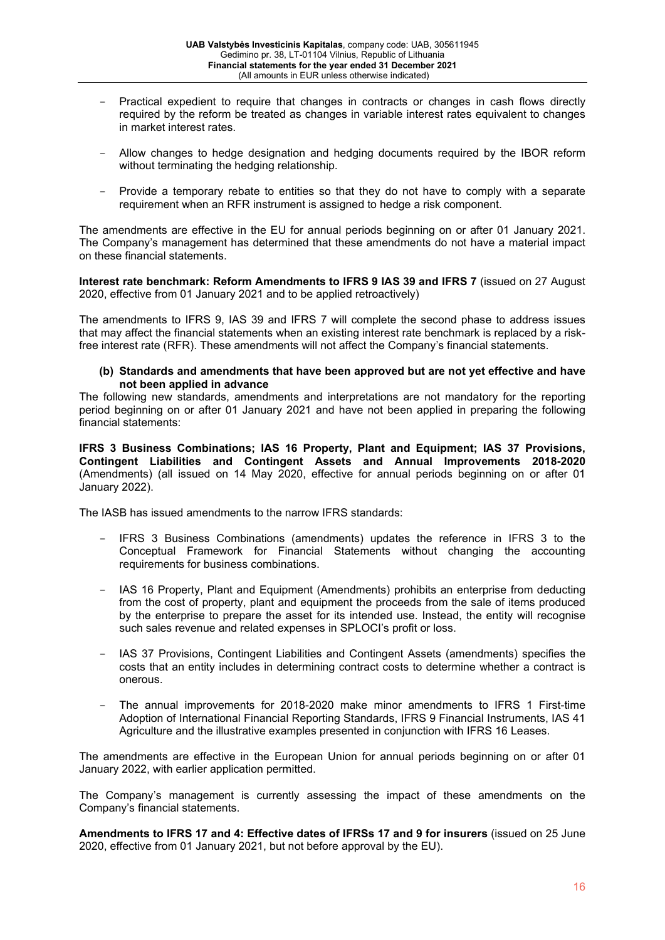- Practical expedient to require that changes in contracts or changes in cash flows directly required by the reform be treated as changes in variable interest rates equivalent to changes in market interest rates.
- Allow changes to hedge designation and hedging documents required by the IBOR reform without terminating the hedging relationship.
- Provide a temporary rebate to entities so that they do not have to comply with a separate requirement when an RFR instrument is assigned to hedge a risk component.

The amendments are effective in the EU for annual periods beginning on or after 01 January 2021. The Company's management has determined that these amendments do not have a material impact on these financial statements.

**Interest rate benchmark: Reform Amendments to IFRS 9 IAS 39 and IFRS 7** (issued on 27 August 2020, effective from 01 January 2021 and to be applied retroactively)

The amendments to IFRS 9, IAS 39 and IFRS 7 will complete the second phase to address issues that may affect the financial statements when an existing interest rate benchmark is replaced by a riskfree interest rate (RFR). These amendments will not affect the Company's financial statements.

**(b) Standards and amendments that have been approved but are not yet effective and have not been applied in advance**

The following new standards, amendments and interpretations are not mandatory for the reporting period beginning on or after 01 January 2021 and have not been applied in preparing the following financial statements:

**IFRS 3 Business Combinations; IAS 16 Property, Plant and Equipment; IAS 37 Provisions, Contingent Liabilities and Contingent Assets and Annual Improvements 2018-2020** (Amendments) (all issued on 14 May 2020, effective for annual periods beginning on or after 01 January 2022).

The IASB has issued amendments to the narrow IFRS standards:

- IFRS 3 Business Combinations (amendments) updates the reference in IFRS 3 to the Conceptual Framework for Financial Statements without changing the accounting requirements for business combinations.
- IAS 16 Property, Plant and Equipment (Amendments) prohibits an enterprise from deducting from the cost of property, plant and equipment the proceeds from the sale of items produced by the enterprise to prepare the asset for its intended use. Instead, the entity will recognise such sales revenue and related expenses in SPLOCI's profit or loss.
- IAS 37 Provisions, Contingent Liabilities and Contingent Assets (amendments) specifies the costs that an entity includes in determining contract costs to determine whether a contract is onerous.
- The annual improvements for 2018-2020 make minor amendments to IFRS 1 First-time Adoption of International Financial Reporting Standards, IFRS 9 Financial Instruments, IAS 41 Agriculture and the illustrative examples presented in conjunction with IFRS 16 Leases.

The amendments are effective in the European Union for annual periods beginning on or after 01 January 2022, with earlier application permitted.

The Company's management is currently assessing the impact of these amendments on the Company's financial statements.

**Amendments to IFRS 17 and 4: Effective dates of IFRSs 17 and 9 for insurers** (issued on 25 June 2020, effective from 01 January 2021, but not before approval by the EU).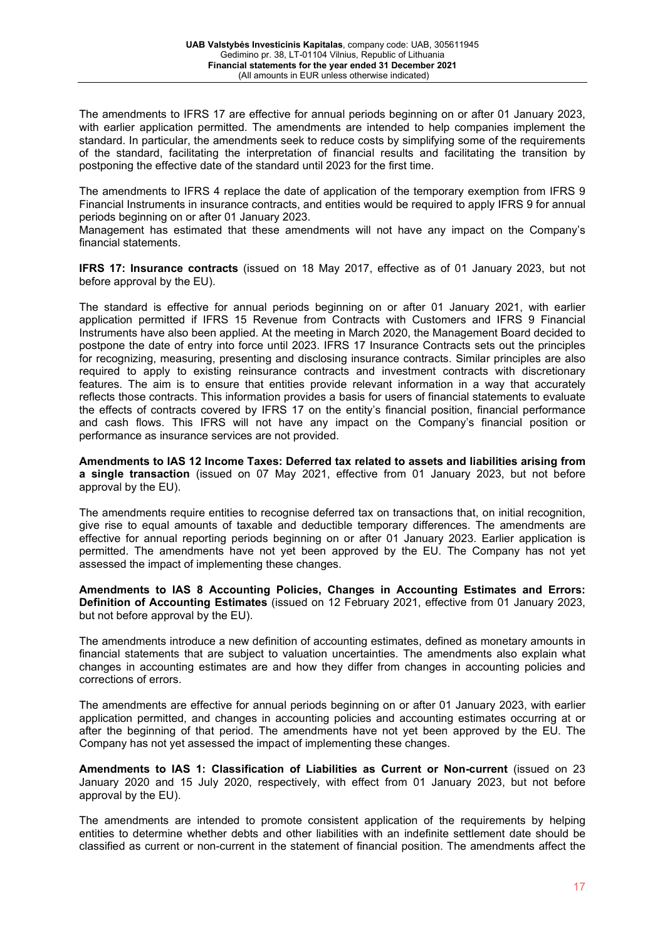The amendments to IFRS 17 are effective for annual periods beginning on or after 01 January 2023, with earlier application permitted. The amendments are intended to help companies implement the standard. In particular, the amendments seek to reduce costs by simplifying some of the requirements of the standard, facilitating the interpretation of financial results and facilitating the transition by postponing the effective date of the standard until 2023 for the first time.

The amendments to IFRS 4 replace the date of application of the temporary exemption from IFRS 9 Financial Instruments in insurance contracts, and entities would be required to apply IFRS 9 for annual periods beginning on or after 01 January 2023.

Management has estimated that these amendments will not have any impact on the Company's financial statements.

**IFRS 17: Insurance contracts** (issued on 18 May 2017, effective as of 01 January 2023, but not before approval by the EU).

The standard is effective for annual periods beginning on or after 01 January 2021, with earlier application permitted if IFRS 15 Revenue from Contracts with Customers and IFRS 9 Financial Instruments have also been applied. At the meeting in March 2020, the Management Board decided to postpone the date of entry into force until 2023. IFRS 17 Insurance Contracts sets out the principles for recognizing, measuring, presenting and disclosing insurance contracts. Similar principles are also required to apply to existing reinsurance contracts and investment contracts with discretionary features. The aim is to ensure that entities provide relevant information in a way that accurately reflects those contracts. This information provides a basis for users of financial statements to evaluate the effects of contracts covered by IFRS 17 on the entity's financial position, financial performance and cash flows. This IFRS will not have any impact on the Company's financial position or performance as insurance services are not provided.

**Amendments to IAS 12 Income Taxes: Deferred tax related to assets and liabilities arising from a single transaction** (issued on 07 May 2021, effective from 01 January 2023, but not before approval by the EU).

The amendments require entities to recognise deferred tax on transactions that, on initial recognition, give rise to equal amounts of taxable and deductible temporary differences. The amendments are effective for annual reporting periods beginning on or after 01 January 2023. Earlier application is permitted. The amendments have not yet been approved by the EU. The Company has not yet assessed the impact of implementing these changes.

**Amendments to IAS 8 Accounting Policies, Changes in Accounting Estimates and Errors: Definition of Accounting Estimates** (issued on 12 February 2021, effective from 01 January 2023, but not before approval by the EU).

The amendments introduce a new definition of accounting estimates, defined as monetary amounts in financial statements that are subject to valuation uncertainties. The amendments also explain what changes in accounting estimates are and how they differ from changes in accounting policies and corrections of errors.

The amendments are effective for annual periods beginning on or after 01 January 2023, with earlier application permitted, and changes in accounting policies and accounting estimates occurring at or after the beginning of that period. The amendments have not yet been approved by the EU. The Company has not yet assessed the impact of implementing these changes.

**Amendments to IAS 1: Classification of Liabilities as Current or Non-current** (issued on 23 January 2020 and 15 July 2020, respectively, with effect from 01 January 2023, but not before approval by the EU).

The amendments are intended to promote consistent application of the requirements by helping entities to determine whether debts and other liabilities with an indefinite settlement date should be classified as current or non-current in the statement of financial position. The amendments affect the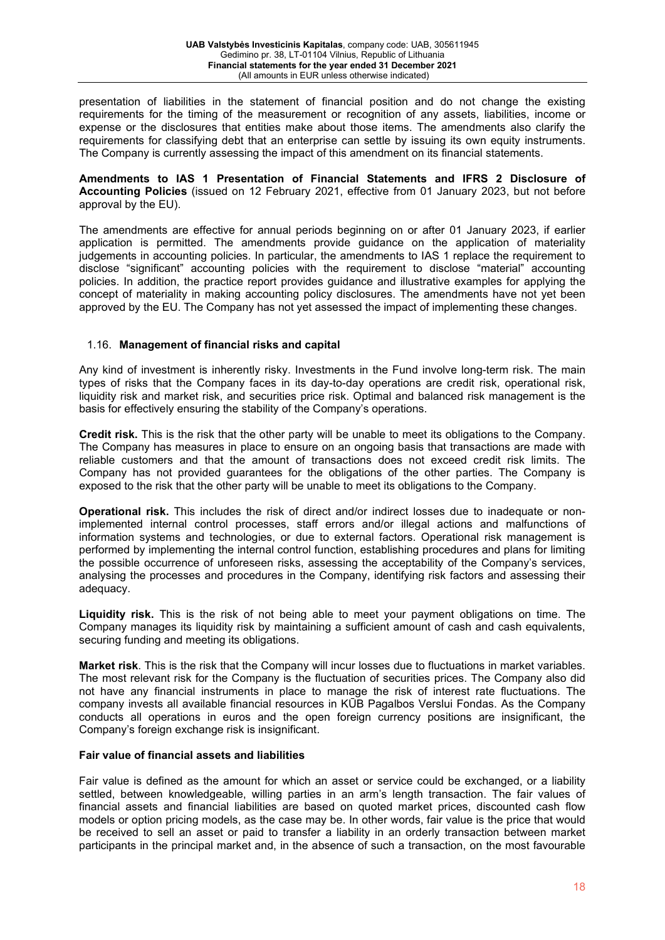presentation of liabilities in the statement of financial position and do not change the existing requirements for the timing of the measurement or recognition of any assets, liabilities, income or expense or the disclosures that entities make about those items. The amendments also clarify the requirements for classifying debt that an enterprise can settle by issuing its own equity instruments. The Company is currently assessing the impact of this amendment on its financial statements.

**Amendments to IAS 1 Presentation of Financial Statements and IFRS 2 Disclosure of Accounting Policies** (issued on 12 February 2021, effective from 01 January 2023, but not before approval by the EU).

The amendments are effective for annual periods beginning on or after 01 January 2023, if earlier application is permitted. The amendments provide guidance on the application of materiality judgements in accounting policies. In particular, the amendments to IAS 1 replace the requirement to disclose "significant" accounting policies with the requirement to disclose "material" accounting policies. In addition, the practice report provides guidance and illustrative examples for applying the concept of materiality in making accounting policy disclosures. The amendments have not yet been approved by the EU. The Company has not yet assessed the impact of implementing these changes.

# 1.16. **Management of financial risks and capital**

Any kind of investment is inherently risky. Investments in the Fund involve long-term risk. The main types of risks that the Company faces in its day-to-day operations are credit risk, operational risk, liquidity risk and market risk, and securities price risk. Optimal and balanced risk management is the basis for effectively ensuring the stability of the Company's operations.

**Credit risk.** This is the risk that the other party will be unable to meet its obligations to the Company. The Company has measures in place to ensure on an ongoing basis that transactions are made with reliable customers and that the amount of transactions does not exceed credit risk limits. The Company has not provided guarantees for the obligations of the other parties. The Company is exposed to the risk that the other party will be unable to meet its obligations to the Company.

**Operational risk.** This includes the risk of direct and/or indirect losses due to inadequate or nonimplemented internal control processes, staff errors and/or illegal actions and malfunctions of information systems and technologies, or due to external factors. Operational risk management is performed by implementing the internal control function, establishing procedures and plans for limiting the possible occurrence of unforeseen risks, assessing the acceptability of the Company's services, analysing the processes and procedures in the Company, identifying risk factors and assessing their adequacy.

**Liquidity risk.** This is the risk of not being able to meet your payment obligations on time. The Company manages its liquidity risk by maintaining a sufficient amount of cash and cash equivalents, securing funding and meeting its obligations.

**Market risk**. This is the risk that the Company will incur losses due to fluctuations in market variables. The most relevant risk for the Company is the fluctuation of securities prices. The Company also did not have any financial instruments in place to manage the risk of interest rate fluctuations. The company invests all available financial resources in KŪB Pagalbos Verslui Fondas. As the Company conducts all operations in euros and the open foreign currency positions are insignificant, the Company's foreign exchange risk is insignificant.

#### **Fair value of financial assets and liabilities**

Fair value is defined as the amount for which an asset or service could be exchanged, or a liability settled, between knowledgeable, willing parties in an arm's length transaction. The fair values of financial assets and financial liabilities are based on quoted market prices, discounted cash flow models or option pricing models, as the case may be. In other words, fair value is the price that would be received to sell an asset or paid to transfer a liability in an orderly transaction between market participants in the principal market and, in the absence of such a transaction, on the most favourable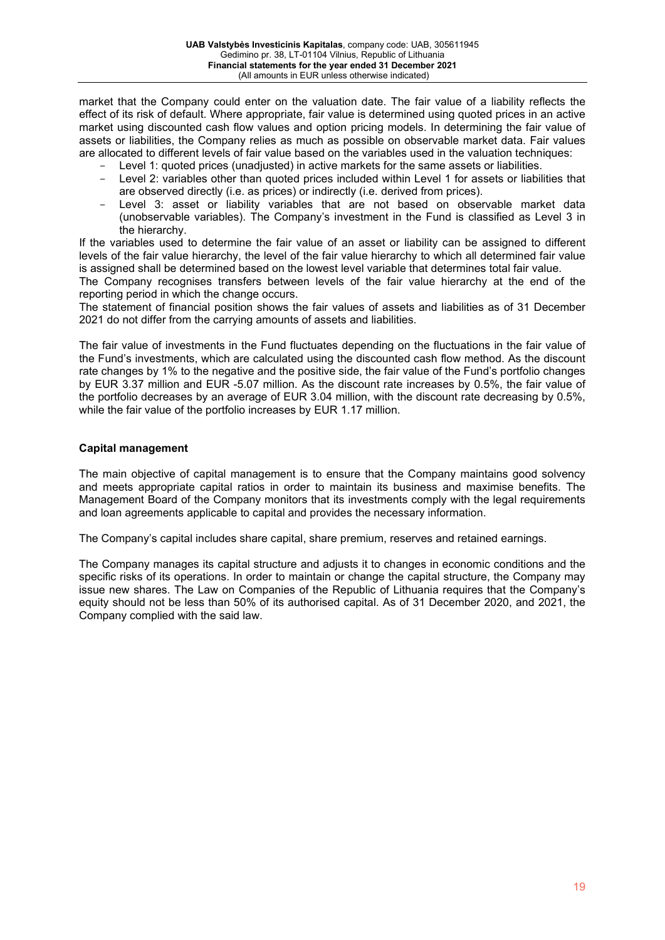market that the Company could enter on the valuation date. The fair value of a liability reflects the effect of its risk of default. Where appropriate, fair value is determined using quoted prices in an active market using discounted cash flow values and option pricing models. In determining the fair value of assets or liabilities, the Company relies as much as possible on observable market data. Fair values are allocated to different levels of fair value based on the variables used in the valuation techniques:

- Level 1: quoted prices (unadjusted) in active markets for the same assets or liabilities.
- Level 2: variables other than quoted prices included within Level 1 for assets or liabilities that are observed directly (i.e. as prices) or indirectly (i.e. derived from prices).
- Level 3: asset or liability variables that are not based on observable market data (unobservable variables). The Company's investment in the Fund is classified as Level 3 in the hierarchy.

If the variables used to determine the fair value of an asset or liability can be assigned to different levels of the fair value hierarchy, the level of the fair value hierarchy to which all determined fair value is assigned shall be determined based on the lowest level variable that determines total fair value.

The Company recognises transfers between levels of the fair value hierarchy at the end of the reporting period in which the change occurs.

The statement of financial position shows the fair values of assets and liabilities as of 31 December 2021 do not differ from the carrying amounts of assets and liabilities.

The fair value of investments in the Fund fluctuates depending on the fluctuations in the fair value of the Fund's investments, which are calculated using the discounted cash flow method. As the discount rate changes by 1% to the negative and the positive side, the fair value of the Fund's portfolio changes by EUR 3.37 million and EUR -5.07 million. As the discount rate increases by 0.5%, the fair value of the portfolio decreases by an average of EUR 3.04 million, with the discount rate decreasing by 0.5%, while the fair value of the portfolio increases by EUR 1.17 million.

#### **Capital management**

The main objective of capital management is to ensure that the Company maintains good solvency and meets appropriate capital ratios in order to maintain its business and maximise benefits. The Management Board of the Company monitors that its investments comply with the legal requirements and loan agreements applicable to capital and provides the necessary information.

The Company's capital includes share capital, share premium, reserves and retained earnings.

The Company manages its capital structure and adjusts it to changes in economic conditions and the specific risks of its operations. In order to maintain or change the capital structure, the Company may issue new shares. The Law on Companies of the Republic of Lithuania requires that the Company's equity should not be less than 50% of its authorised capital. As of 31 December 2020, and 2021, the Company complied with the said law.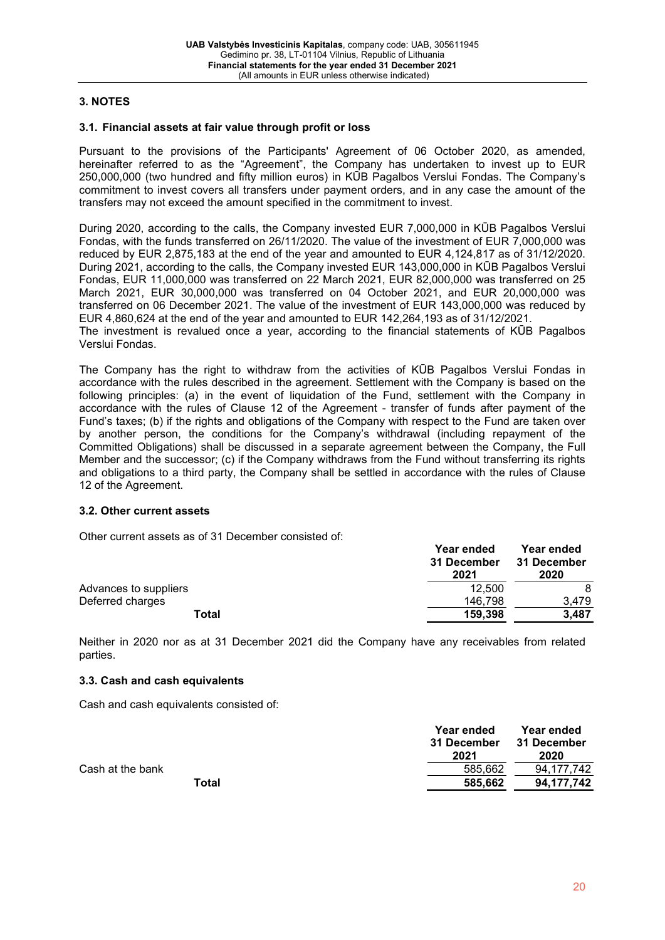# **3. NOTES**

#### **3.1. Financial assets at fair value through profit or loss**

Pursuant to the provisions of the Participants' Agreement of 06 October 2020, as amended, hereinafter referred to as the "Agreement", the Company has undertaken to invest up to EUR 250,000,000 (two hundred and fifty million euros) in KŪB Pagalbos Verslui Fondas. The Company's commitment to invest covers all transfers under payment orders, and in any case the amount of the transfers may not exceed the amount specified in the commitment to invest.

During 2020, according to the calls, the Company invested EUR 7,000,000 in KŪB Pagalbos Verslui Fondas, with the funds transferred on 26/11/2020. The value of the investment of EUR 7,000,000 was reduced by EUR 2,875,183 at the end of the year and amounted to EUR 4,124,817 as of 31/12/2020. During 2021, according to the calls, the Company invested EUR 143,000,000 in KŪB Pagalbos Verslui Fondas, EUR 11,000,000 was transferred on 22 March 2021, EUR 82,000,000 was transferred on 25 March 2021, EUR 30,000,000 was transferred on 04 October 2021, and EUR 20,000,000 was transferred on 06 December 2021. The value of the investment of EUR 143,000,000 was reduced by EUR 4,860,624 at the end of the year and amounted to EUR 142,264,193 as of 31/12/2021. The investment is revalued once a year, according to the financial statements of KŪB Pagalbos Verslui Fondas.

The Company has the right to withdraw from the activities of KŪB Pagalbos Verslui Fondas in accordance with the rules described in the agreement. Settlement with the Company is based on the following principles: (a) in the event of liquidation of the Fund, settlement with the Company in accordance with the rules of Clause 12 of the Agreement - transfer of funds after payment of the Fund's taxes; (b) if the rights and obligations of the Company with respect to the Fund are taken over by another person, the conditions for the Company's withdrawal (including repayment of the Committed Obligations) shall be discussed in a separate agreement between the Company, the Full Member and the successor; (c) if the Company withdraws from the Fund without transferring its rights and obligations to a third party, the Company shall be settled in accordance with the rules of Clause 12 of the Agreement.

#### **3.2. Other current assets**

Other current assets as of 31 December consisted of:

|                       | Year ended<br>31 December<br>2021 | Year ended<br>31 December<br>2020 |
|-----------------------|-----------------------------------|-----------------------------------|
| Advances to suppliers | 12.500                            | 8                                 |
| Deferred charges      | 146.798                           | 3.479                             |
| Total                 | 159.398                           | 3.487                             |

Neither in 2020 nor as at 31 December 2021 did the Company have any receivables from related parties.

#### **3.3. Cash and cash equivalents**

Cash and cash equivalents consisted of:

|                  | Year ended<br>31 December<br>2021 | Year ended<br>31 December<br>2020 |
|------------------|-----------------------------------|-----------------------------------|
| Cash at the bank | 585.662                           | 94.177.742                        |
| Total            | 585.662                           | 94.177.742                        |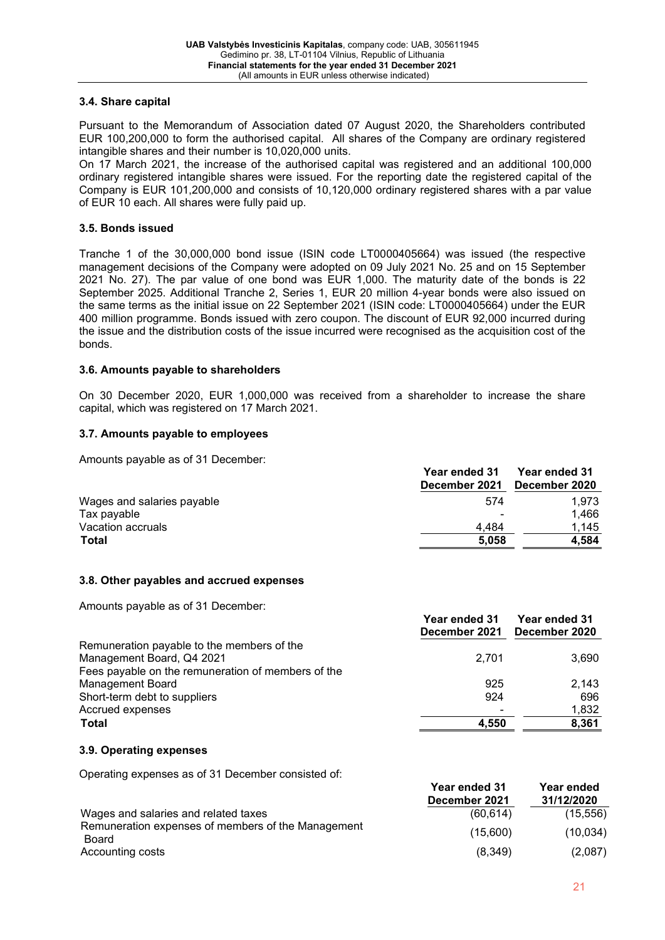# **3.4. Share capital**

Pursuant to the Memorandum of Association dated 07 August 2020, the Shareholders contributed EUR 100,200,000 to form the authorised capital. All shares of the Company are ordinary registered intangible shares and their number is 10,020,000 units.

On 17 March 2021, the increase of the authorised capital was registered and an additional 100,000 ordinary registered intangible shares were issued. For the reporting date the registered capital of the Company is EUR 101,200,000 and consists of 10,120,000 ordinary registered shares with a par value of EUR 10 each. All shares were fully paid up.

## **3.5. Bonds issued**

Tranche 1 of the 30,000,000 bond issue (ISIN code LT0000405664) was issued (the respective management decisions of the Company were adopted on 09 July 2021 No. 25 and on 15 September 2021 No. 27). The par value of one bond was EUR 1,000. The maturity date of the bonds is 22 September 2025. Additional Tranche 2, Series 1, EUR 20 million 4-year bonds were also issued on the same terms as the initial issue on 22 September 2021 (ISIN code: LT0000405664) under the EUR 400 million programme. Bonds issued with zero coupon. The discount of EUR 92,000 incurred during the issue and the distribution costs of the issue incurred were recognised as the acquisition cost of the bonds.

#### **3.6. Amounts payable to shareholders**

On 30 December 2020, EUR 1,000,000 was received from a shareholder to increase the share capital, which was registered on 17 March 2021.

# **3.7. Amounts payable to employees**

Amounts payable as of 31 December:

|                            | <b>Year ended 31</b><br>December 2021 | Year ended 31<br>December 2020 |
|----------------------------|---------------------------------------|--------------------------------|
| Wages and salaries payable | 574                                   | 1.973                          |
| Tax payable                | $\overline{\phantom{a}}$              | 1.466                          |
| Vacation accruals          | 4.484                                 | 1.145                          |
| <b>Total</b>               | 5.058                                 | 4.584                          |

#### **3.8. Other payables and accrued expenses**

Amounts payable as of 31 December:

|                                                    | Year ended 31<br>December 2021 | <b>Year ended 31</b><br>December 2020 |
|----------------------------------------------------|--------------------------------|---------------------------------------|
| Remuneration payable to the members of the         |                                |                                       |
| Management Board, Q4 2021                          | 2,701                          | 3,690                                 |
| Fees payable on the remuneration of members of the |                                |                                       |
| <b>Management Board</b>                            | 925                            | 2.143                                 |
| Short-term debt to suppliers                       | 924                            | 696                                   |
| Accrued expenses                                   |                                | 1,832                                 |
| <b>Total</b>                                       | 4.550                          | 8,361                                 |

**Year ended 31** 

#### **3.9. Operating expenses**

Operating expenses as of 31 December consisted of:

|                                                             | Teal eilueu JT | Teal eilueu |
|-------------------------------------------------------------|----------------|-------------|
|                                                             | December 2021  | 31/12/2020  |
| Wages and salaries and related taxes                        | (60, 614)      | (15, 556)   |
| Remuneration expenses of members of the Management<br>Board | (15.600)       | (10, 034)   |
| Accounting costs                                            | (8,349)        | (2,087)     |

**Year ended**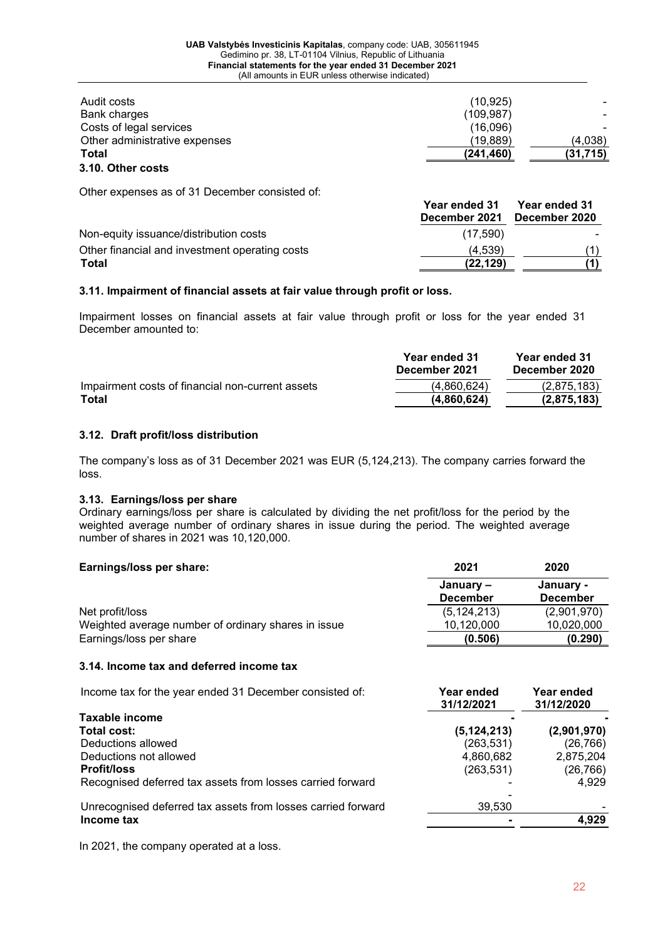| (31, 715) |
|-----------|
| (4,038)   |
|           |
|           |
|           |
|           |

Other expenses as of 31 December consisted of:

|                                                | <b>Year ended 31</b><br>December 2021 | Year ended 31<br>December 2020 |
|------------------------------------------------|---------------------------------------|--------------------------------|
| Non-equity issuance/distribution costs         | (17,590)                              |                                |
| Other financial and investment operating costs | (4.539)                               |                                |
| Total                                          | (22, 129)                             |                                |

## **3.11. Impairment of financial assets at fair value through profit or loss.**

Impairment losses on financial assets at fair value through profit or loss for the year ended 31 December amounted to:

|                                                  | Year ended 31<br>December 2021 | Year ended 31<br>December 2020 |
|--------------------------------------------------|--------------------------------|--------------------------------|
| Impairment costs of financial non-current assets | (4.860.624)                    | (2.875.183)                    |
| Total                                            | (4,860,624)                    | (2,875,183)                    |

## **3.12. Draft profit/loss distribution**

The company's loss as of 31 December 2021 was EUR (5,124,213). The company carries forward the loss.

#### **3.13. Earnings/loss per share**

Ordinary earnings/loss per share is calculated by dividing the net profit/loss for the period by the weighted average number of ordinary shares in issue during the period. The weighted average number of shares in 2021 was 10,120,000.

#### **Earnings/loss per share: 2021 2020**

|                                                     | January –       | January -       |
|-----------------------------------------------------|-----------------|-----------------|
|                                                     | <b>December</b> | <b>December</b> |
| Net profit/loss                                     | (5, 124, 213)   | (2,901,970)     |
| Weighted average number of ordinary shares in issue | 10.120.000      | 10,020,000      |
| Earnings/loss per share                             | (0.506)         | (0.290)         |

# **3.14. Income tax and deferred income tax**

Income tax for the year ended 31 December consisted of: **Year ended Year ended**

|                                                              | 31/12/2021    | 31/12/2020  |
|--------------------------------------------------------------|---------------|-------------|
| <b>Taxable income</b>                                        |               |             |
| Total cost:                                                  | (5, 124, 213) | (2,901,970) |
| Deductions allowed                                           | (263,531)     | (26, 766)   |
| Deductions not allowed                                       | 4,860,682     | 2,875,204   |
| <b>Profit/loss</b>                                           | (263, 531)    | (26, 766)   |
| Recognised deferred tax assets from losses carried forward   |               | 4.929       |
| Unrecognised deferred tax assets from losses carried forward | 39.530        |             |
| Income tax                                                   |               | 4.929       |

In 2021, the company operated at a loss.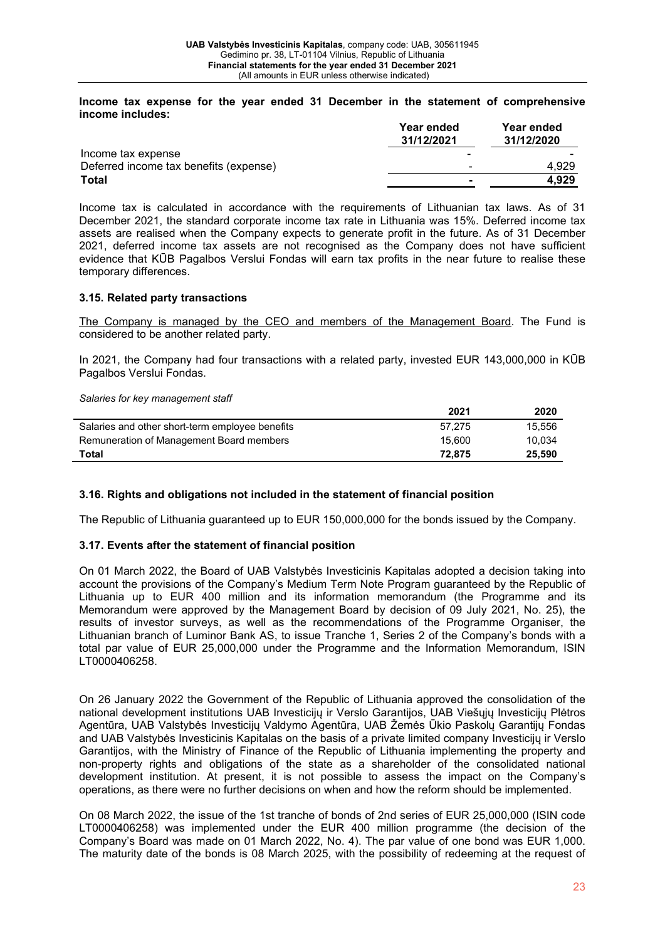**Income tax expense for the year ended 31 December in the statement of comprehensive income includes:**

|                                        | <b>Year ended</b><br>31/12/2021 | <b>Year ended</b><br>31/12/2020 |
|----------------------------------------|---------------------------------|---------------------------------|
| Income tax expense                     |                                 |                                 |
| Deferred income tax benefits (expense) |                                 | 4.929                           |
| Total                                  |                                 | 4.929                           |

Income tax is calculated in accordance with the requirements of Lithuanian tax laws. As of 31 December 2021, the standard corporate income tax rate in Lithuania was 15%. Deferred income tax assets are realised when the Company expects to generate profit in the future. As of 31 December 2021, deferred income tax assets are not recognised as the Company does not have sufficient evidence that KŪB Pagalbos Verslui Fondas will earn tax profits in the near future to realise these temporary differences.

#### **3.15. Related party transactions**

The Company is managed by the CEO and members of the Management Board. The Fund is considered to be another related party.

In 2021, the Company had four transactions with a related party, invested EUR 143,000,000 in KŪB Pagalbos Verslui Fondas.

*Salaries for key management staff*

|                                                 | 2021   | 2020   |
|-------------------------------------------------|--------|--------|
| Salaries and other short-term employee benefits | 57.275 | 15.556 |
| Remuneration of Management Board members        | 15.600 | 10.034 |
| Total                                           | 72.875 | 25.590 |

# **3.16. Rights and obligations not included in the statement of financial position**

The Republic of Lithuania guaranteed up to EUR 150,000,000 for the bonds issued by the Company.

#### **3.17. Events after the statement of financial position**

On 01 March 2022, the Board of UAB Valstybės Investicinis Kapitalas adopted a decision taking into account the provisions of the Company's Medium Term Note Program guaranteed by the Republic of Lithuania up to EUR 400 million and its information memorandum (the Programme and its Memorandum were approved by the Management Board by decision of 09 July 2021, No. 25), the results of investor surveys, as well as the recommendations of the Programme Organiser, the Lithuanian branch of Luminor Bank AS, to issue Tranche 1, Series 2 of the Company's bonds with a total par value of EUR 25,000,000 under the Programme and the Information Memorandum, ISIN LT0000406258.

On 26 January 2022 the Government of the Republic of Lithuania approved the consolidation of the national development institutions UAB Investicijų ir Verslo Garantijos, UAB Viešųjų Investicijų Plėtros Agentūra, UAB Valstybės Investicijų Valdymo Agentūra, UAB Žemės Ūkio Paskolų Garantijų Fondas and UAB Valstybės Investicinis Kapitalas on the basis of a private limited company Investicijų ir Verslo Garantijos, with the Ministry of Finance of the Republic of Lithuania implementing the property and non-property rights and obligations of the state as a shareholder of the consolidated national development institution. At present, it is not possible to assess the impact on the Company's operations, as there were no further decisions on when and how the reform should be implemented.

On 08 March 2022, the issue of the 1st tranche of bonds of 2nd series of EUR 25,000,000 (ISIN code LT0000406258) was implemented under the EUR 400 million programme (the decision of the Company's Board was made on 01 March 2022, No. 4). The par value of one bond was EUR 1,000. The maturity date of the bonds is 08 March 2025, with the possibility of redeeming at the request of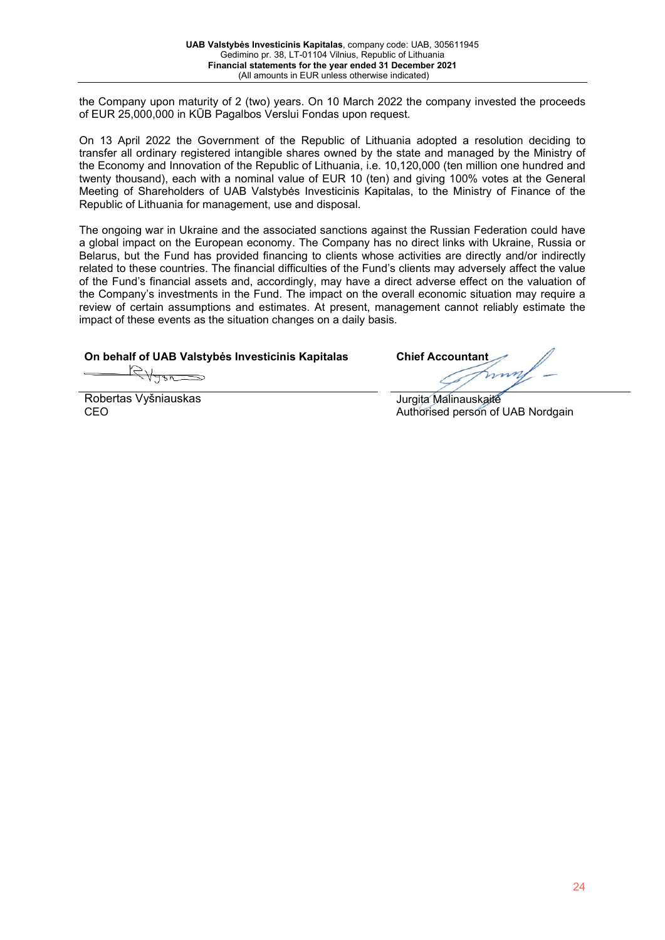the Company upon maturity of 2 (two) years. On 10 March 2022 the company invested the proceeds of EUR 25,000,000 in KŪB Pagalbos Verslui Fondas upon request.

On 13 April 2022 the Government of the Republic of Lithuania adopted a resolution deciding to transfer all ordinary registered intangible shares owned by the state and managed by the Ministry of the Economy and Innovation of the Republic of Lithuania, i.e. 10,120,000 (ten million one hundred and twenty thousand), each with a nominal value of EUR 10 (ten) and giving 100% votes at the General Meeting of Shareholders of UAB Valstybės Investicinis Kapitalas, to the Ministry of Finance of the Republic of Lithuania for management, use and disposal.

The ongoing war in Ukraine and the associated sanctions against the Russian Federation could have a global impact on the European economy. The Company has no direct links with Ukraine, Russia or Belarus, but the Fund has provided financing to clients whose activities are directly and/or indirectly related to these countries. The financial difficulties of the Fund's clients may adversely affect the value of the Fund's financial assets and, accordingly, may have a direct adverse effect on the valuation of the Company's investments in the Fund. The impact on the overall economic situation may require a review of certain assumptions and estimates. At present, management cannot reliably estimate the impact of these events as the situation changes on a daily basis.

# **On behalf of UAB Valstybės Investicinis Kapitalas Chief Accountant**

Robertas Vyšniauskas CEO

Jurgita Malinauskaitė Authorised person of UAB Nordgain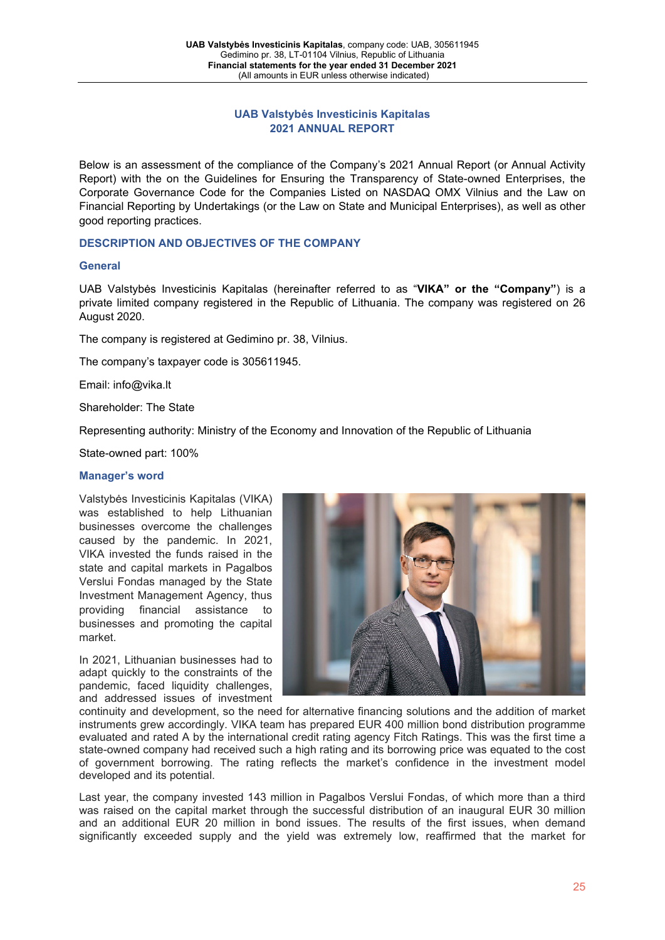# **UAB Valstybės Investicinis Kapitalas 2021 ANNUAL REPORT**

Below is an assessment of the compliance of the Company's 2021 Annual Report (or Annual Activity Report) with the on the Guidelines for Ensuring the Transparency of State-owned Enterprises, the Corporate Governance Code for the Companies Listed on NASDAQ OMX Vilnius and the Law on Financial Reporting by Undertakings (or the Law on State and Municipal Enterprises), as well as other good reporting practices.

# **DESCRIPTION AND OBJECTIVES OF THE COMPANY**

# **General**

UAB Valstybės Investicinis Kapitalas (hereinafter referred to as "**VIKA" or the "Company"**) is a private limited company registered in the Republic of Lithuania. The company was registered on 26 August 2020.

The company is registered at Gedimino pr. 38, Vilnius.

The company's taxpayer code is 305611945.

Email: info@vika.lt

Shareholder: The State

Representing authority: Ministry of the Economy and Innovation of the Republic of Lithuania

State-owned part: 100%

#### **Manager's word**

Valstybės Investicinis Kapitalas (VIKA) was established to help Lithuanian businesses overcome the challenges caused by the pandemic. In 2021, VIKA invested the funds raised in the state and capital markets in Pagalbos Verslui Fondas managed by the State Investment Management Agency, thus providing financial assistance to businesses and promoting the capital market.

In 2021, Lithuanian businesses had to adapt quickly to the constraints of the pandemic, faced liquidity challenges, and addressed issues of investment



continuity and development, so the need for alternative financing solutions and the addition of market instruments grew accordingly. VIKA team has prepared EUR 400 million bond distribution programme evaluated and rated A by the international credit rating agency Fitch Ratings. This was the first time a state-owned company had received such a high rating and its borrowing price was equated to the cost of government borrowing. The rating reflects the market's confidence in the investment model developed and its potential.

Last year, the company invested 143 million in Pagalbos Verslui Fondas, of which more than a third was raised on the capital market through the successful distribution of an inaugural EUR 30 million and an additional EUR 20 million in bond issues. The results of the first issues, when demand significantly exceeded supply and the yield was extremely low, reaffirmed that the market for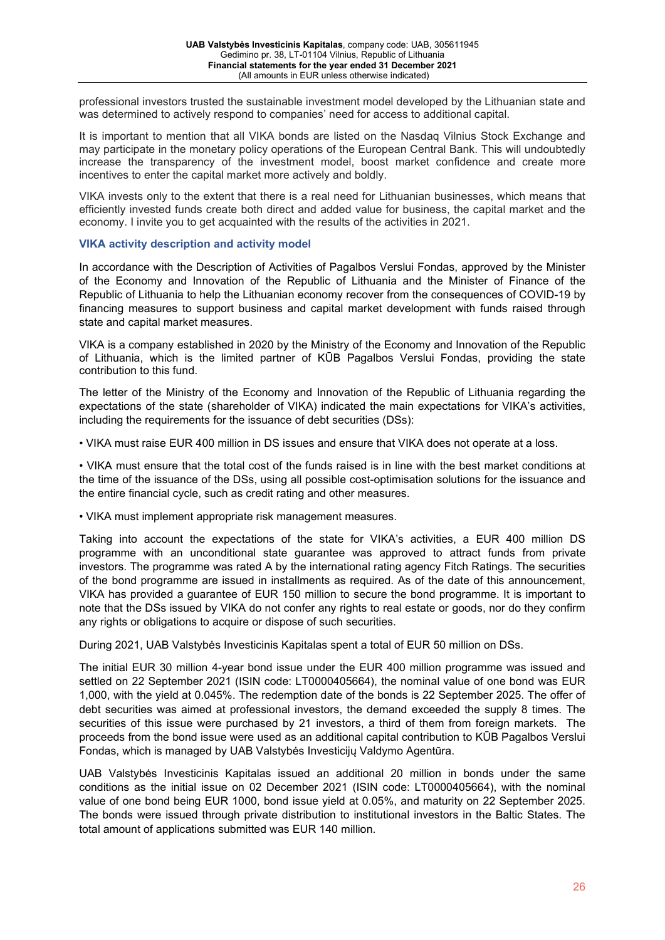professional investors trusted the sustainable investment model developed by the Lithuanian state and was determined to actively respond to companies' need for access to additional capital.

It is important to mention that all VIKA bonds are listed on the Nasdaq Vilnius Stock Exchange and may participate in the monetary policy operations of the European Central Bank. This will undoubtedly increase the transparency of the investment model, boost market confidence and create more incentives to enter the capital market more actively and boldly.

VIKA invests only to the extent that there is a real need for Lithuanian businesses, which means that efficiently invested funds create both direct and added value for business, the capital market and the economy. I invite you to get acquainted with the results of the activities in 2021.

# **VIKA activity description and activity model**

In accordance with the Description of Activities of Pagalbos Verslui Fondas, approved by the Minister of the Economy and Innovation of the Republic of Lithuania and the Minister of Finance of the Republic of Lithuania to help the Lithuanian economy recover from the consequences of COVID-19 by financing measures to support business and capital market development with funds raised through state and capital market measures.

VIKA is a company established in 2020 by the Ministry of the Economy and Innovation of the Republic of Lithuania, which is the limited partner of KŪB Pagalbos Verslui Fondas, providing the state contribution to this fund.

The letter of the Ministry of the Economy and Innovation of the Republic of Lithuania regarding the expectations of the state (shareholder of VIKA) indicated the main expectations for VIKA's activities, including the requirements for the issuance of debt securities (DSs):

• VIKA must raise EUR 400 million in DS issues and ensure that VIKA does not operate at a loss.

• VIKA must ensure that the total cost of the funds raised is in line with the best market conditions at the time of the issuance of the DSs, using all possible cost-optimisation solutions for the issuance and the entire financial cycle, such as credit rating and other measures.

• VIKA must implement appropriate risk management measures.

Taking into account the expectations of the state for VIKA's activities, a EUR 400 million DS programme with an unconditional state guarantee was approved to attract funds from private investors. The programme was rated A by the international rating agency Fitch Ratings. The securities of the bond programme are issued in installments as required. As of the date of this announcement, VIKA has provided a guarantee of EUR 150 million to secure the bond programme. It is important to note that the DSs issued by VIKA do not confer any rights to real estate or goods, nor do they confirm any rights or obligations to acquire or dispose of such securities.

During 2021, UAB Valstybės Investicinis Kapitalas spent a total of EUR 50 million on DSs.

The initial EUR 30 million 4-year bond issue under the EUR 400 million programme was issued and settled on 22 September 2021 (ISIN code: LT0000405664), the nominal value of one bond was EUR 1,000, with the yield at 0.045%. The redemption date of the bonds is 22 September 2025. The offer of debt securities was aimed at professional investors, the demand exceeded the supply 8 times. The securities of this issue were purchased by 21 investors, a third of them from foreign markets. The proceeds from the bond issue were used as an additional capital contribution to KŪB Pagalbos Verslui Fondas, which is managed by UAB Valstybės Investicijų Valdymo Agentūra.

UAB Valstybės Investicinis Kapitalas issued an additional 20 million in bonds under the same conditions as the initial issue on 02 December 2021 (ISIN code: LT0000405664), with the nominal value of one bond being EUR 1000, bond issue yield at 0.05%, and maturity on 22 September 2025. The bonds were issued through private distribution to institutional investors in the Baltic States. The total amount of applications submitted was EUR 140 million.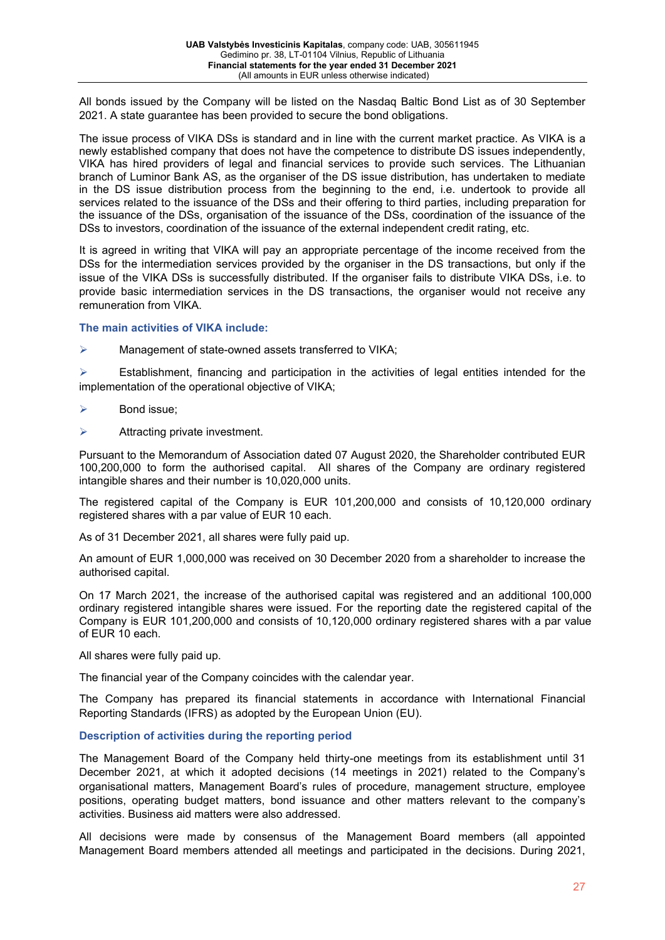All bonds issued by the Company will be listed on the Nasdaq Baltic Bond List as of 30 September 2021. A state guarantee has been provided to secure the bond obligations.

The issue process of VIKA DSs is standard and in line with the current market practice. As VIKA is a newly established company that does not have the competence to distribute DS issues independently, VIKA has hired providers of legal and financial services to provide such services. The Lithuanian branch of Luminor Bank AS, as the organiser of the DS issue distribution, has undertaken to mediate in the DS issue distribution process from the beginning to the end, i.e. undertook to provide all services related to the issuance of the DSs and their offering to third parties, including preparation for the issuance of the DSs, organisation of the issuance of the DSs, coordination of the issuance of the DSs to investors, coordination of the issuance of the external independent credit rating, etc.

It is agreed in writing that VIKA will pay an appropriate percentage of the income received from the DSs for the intermediation services provided by the organiser in the DS transactions, but only if the issue of the VIKA DSs is successfully distributed. If the organiser fails to distribute VIKA DSs, i.e. to provide basic intermediation services in the DS transactions, the organiser would not receive any remuneration from VIKA.

**The main activities of VIKA include:** 

 $\triangleright$  Management of state-owned assets transferred to VIKA;

 $\triangleright$  Establishment, financing and participation in the activities of legal entities intended for the implementation of the operational objective of VIKA;

- $\triangleright$  Bond issue;
- $\triangleright$  Attracting private investment.

Pursuant to the Memorandum of Association dated 07 August 2020, the Shareholder contributed EUR 100,200,000 to form the authorised capital. All shares of the Company are ordinary registered intangible shares and their number is 10,020,000 units.

The registered capital of the Company is EUR 101,200,000 and consists of 10,120,000 ordinary registered shares with a par value of EUR 10 each.

As of 31 December 2021, all shares were fully paid up.

An amount of EUR 1,000,000 was received on 30 December 2020 from a shareholder to increase the authorised capital.

On 17 March 2021, the increase of the authorised capital was registered and an additional 100,000 ordinary registered intangible shares were issued. For the reporting date the registered capital of the Company is EUR 101,200,000 and consists of 10,120,000 ordinary registered shares with a par value of EUR 10 each.

All shares were fully paid up.

The financial year of the Company coincides with the calendar year.

The Company has prepared its financial statements in accordance with International Financial Reporting Standards (IFRS) as adopted by the European Union (EU).

# **Description of activities during the reporting period**

The Management Board of the Company held thirty-one meetings from its establishment until 31 December 2021, at which it adopted decisions (14 meetings in 2021) related to the Company's organisational matters, Management Board's rules of procedure, management structure, employee positions, operating budget matters, bond issuance and other matters relevant to the company's activities. Business aid matters were also addressed.

All decisions were made by consensus of the Management Board members (all appointed Management Board members attended all meetings and participated in the decisions. During 2021,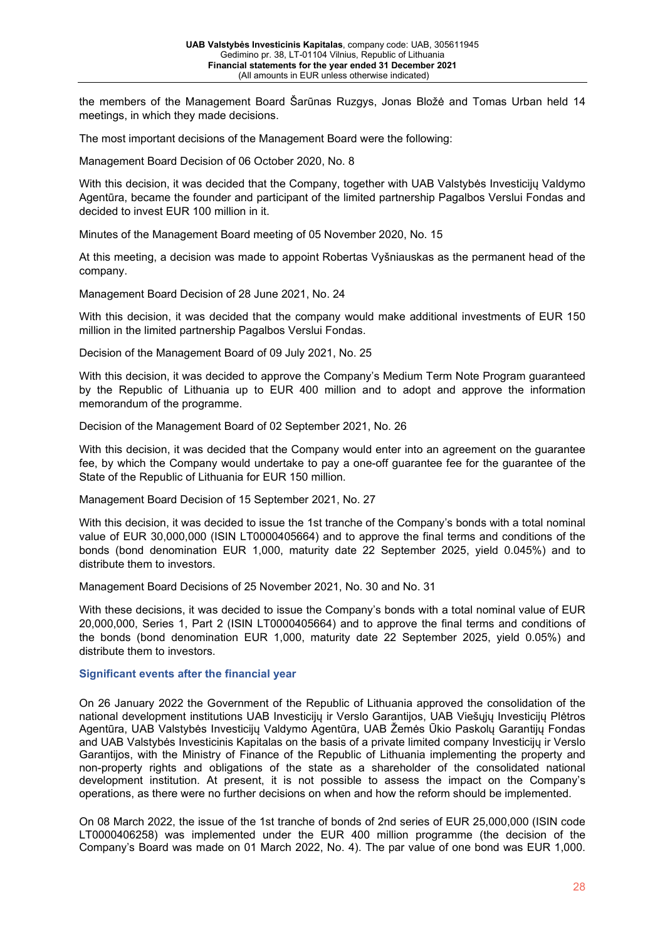the members of the Management Board Šarūnas Ruzgys, Jonas Bložė and Tomas Urban held 14 meetings, in which they made decisions.

The most important decisions of the Management Board were the following:

Management Board Decision of 06 October 2020, No. 8

With this decision, it was decided that the Company, together with UAB Valstybės Investicijų Valdymo Agentūra, became the founder and participant of the limited partnership Pagalbos Verslui Fondas and decided to invest EUR 100 million in it.

Minutes of the Management Board meeting of 05 November 2020, No. 15

At this meeting, a decision was made to appoint Robertas Vyšniauskas as the permanent head of the company.

Management Board Decision of 28 June 2021, No. 24

With this decision, it was decided that the company would make additional investments of EUR 150 million in the limited partnership Pagalbos Verslui Fondas.

Decision of the Management Board of 09 July 2021, No. 25

With this decision, it was decided to approve the Company's Medium Term Note Program guaranteed by the Republic of Lithuania up to EUR 400 million and to adopt and approve the information memorandum of the programme.

Decision of the Management Board of 02 September 2021, No. 26

With this decision, it was decided that the Company would enter into an agreement on the guarantee fee, by which the Company would undertake to pay a one-off guarantee fee for the guarantee of the State of the Republic of Lithuania for EUR 150 million.

Management Board Decision of 15 September 2021, No. 27

With this decision, it was decided to issue the 1st tranche of the Company's bonds with a total nominal value of EUR 30,000,000 (ISIN LT0000405664) and to approve the final terms and conditions of the bonds (bond denomination EUR 1,000, maturity date 22 September 2025, yield 0.045%) and to distribute them to investors.

Management Board Decisions of 25 November 2021, No. 30 and No. 31

With these decisions, it was decided to issue the Company's bonds with a total nominal value of EUR 20,000,000, Series 1, Part 2 (ISIN LT0000405664) and to approve the final terms and conditions of the bonds (bond denomination EUR 1,000, maturity date 22 September 2025, yield 0.05%) and distribute them to investors.

#### **Significant events after the financial year**

On 26 January 2022 the Government of the Republic of Lithuania approved the consolidation of the national development institutions UAB Investicijų ir Verslo Garantijos, UAB Viešųjų Investicijų Plėtros Agentūra, UAB Valstybės Investicijų Valdymo Agentūra, UAB Žemės Ūkio Paskolų Garantijų Fondas and UAB Valstybės Investicinis Kapitalas on the basis of a private limited company Investicijų ir Verslo Garantijos, with the Ministry of Finance of the Republic of Lithuania implementing the property and non-property rights and obligations of the state as a shareholder of the consolidated national development institution. At present, it is not possible to assess the impact on the Company's operations, as there were no further decisions on when and how the reform should be implemented.

On 08 March 2022, the issue of the 1st tranche of bonds of 2nd series of EUR 25,000,000 (ISIN code LT0000406258) was implemented under the EUR 400 million programme (the decision of the Company's Board was made on 01 March 2022, No. 4). The par value of one bond was EUR 1,000.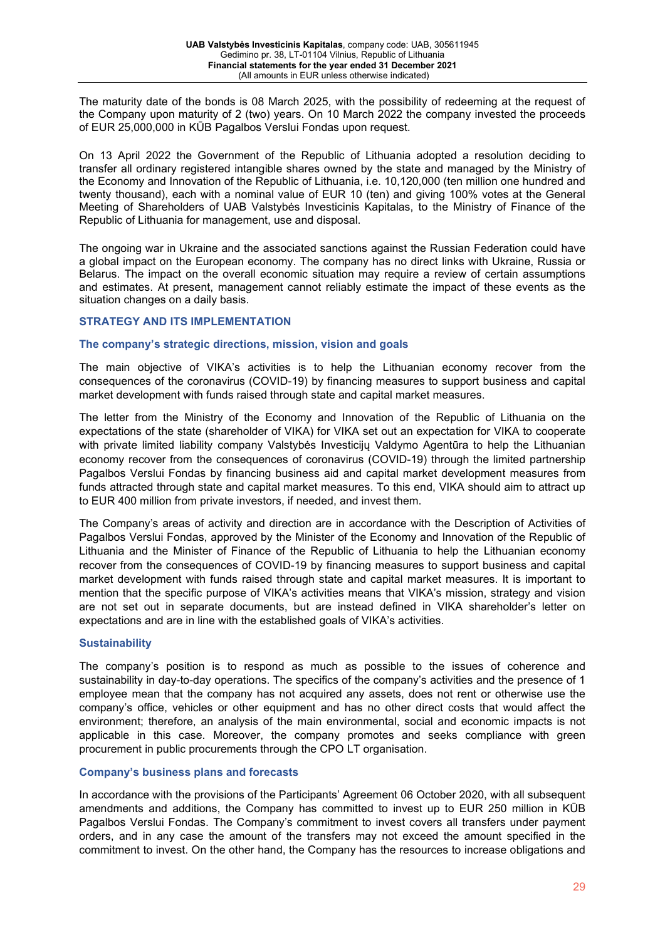The maturity date of the bonds is 08 March 2025, with the possibility of redeeming at the request of the Company upon maturity of 2 (two) years. On 10 March 2022 the company invested the proceeds of EUR 25,000,000 in KŪB Pagalbos Verslui Fondas upon request.

On 13 April 2022 the Government of the Republic of Lithuania adopted a resolution deciding to transfer all ordinary registered intangible shares owned by the state and managed by the Ministry of the Economy and Innovation of the Republic of Lithuania, i.e. 10,120,000 (ten million one hundred and twenty thousand), each with a nominal value of EUR 10 (ten) and giving 100% votes at the General Meeting of Shareholders of UAB Valstybės Investicinis Kapitalas, to the Ministry of Finance of the Republic of Lithuania for management, use and disposal.

The ongoing war in Ukraine and the associated sanctions against the Russian Federation could have a global impact on the European economy. The company has no direct links with Ukraine, Russia or Belarus. The impact on the overall economic situation may require a review of certain assumptions and estimates. At present, management cannot reliably estimate the impact of these events as the situation changes on a daily basis.

#### **STRATEGY AND ITS IMPLEMENTATION**

#### **The company's strategic directions, mission, vision and goals**

The main objective of VIKA's activities is to help the Lithuanian economy recover from the consequences of the coronavirus (COVID-19) by financing measures to support business and capital market development with funds raised through state and capital market measures.

The letter from the Ministry of the Economy and Innovation of the Republic of Lithuania on the expectations of the state (shareholder of VIKA) for VIKA set out an expectation for VIKA to cooperate with private limited liability company Valstybės Investicijų Valdymo Agentūra to help the Lithuanian economy recover from the consequences of coronavirus (COVID-19) through the limited partnership Pagalbos Verslui Fondas by financing business aid and capital market development measures from funds attracted through state and capital market measures. To this end, VIKA should aim to attract up to EUR 400 million from private investors, if needed, and invest them.

The Company's areas of activity and direction are in accordance with the Description of Activities of Pagalbos Verslui Fondas, approved by the Minister of the Economy and Innovation of the Republic of Lithuania and the Minister of Finance of the Republic of Lithuania to help the Lithuanian economy recover from the consequences of COVID-19 by financing measures to support business and capital market development with funds raised through state and capital market measures. It is important to mention that the specific purpose of VIKA's activities means that VIKA's mission, strategy and vision are not set out in separate documents, but are instead defined in VIKA shareholder's letter on expectations and are in line with the established goals of VIKA's activities.

# **Sustainability**

The company's position is to respond as much as possible to the issues of coherence and sustainability in day-to-day operations. The specifics of the company's activities and the presence of 1 employee mean that the company has not acquired any assets, does not rent or otherwise use the company's office, vehicles or other equipment and has no other direct costs that would affect the environment; therefore, an analysis of the main environmental, social and economic impacts is not applicable in this case. Moreover, the company promotes and seeks compliance with green procurement in public procurements through the CPO LT organisation.

# **Company's business plans and forecasts**

In accordance with the provisions of the Participants' Agreement 06 October 2020, with all subsequent amendments and additions, the Company has committed to invest up to EUR 250 million in KŪB Pagalbos Verslui Fondas. The Company's commitment to invest covers all transfers under payment orders, and in any case the amount of the transfers may not exceed the amount specified in the commitment to invest. On the other hand, the Company has the resources to increase obligations and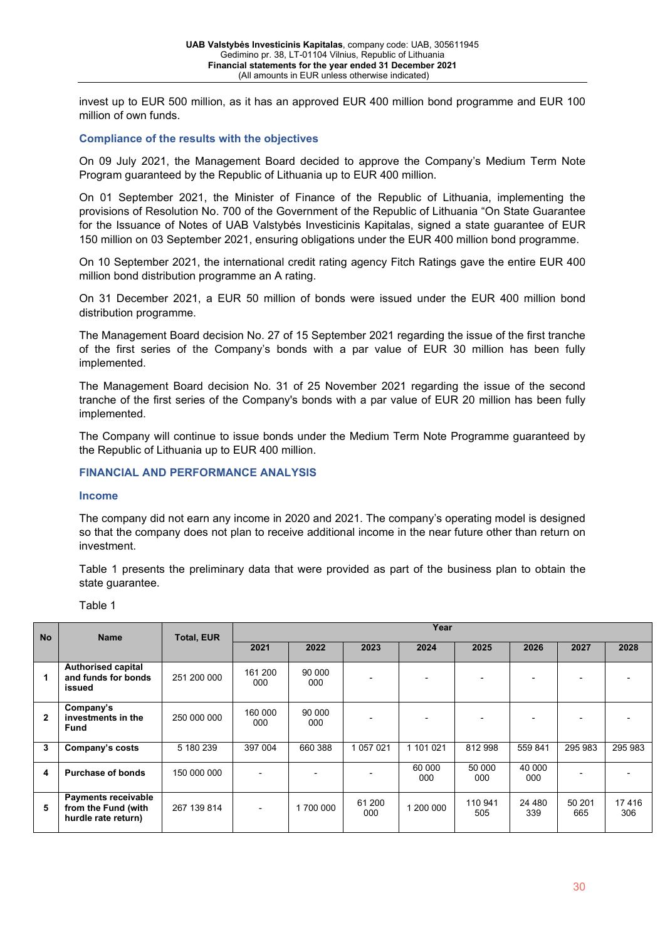invest up to EUR 500 million, as it has an approved EUR 400 million bond programme and EUR 100 million of own funds.

#### **Compliance of the results with the objectives**

On 09 July 2021, the Management Board decided to approve the Company's Medium Term Note Program guaranteed by the Republic of Lithuania up to EUR 400 million.

On 01 September 2021, the Minister of Finance of the Republic of Lithuania, implementing the provisions of Resolution No. 700 of the Government of the Republic of Lithuania "On State Guarantee for the Issuance of Notes of UAB Valstybės Investicinis Kapitalas, signed a state guarantee of EUR 150 million on 03 September 2021, ensuring obligations under the EUR 400 million bond programme.

On 10 September 2021, the international credit rating agency Fitch Ratings gave the entire EUR 400 million bond distribution programme an A rating.

On 31 December 2021, a EUR 50 million of bonds were issued under the EUR 400 million bond distribution programme.

The Management Board decision No. 27 of 15 September 2021 regarding the issue of the first tranche of the first series of the Company's bonds with a par value of EUR 30 million has been fully implemented.

The Management Board decision No. 31 of 25 November 2021 regarding the issue of the second tranche of the first series of the Company's bonds with a par value of EUR 20 million has been fully implemented.

The Company will continue to issue bonds under the Medium Term Note Programme guaranteed by the Republic of Lithuania up to EUR 400 million.

#### **FINANCIAL AND PERFORMANCE ANALYSIS**

#### **Income**

The company did not earn any income in 2020 and 2021. The company's operating model is designed so that the company does not plan to receive additional income in the near future other than return on investment.

Table 1 presents the preliminary data that were provided as part of the business plan to obtain the state guarantee.

| . . |  |  |
|-----|--|--|
|-----|--|--|

| <b>No</b>    | <b>Name</b>                                                              | <b>Total, EUR</b> | Year           |               |               |               |                |               |               |              |
|--------------|--------------------------------------------------------------------------|-------------------|----------------|---------------|---------------|---------------|----------------|---------------|---------------|--------------|
|              |                                                                          |                   | 2021           | 2022          | 2023          | 2024          | 2025           | 2026          | 2027          | 2028         |
|              | <b>Authorised capital</b><br>and funds for bonds<br>issued               | 251 200 000       | 161 200<br>000 | 90 000<br>000 |               |               |                |               |               |              |
| $\mathbf{2}$ | Company's<br>investments in the<br>Fund                                  | 250 000 000       | 160 000<br>000 | 90 000<br>000 |               |               |                |               |               |              |
| 3            | Company's costs                                                          | 5 180 239         | 397 004        | 660 388       | 1 057 021     | 1 101 021     | 812 998        | 559 841       | 295 983       | 295 983      |
| 4            | <b>Purchase of bonds</b>                                                 | 150 000 000       |                |               |               | 60 000<br>000 | 50 000<br>000  | 40 000<br>000 |               |              |
| 5            | <b>Payments receivable</b><br>from the Fund (with<br>hurdle rate return) | 267 139 814       |                | 700 000       | 61 200<br>000 | 1 200 000     | 110 941<br>505 | 24 480<br>339 | 50 201<br>665 | 17416<br>306 |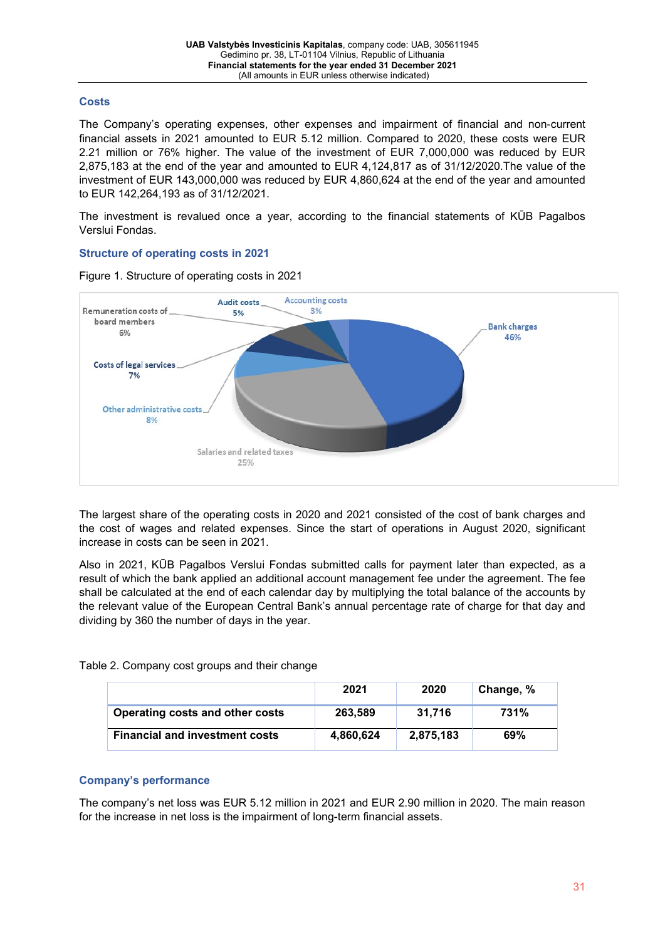# **Costs**

The Company's operating expenses, other expenses and impairment of financial and non-current financial assets in 2021 amounted to EUR 5.12 million. Compared to 2020, these costs were EUR 2.21 million or 76% higher. The value of the investment of EUR 7,000,000 was reduced by EUR 2,875,183 at the end of the year and amounted to EUR 4,124,817 as of 31/12/2020.The value of the investment of EUR 143,000,000 was reduced by EUR 4,860,624 at the end of the year and amounted to EUR 142,264,193 as of 31/12/2021.

The investment is revalued once a year, according to the financial statements of KŪB Pagalbos Verslui Fondas.

# **Structure of operating costs in 2021**

Figure 1. Structure of operating costs in 2021



The largest share of the operating costs in 2020 and 2021 consisted of the cost of bank charges and the cost of wages and related expenses. Since the start of operations in August 2020, significant increase in costs can be seen in 2021.

Also in 2021, KŪB Pagalbos Verslui Fondas submitted calls for payment later than expected, as a result of which the bank applied an additional account management fee under the agreement. The fee shall be calculated at the end of each calendar day by multiplying the total balance of the accounts by the relevant value of the European Central Bank's annual percentage rate of charge for that day and dividing by 360 the number of days in the year.

Table 2. Company cost groups and their change

|                                       | 2021      | 2020      | Change, % |
|---------------------------------------|-----------|-----------|-----------|
| Operating costs and other costs       | 263.589   | 31.716    | 731%      |
| <b>Financial and investment costs</b> | 4,860,624 | 2.875.183 | 69%       |

# **Company's performance**

The company's net loss was EUR 5.12 million in 2021 and EUR 2.90 million in 2020. The main reason for the increase in net loss is the impairment of long-term financial assets.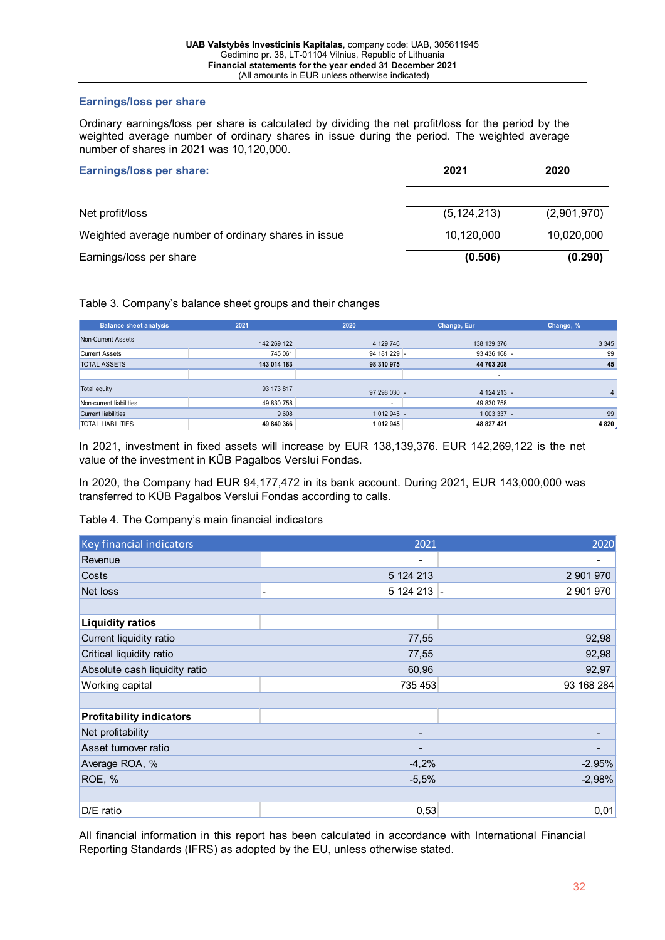# **Earnings/loss per share**

Ordinary earnings/loss per share is calculated by dividing the net profit/loss for the period by the weighted average number of ordinary shares in issue during the period. The weighted average number of shares in 2021 was 10,120,000.

| <b>Earnings/loss per share:</b>                     | 2021          | 2020        |
|-----------------------------------------------------|---------------|-------------|
| Net profit/loss                                     | (5, 124, 213) | (2,901,970) |
| Weighted average number of ordinary shares in issue | 10,120,000    | 10,020,000  |
| Earnings/loss per share                             | (0.506)       | (0.290)     |

Table 3. Company's balance sheet groups and their changes

| <b>Balance sheet analysis</b> | 2021        | 2020         | Change, Eur              | Change, % |
|-------------------------------|-------------|--------------|--------------------------|-----------|
| Non-Current Assets            | 142 269 122 | 4 129 746    | 138 139 376              | 3 3 4 5   |
| <b>Current Assets</b>         | 745 061     | 94 181 229 - | 93 436 168 -             | 99        |
| <b>TOTAL ASSETS</b>           | 143 014 183 | 98 310 975   | 44 703 208               | 45        |
|                               |             |              | $\overline{\phantom{a}}$ |           |
| Total equity                  | 93 173 817  | 97 298 030 - | 4 124 213 -              |           |
| Non-current liabilities       | 49 830 758  |              | 49 830 758               |           |
| <b>Current liabilities</b>    | 9608        | 1 012 945 -  | 1 003 337 -              | 99        |
| <b>TOTAL LIABILITIES</b>      | 49 840 366  | 1 012 945    | 48 827 421               | 4 8 20    |

In 2021, investment in fixed assets will increase by EUR 138,139,376. EUR 142,269,122 is the net value of the investment in KŪB Pagalbos Verslui Fondas.

In 2020, the Company had EUR 94,177,472 in its bank account. During 2021, EUR 143,000,000 was transferred to KŪB Pagalbos Verslui Fondas according to calls.

Table 4. The Company's main financial indicators

| Key financial indicators        | 2021                                                                                                                                              | 2020       |
|---------------------------------|---------------------------------------------------------------------------------------------------------------------------------------------------|------------|
| Revenue                         | $\blacksquare$                                                                                                                                    |            |
| Costs                           | 5 124 213                                                                                                                                         | 2 901 970  |
| Net loss                        | 5 124 213 -                                                                                                                                       | 2 901 970  |
|                                 |                                                                                                                                                   |            |
| <b>Liquidity ratios</b>         |                                                                                                                                                   |            |
| Current liquidity ratio         | 77,55                                                                                                                                             | 92,98      |
| Critical liquidity ratio        | 77,55                                                                                                                                             | 92,98      |
| Absolute cash liquidity ratio   | 60,96                                                                                                                                             | 92,97      |
| Working capital                 | 735 453                                                                                                                                           | 93 168 284 |
|                                 |                                                                                                                                                   |            |
| <b>Profitability indicators</b> |                                                                                                                                                   |            |
| Net profitability               | $\hskip1.6pt\hskip1.6pt\hskip1.6pt\hskip1.6pt\hskip1.6pt\hskip1.6pt\hskip1.6pt\hskip1.6pt\hskip1.6pt\hskip1.6pt\hskip1.6pt\hskip1.6pt\hskip1.6pt$ |            |
| Asset turnover ratio            |                                                                                                                                                   |            |
| Average ROA, %                  | $-4,2%$                                                                                                                                           | $-2,95%$   |
| ROE, %                          | $-5,5%$                                                                                                                                           | $-2,98%$   |
|                                 |                                                                                                                                                   |            |
| D/E ratio                       | 0,53                                                                                                                                              | 0,01       |

All financial information in this report has been calculated in accordance with International Financial Reporting Standards (IFRS) as adopted by the EU, unless otherwise stated.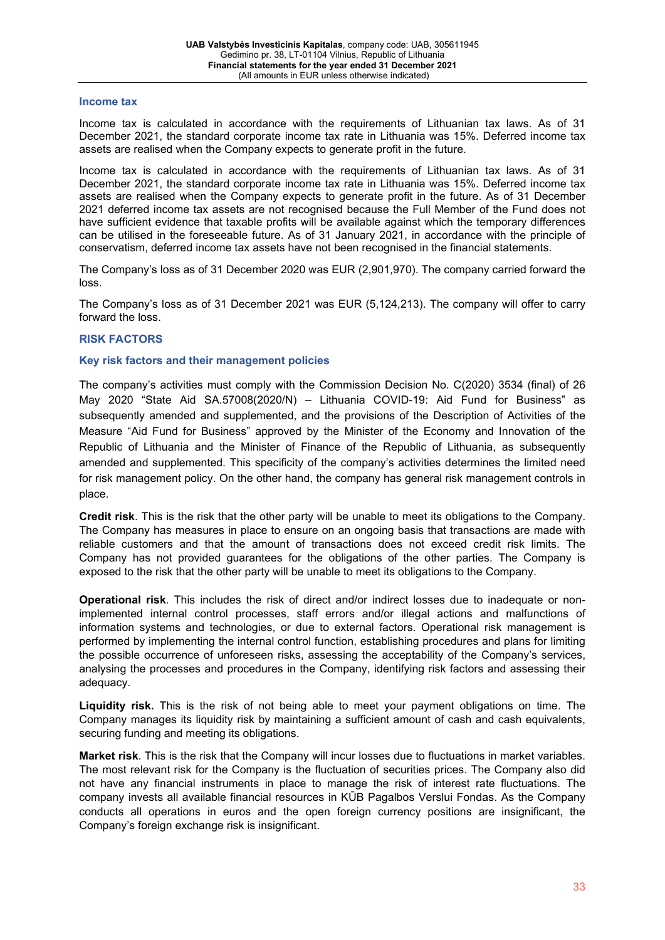#### **Income tax**

Income tax is calculated in accordance with the requirements of Lithuanian tax laws. As of 31 December 2021, the standard corporate income tax rate in Lithuania was 15%. Deferred income tax assets are realised when the Company expects to generate profit in the future.

Income tax is calculated in accordance with the requirements of Lithuanian tax laws. As of 31 December 2021, the standard corporate income tax rate in Lithuania was 15%. Deferred income tax assets are realised when the Company expects to generate profit in the future. As of 31 December 2021 deferred income tax assets are not recognised because the Full Member of the Fund does not have sufficient evidence that taxable profits will be available against which the temporary differences can be utilised in the foreseeable future. As of 31 January 2021, in accordance with the principle of conservatism, deferred income tax assets have not been recognised in the financial statements.

The Company's loss as of 31 December 2020 was EUR (2,901,970). The company carried forward the loss.

The Company's loss as of 31 December 2021 was EUR (5,124,213). The company will offer to carry forward the loss.

#### **RISK FACTORS**

# **Key risk factors and their management policies**

The company's activities must comply with the Commission Decision No. C(2020) 3534 (final) of 26 May 2020 "State Aid SA.57008(2020/N) – Lithuania COVID-19: Aid Fund for Business" as subsequently amended and supplemented, and the provisions of the Description of Activities of the Measure "Aid Fund for Business" approved by the Minister of the Economy and Innovation of the Republic of Lithuania and the Minister of Finance of the Republic of Lithuania, as subsequently amended and supplemented. This specificity of the company's activities determines the limited need for risk management policy. On the other hand, the company has general risk management controls in place.

**Credit risk**. This is the risk that the other party will be unable to meet its obligations to the Company. The Company has measures in place to ensure on an ongoing basis that transactions are made with reliable customers and that the amount of transactions does not exceed credit risk limits. The Company has not provided guarantees for the obligations of the other parties. The Company is exposed to the risk that the other party will be unable to meet its obligations to the Company.

**Operational risk**. This includes the risk of direct and/or indirect losses due to inadequate or nonimplemented internal control processes, staff errors and/or illegal actions and malfunctions of information systems and technologies, or due to external factors. Operational risk management is performed by implementing the internal control function, establishing procedures and plans for limiting the possible occurrence of unforeseen risks, assessing the acceptability of the Company's services, analysing the processes and procedures in the Company, identifying risk factors and assessing their adequacy.

**Liquidity risk.** This is the risk of not being able to meet your payment obligations on time. The Company manages its liquidity risk by maintaining a sufficient amount of cash and cash equivalents, securing funding and meeting its obligations.

**Market risk**. This is the risk that the Company will incur losses due to fluctuations in market variables. The most relevant risk for the Company is the fluctuation of securities prices. The Company also did not have any financial instruments in place to manage the risk of interest rate fluctuations. The company invests all available financial resources in KŪB Pagalbos Verslui Fondas. As the Company conducts all operations in euros and the open foreign currency positions are insignificant, the Company's foreign exchange risk is insignificant.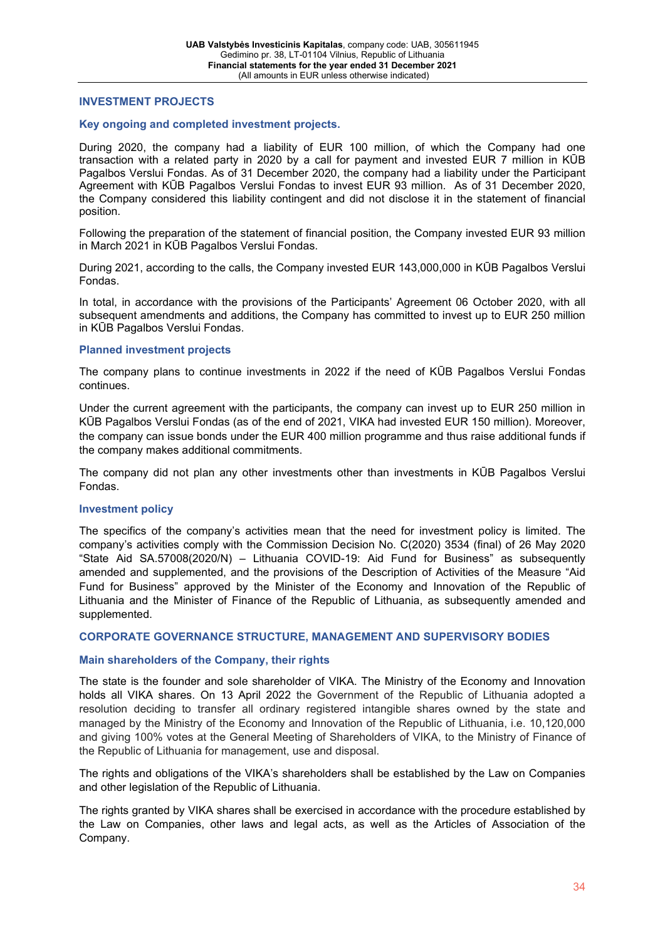#### **INVESTMENT PROJECTS**

#### **Key ongoing and completed investment projects.**

During 2020, the company had a liability of EUR 100 million, of which the Company had one transaction with a related party in 2020 by a call for payment and invested EUR 7 million in KŪB Pagalbos Verslui Fondas. As of 31 December 2020, the company had a liability under the Participant Agreement with KŪB Pagalbos Verslui Fondas to invest EUR 93 million. As of 31 December 2020, the Company considered this liability contingent and did not disclose it in the statement of financial position.

Following the preparation of the statement of financial position, the Company invested EUR 93 million in March 2021 in KŪB Pagalbos Verslui Fondas.

During 2021, according to the calls, the Company invested EUR 143,000,000 in KŪB Pagalbos Verslui Fondas.

In total, in accordance with the provisions of the Participants' Agreement 06 October 2020, with all subsequent amendments and additions, the Company has committed to invest up to EUR 250 million in KŪB Pagalbos Verslui Fondas.

#### **Planned investment projects**

The company plans to continue investments in 2022 if the need of KŪB Pagalbos Verslui Fondas continues.

Under the current agreement with the participants, the company can invest up to EUR 250 million in KŪB Pagalbos Verslui Fondas (as of the end of 2021, VIKA had invested EUR 150 million). Moreover, the company can issue bonds under the EUR 400 million programme and thus raise additional funds if the company makes additional commitments.

The company did not plan any other investments other than investments in KŪB Pagalbos Verslui Fondas.

#### **Investment policy**

The specifics of the company's activities mean that the need for investment policy is limited. The company's activities comply with the Commission Decision No. C(2020) 3534 (final) of 26 May 2020 "State Aid SA.57008(2020/N) – Lithuania COVID-19: Aid Fund for Business" as subsequently amended and supplemented, and the provisions of the Description of Activities of the Measure "Aid Fund for Business" approved by the Minister of the Economy and Innovation of the Republic of Lithuania and the Minister of Finance of the Republic of Lithuania, as subsequently amended and supplemented.

#### **CORPORATE GOVERNANCE STRUCTURE, MANAGEMENT AND SUPERVISORY BODIES**

#### **Main shareholders of the Company, their rights**

The state is the founder and sole shareholder of VIKA. The Ministry of the Economy and Innovation holds all VIKA shares. On 13 April 2022 the Government of the Republic of Lithuania adopted a resolution deciding to transfer all ordinary registered intangible shares owned by the state and managed by the Ministry of the Economy and Innovation of the Republic of Lithuania, i.e. 10,120,000 and giving 100% votes at the General Meeting of Shareholders of VIKA, to the Ministry of Finance of the Republic of Lithuania for management, use and disposal.

The rights and obligations of the VIKA's shareholders shall be established by the Law on Companies and other legislation of the Republic of Lithuania.

The rights granted by VIKA shares shall be exercised in accordance with the procedure established by the Law on Companies, other laws and legal acts, as well as the Articles of Association of the Company.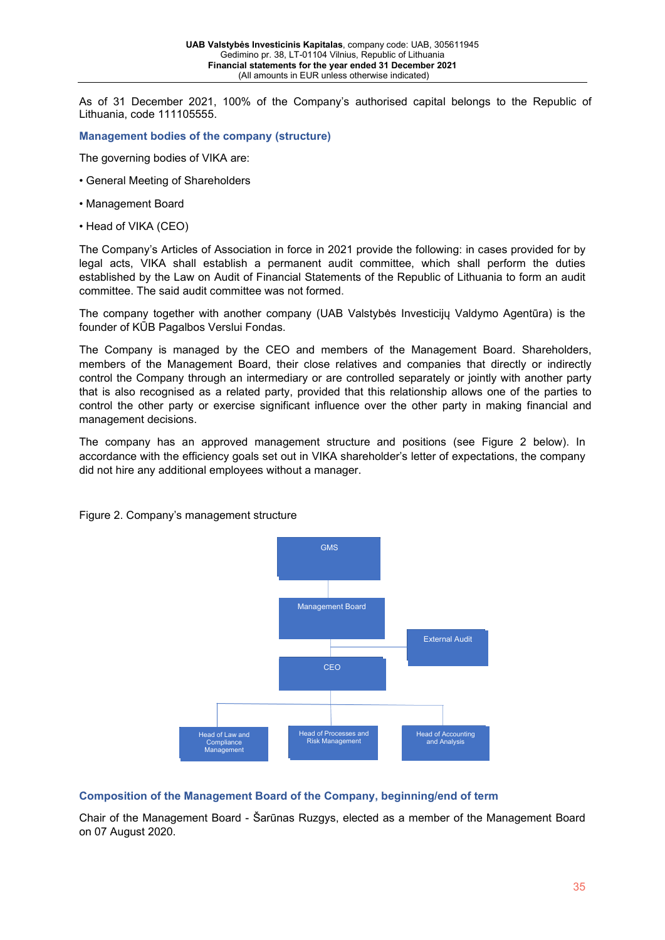As of 31 December 2021, 100% of the Company's authorised capital belongs to the Republic of Lithuania, code 111105555.

#### **Management bodies of the company (structure)**

The governing bodies of VIKA are:

- General Meeting of Shareholders
- Management Board
- Head of VIKA (CEO)

The Company's Articles of Association in force in 2021 provide the following: in cases provided for by legal acts, VIKA shall establish a permanent audit committee, which shall perform the duties established by the Law on Audit of Financial Statements of the Republic of Lithuania to form an audit committee. The said audit committee was not formed.

The company together with another company (UAB Valstybės Investicijų Valdymo Agentūra) is the founder of KŪB Pagalbos Verslui Fondas.

The Company is managed by the CEO and members of the Management Board. Shareholders, members of the Management Board, their close relatives and companies that directly or indirectly control the Company through an intermediary or are controlled separately or jointly with another party that is also recognised as a related party, provided that this relationship allows one of the parties to control the other party or exercise significant influence over the other party in making financial and management decisions.

The company has an approved management structure and positions (see Figure 2 below). In accordance with the efficiency goals set out in VIKA shareholder's letter of expectations, the company did not hire any additional employees without a manager.



#### Figure 2. Company's management structure

#### **Composition of the Management Board of the Company, beginning/end of term**

Chair of the Management Board - Šarūnas Ruzgys, elected as a member of the Management Board on 07 August 2020.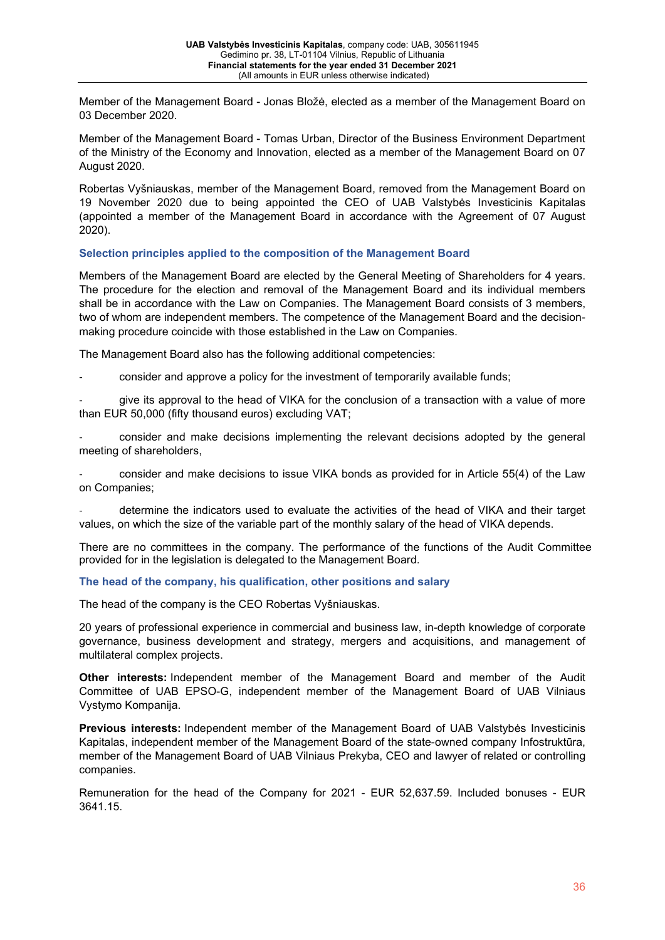Member of the Management Board - Jonas Bložė, elected as a member of the Management Board on 03 December 2020.

Member of the Management Board - Tomas Urban, Director of the Business Environment Department of the Ministry of the Economy and Innovation, elected as a member of the Management Board on 07 August 2020.

Robertas Vyšniauskas, member of the Management Board, removed from the Management Board on 19 November 2020 due to being appointed the CEO of UAB Valstybės Investicinis Kapitalas (appointed a member of the Management Board in accordance with the Agreement of 07 August 2020).

# **Selection principles applied to the composition of the Management Board**

Members of the Management Board are elected by the General Meeting of Shareholders for 4 years. The procedure for the election and removal of the Management Board and its individual members shall be in accordance with the Law on Companies. The Management Board consists of 3 members, two of whom are independent members. The competence of the Management Board and the decisionmaking procedure coincide with those established in the Law on Companies.

The Management Board also has the following additional competencies:

- consider and approve a policy for the investment of temporarily available funds;

give its approval to the head of VIKA for the conclusion of a transaction with a value of more than EUR 50,000 (fifty thousand euros) excluding VAT;

consider and make decisions implementing the relevant decisions adopted by the general meeting of shareholders,

consider and make decisions to issue VIKA bonds as provided for in Article 55(4) of the Law on Companies;

determine the indicators used to evaluate the activities of the head of VIKA and their target values, on which the size of the variable part of the monthly salary of the head of VIKA depends.

There are no committees in the company. The performance of the functions of the Audit Committee provided for in the legislation is delegated to the Management Board.

# **The head of the company, his qualification, other positions and salary**

The head of the company is the CEO Robertas Vyšniauskas.

20 years of professional experience in commercial and business law, in-depth knowledge of corporate governance, business development and strategy, mergers and acquisitions, and management of multilateral complex projects.

**Other interests:** Independent member of the Management Board and member of the Audit Committee of UAB EPSO-G, independent member of the Management Board of UAB Vilniaus Vystymo Kompanija.

**Previous interests:** Independent member of the Management Board of UAB Valstybės Investicinis Kapitalas, independent member of the Management Board of the state-owned company Infostruktūra, member of the Management Board of UAB Vilniaus Prekyba, CEO and lawyer of related or controlling companies.

Remuneration for the head of the Company for 2021 - EUR 52,637.59. Included bonuses - EUR 3641.15.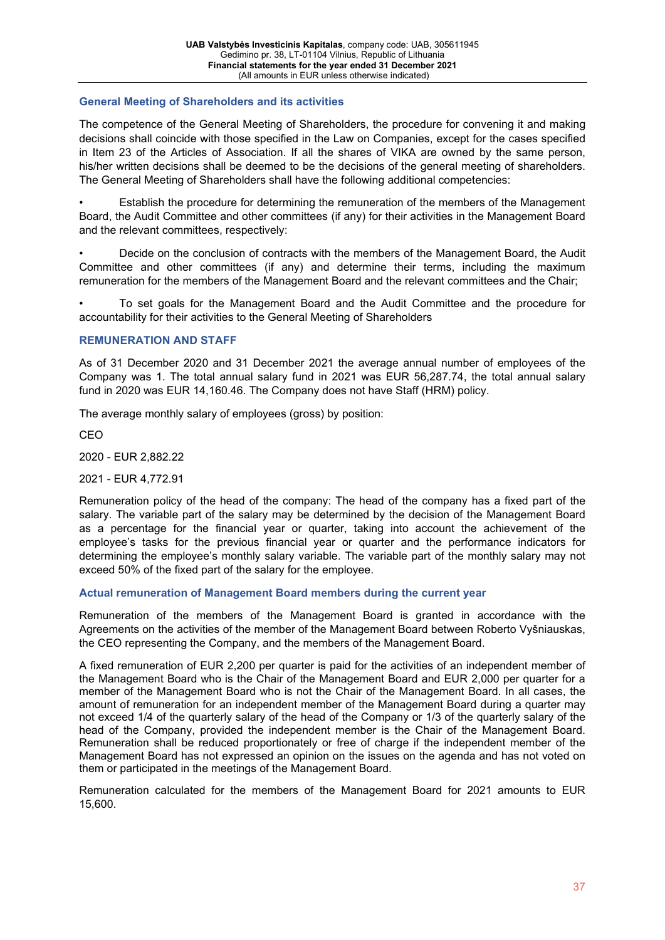#### **General Meeting of Shareholders and its activities**

The competence of the General Meeting of Shareholders, the procedure for convening it and making decisions shall coincide with those specified in the Law on Companies, except for the cases specified in Item 23 of the Articles of Association. If all the shares of VIKA are owned by the same person, his/her written decisions shall be deemed to be the decisions of the general meeting of shareholders. The General Meeting of Shareholders shall have the following additional competencies:

• Establish the procedure for determining the remuneration of the members of the Management Board, the Audit Committee and other committees (if any) for their activities in the Management Board and the relevant committees, respectively:

• Decide on the conclusion of contracts with the members of the Management Board, the Audit Committee and other committees (if any) and determine their terms, including the maximum remuneration for the members of the Management Board and the relevant committees and the Chair;

• To set goals for the Management Board and the Audit Committee and the procedure for accountability for their activities to the General Meeting of Shareholders

#### **REMUNERATION AND STAFF**

As of 31 December 2020 and 31 December 2021 the average annual number of employees of the Company was 1. The total annual salary fund in 2021 was EUR 56,287.74, the total annual salary fund in 2020 was EUR 14,160.46. The Company does not have Staff (HRM) policy.

The average monthly salary of employees (gross) by position:

CEO

2020 - EUR 2,882.22

2021 - EUR 4,772.91

Remuneration policy of the head of the company: The head of the company has a fixed part of the salary. The variable part of the salary may be determined by the decision of the Management Board as a percentage for the financial year or quarter, taking into account the achievement of the employee's tasks for the previous financial year or quarter and the performance indicators for determining the employee's monthly salary variable. The variable part of the monthly salary may not exceed 50% of the fixed part of the salary for the employee.

#### **Actual remuneration of Management Board members during the current year**

Remuneration of the members of the Management Board is granted in accordance with the Agreements on the activities of the member of the Management Board between Roberto Vyšniauskas, the CEO representing the Company, and the members of the Management Board.

A fixed remuneration of EUR 2,200 per quarter is paid for the activities of an independent member of the Management Board who is the Chair of the Management Board and EUR 2,000 per quarter for a member of the Management Board who is not the Chair of the Management Board. In all cases, the amount of remuneration for an independent member of the Management Board during a quarter may not exceed 1/4 of the quarterly salary of the head of the Company or 1/3 of the quarterly salary of the head of the Company, provided the independent member is the Chair of the Management Board. Remuneration shall be reduced proportionately or free of charge if the independent member of the Management Board has not expressed an opinion on the issues on the agenda and has not voted on them or participated in the meetings of the Management Board.

Remuneration calculated for the members of the Management Board for 2021 amounts to EUR 15,600.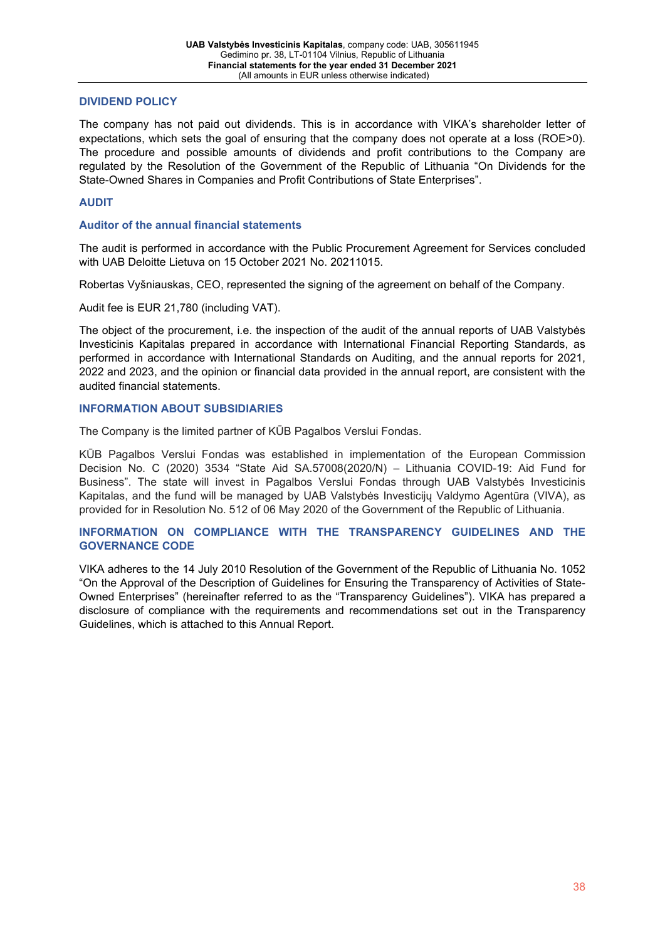# **DIVIDEND POLICY**

The company has not paid out dividends. This is in accordance with VIKA's shareholder letter of expectations, which sets the goal of ensuring that the company does not operate at a loss (ROE>0). The procedure and possible amounts of dividends and profit contributions to the Company are regulated by the Resolution of the Government of the Republic of Lithuania "On Dividends for the State-Owned Shares in Companies and Profit Contributions of State Enterprises".

# **AUDIT**

#### **Auditor of the annual financial statements**

The audit is performed in accordance with the Public Procurement Agreement for Services concluded with UAB Deloitte Lietuva on 15 October 2021 No. 20211015.

Robertas Vyšniauskas, CEO, represented the signing of the agreement on behalf of the Company.

Audit fee is EUR 21,780 (including VAT).

The object of the procurement, i.e. the inspection of the audit of the annual reports of UAB Valstybės Investicinis Kapitalas prepared in accordance with International Financial Reporting Standards, as performed in accordance with International Standards on Auditing, and the annual reports for 2021, 2022 and 2023, and the opinion or financial data provided in the annual report, are consistent with the audited financial statements.

#### **INFORMATION ABOUT SUBSIDIARIES**

The Company is the limited partner of KŪB Pagalbos Verslui Fondas.

KŪB Pagalbos Verslui Fondas was established in implementation of the European Commission Decision No. C (2020) 3534 "State Aid SA.57008(2020/N) – Lithuania COVID-19: Aid Fund for Business". The state will invest in Pagalbos Verslui Fondas through UAB Valstybės Investicinis Kapitalas, and the fund will be managed by UAB Valstybės Investicijų Valdymo Agentūra (VIVA), as provided for in Resolution No. 512 of 06 May 2020 of the Government of the Republic of Lithuania.

#### **INFORMATION ON COMPLIANCE WITH THE TRANSPARENCY GUIDELINES AND THE GOVERNANCE CODE**

VIKA adheres to the 14 July 2010 Resolution of the Government of the Republic of Lithuania No. 1052 "On the Approval of the Description of Guidelines for Ensuring the Transparency of Activities of State-Owned Enterprises" (hereinafter referred to as the "Transparency Guidelines"). VIKA has prepared a disclosure of compliance with the requirements and recommendations set out in the Transparency Guidelines, which is attached to this Annual Report.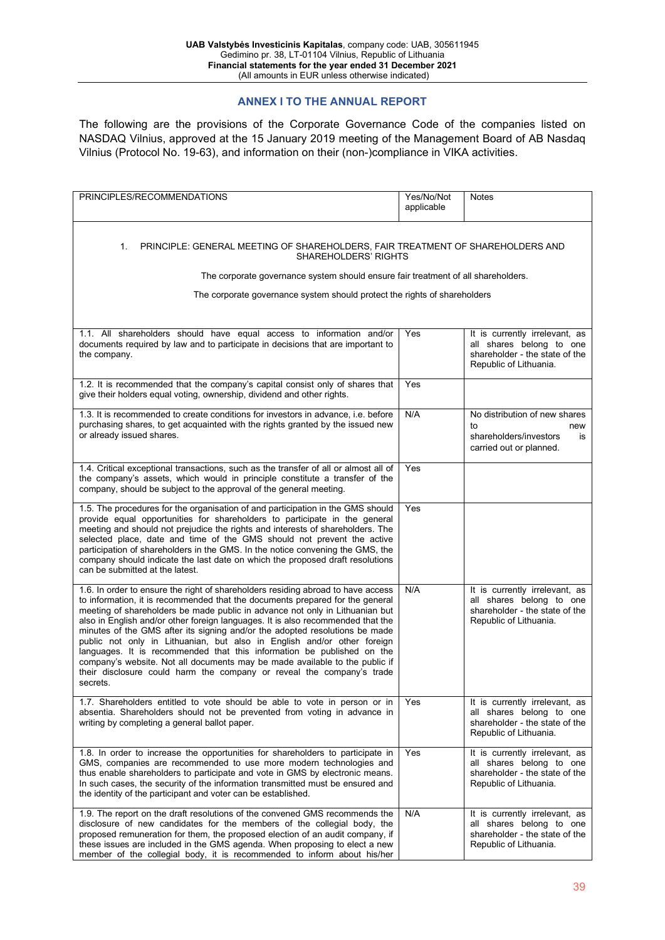#### **ANNEX I TO THE ANNUAL REPORT**

The following are the provisions of the Corporate Governance Code of the companies listed on NASDAQ Vilnius, approved at the 15 January 2019 meeting of the Management Board of AB Nasdaq Vilnius (Protocol No. 19-63), and information on their (non-)compliance in VIKA activities.

| PRINCIPLES/RECOMMENDATIONS                                                                                                                                                                                                                                                                                                                                                                                                                                                                                                                                                                                                                                                                                                                   | Yes/No/Not<br>applicable | <b>Notes</b>                                                                                                           |
|----------------------------------------------------------------------------------------------------------------------------------------------------------------------------------------------------------------------------------------------------------------------------------------------------------------------------------------------------------------------------------------------------------------------------------------------------------------------------------------------------------------------------------------------------------------------------------------------------------------------------------------------------------------------------------------------------------------------------------------------|--------------------------|------------------------------------------------------------------------------------------------------------------------|
| 1.<br>PRINCIPLE: GENERAL MEETING OF SHAREHOLDERS, FAIR TREATMENT OF SHAREHOLDERS AND<br>SHAREHOLDERS' RIGHTS<br>The corporate governance system should ensure fair treatment of all shareholders.<br>The corporate governance system should protect the rights of shareholders                                                                                                                                                                                                                                                                                                                                                                                                                                                               |                          |                                                                                                                        |
| 1.1. All shareholders should have equal access to information and/or<br>documents required by law and to participate in decisions that are important to<br>the company.                                                                                                                                                                                                                                                                                                                                                                                                                                                                                                                                                                      | Yes                      | It is currently irrelevant, as<br>all shares belong to one<br>shareholder - the state of the<br>Republic of Lithuania. |
| 1.2. It is recommended that the company's capital consist only of shares that<br>give their holders equal voting, ownership, dividend and other rights.                                                                                                                                                                                                                                                                                                                                                                                                                                                                                                                                                                                      | Yes                      |                                                                                                                        |
| 1.3. It is recommended to create conditions for investors in advance, i.e. before<br>purchasing shares, to get acquainted with the rights granted by the issued new<br>or already issued shares.                                                                                                                                                                                                                                                                                                                                                                                                                                                                                                                                             | N/A                      | No distribution of new shares<br>to<br>new<br>shareholders/investors<br>is<br>carried out or planned.                  |
| 1.4. Critical exceptional transactions, such as the transfer of all or almost all of<br>the company's assets, which would in principle constitute a transfer of the<br>company, should be subject to the approval of the general meeting.                                                                                                                                                                                                                                                                                                                                                                                                                                                                                                    | Yes                      |                                                                                                                        |
| 1.5. The procedures for the organisation of and participation in the GMS should<br>provide equal opportunities for shareholders to participate in the general<br>meeting and should not prejudice the rights and interests of shareholders. The<br>selected place, date and time of the GMS should not prevent the active<br>participation of shareholders in the GMS. In the notice convening the GMS, the<br>company should indicate the last date on which the proposed draft resolutions<br>can be submitted at the latest.                                                                                                                                                                                                              | Yes                      |                                                                                                                        |
| 1.6. In order to ensure the right of shareholders residing abroad to have access<br>to information, it is recommended that the documents prepared for the general<br>meeting of shareholders be made public in advance not only in Lithuanian but<br>also in English and/or other foreign languages. It is also recommended that the<br>minutes of the GMS after its signing and/or the adopted resolutions be made<br>public not only in Lithuanian, but also in English and/or other foreign<br>languages. It is recommended that this information be published on the<br>company's website. Not all documents may be made available to the public if<br>their disclosure could harm the company or reveal the company's trade<br>secrets. | N/A                      | It is currently irrelevant, as<br>all shares belong to one<br>shareholder - the state of the<br>Republic of Lithuania. |
| 1.7. Shareholders entitled to vote should be able to vote in person or in<br>absentia. Shareholders should not be prevented from voting in advance in<br>writing by completing a general ballot paper.                                                                                                                                                                                                                                                                                                                                                                                                                                                                                                                                       | Yes                      | It is currently irrelevant, as<br>all shares belong to one<br>shareholder - the state of the<br>Republic of Lithuania. |
| 1.8. In order to increase the opportunities for shareholders to participate in<br>GMS, companies are recommended to use more modern technologies and<br>thus enable shareholders to participate and vote in GMS by electronic means.<br>In such cases, the security of the information transmitted must be ensured and<br>the identity of the participant and voter can be established.                                                                                                                                                                                                                                                                                                                                                      | Yes                      | It is currently irrelevant, as<br>all shares belong to one<br>shareholder - the state of the<br>Republic of Lithuania. |
| 1.9. The report on the draft resolutions of the convened GMS recommends the<br>disclosure of new candidates for the members of the collegial body, the<br>proposed remuneration for them, the proposed election of an audit company, if<br>these issues are included in the GMS agenda. When proposing to elect a new<br>member of the collegial body, it is recommended to inform about his/her                                                                                                                                                                                                                                                                                                                                             | N/A                      | It is currently irrelevant, as<br>all shares belong to one<br>shareholder - the state of the<br>Republic of Lithuania. |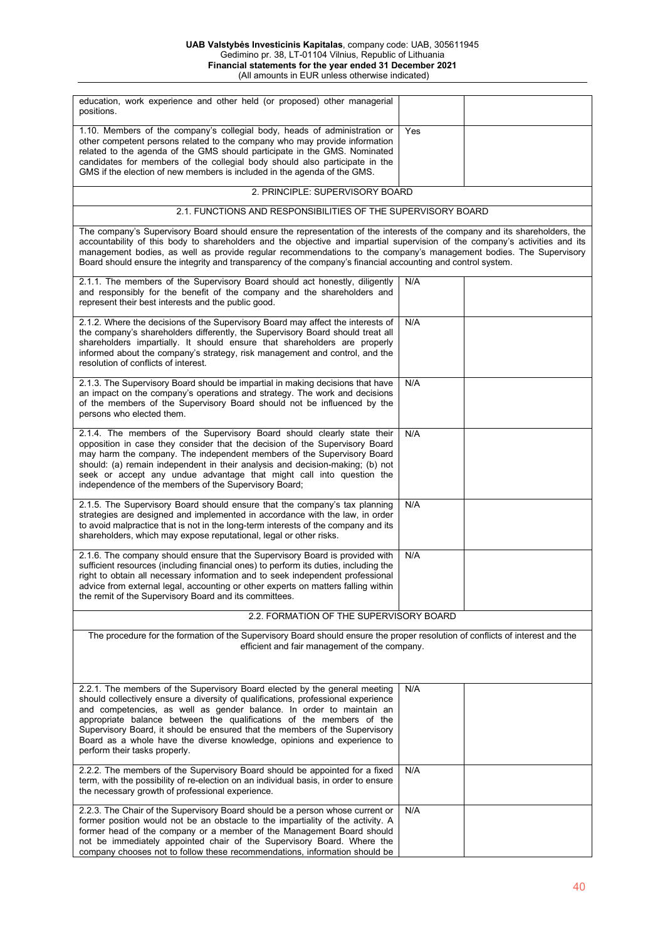#### **UAB Valstybės Investicinis Kapitalas**, company code: UAB, 305611945 Gedimino pr. 38, LT-01104 Vilnius, Republic of Lithuania **Financial statements for the year ended 31 December 2021** (All amounts in EUR unless otherwise indicated)

| education, work experience and other held (or proposed) other managerial<br>positions.                                                                                                                                                                                                                                                                                                                                                                                                                     |     |  |
|------------------------------------------------------------------------------------------------------------------------------------------------------------------------------------------------------------------------------------------------------------------------------------------------------------------------------------------------------------------------------------------------------------------------------------------------------------------------------------------------------------|-----|--|
| 1.10. Members of the company's collegial body, heads of administration or<br>other competent persons related to the company who may provide information<br>related to the agenda of the GMS should participate in the GMS. Nominated<br>candidates for members of the collegial body should also participate in the<br>GMS if the election of new members is included in the agenda of the GMS.                                                                                                            | Yes |  |
| 2. PRINCIPLE: SUPERVISORY BOARD                                                                                                                                                                                                                                                                                                                                                                                                                                                                            |     |  |
| 2.1. FUNCTIONS AND RESPONSIBILITIES OF THE SUPERVISORY BOARD                                                                                                                                                                                                                                                                                                                                                                                                                                               |     |  |
| The company's Supervisory Board should ensure the representation of the interests of the company and its shareholders, the<br>accountability of this body to shareholders and the objective and impartial supervision of the company's activities and its<br>management bodies, as well as provide regular recommendations to the company's management bodies. The Supervisory<br>Board should ensure the integrity and transparency of the company's financial accounting and control system.             |     |  |
| 2.1.1. The members of the Supervisory Board should act honestly, diligently<br>and responsibly for the benefit of the company and the shareholders and<br>represent their best interests and the public good.                                                                                                                                                                                                                                                                                              | N/A |  |
| 2.1.2. Where the decisions of the Supervisory Board may affect the interests of<br>the company's shareholders differently, the Supervisory Board should treat all<br>shareholders impartially. It should ensure that shareholders are properly<br>informed about the company's strategy, risk management and control, and the<br>resolution of conflicts of interest.                                                                                                                                      | N/A |  |
| 2.1.3. The Supervisory Board should be impartial in making decisions that have<br>an impact on the company's operations and strategy. The work and decisions<br>of the members of the Supervisory Board should not be influenced by the<br>persons who elected them.                                                                                                                                                                                                                                       | N/A |  |
| 2.1.4. The members of the Supervisory Board should clearly state their<br>opposition in case they consider that the decision of the Supervisory Board<br>may harm the company. The independent members of the Supervisory Board<br>should: (a) remain independent in their analysis and decision-making; (b) not<br>seek or accept any undue advantage that might call into question the<br>independence of the members of the Supervisory Board;                                                          | N/A |  |
| 2.1.5. The Supervisory Board should ensure that the company's tax planning<br>strategies are designed and implemented in accordance with the law, in order<br>to avoid malpractice that is not in the long-term interests of the company and its<br>shareholders, which may expose reputational, legal or other risks.                                                                                                                                                                                     | N/A |  |
| 2.1.6. The company should ensure that the Supervisory Board is provided with<br>sufficient resources (including financial ones) to perform its duties, including the<br>right to obtain all necessary information and to seek independent professional<br>advice from external legal, accounting or other experts on matters falling within<br>the remit of the Supervisory Board and its committees.                                                                                                      | N/A |  |
| 2.2. FORMATION OF THE SUPERVISORY BOARD                                                                                                                                                                                                                                                                                                                                                                                                                                                                    |     |  |
| The procedure for the formation of the Supervisory Board should ensure the proper resolution of conflicts of interest and the<br>efficient and fair management of the company.                                                                                                                                                                                                                                                                                                                             |     |  |
| 2.2.1. The members of the Supervisory Board elected by the general meeting<br>should collectively ensure a diversity of qualifications, professional experience<br>and competencies, as well as gender balance. In order to maintain an<br>appropriate balance between the qualifications of the members of the<br>Supervisory Board, it should be ensured that the members of the Supervisory<br>Board as a whole have the diverse knowledge, opinions and experience to<br>perform their tasks properly. | N/A |  |
| 2.2.2. The members of the Supervisory Board should be appointed for a fixed<br>term, with the possibility of re-election on an individual basis, in order to ensure<br>the necessary growth of professional experience.                                                                                                                                                                                                                                                                                    | N/A |  |
| 2.2.3. The Chair of the Supervisory Board should be a person whose current or<br>former position would not be an obstacle to the impartiality of the activity. A<br>former head of the company or a member of the Management Board should<br>not be immediately appointed chair of the Supervisory Board. Where the<br>company chooses not to follow these recommendations, information should be                                                                                                          | N/A |  |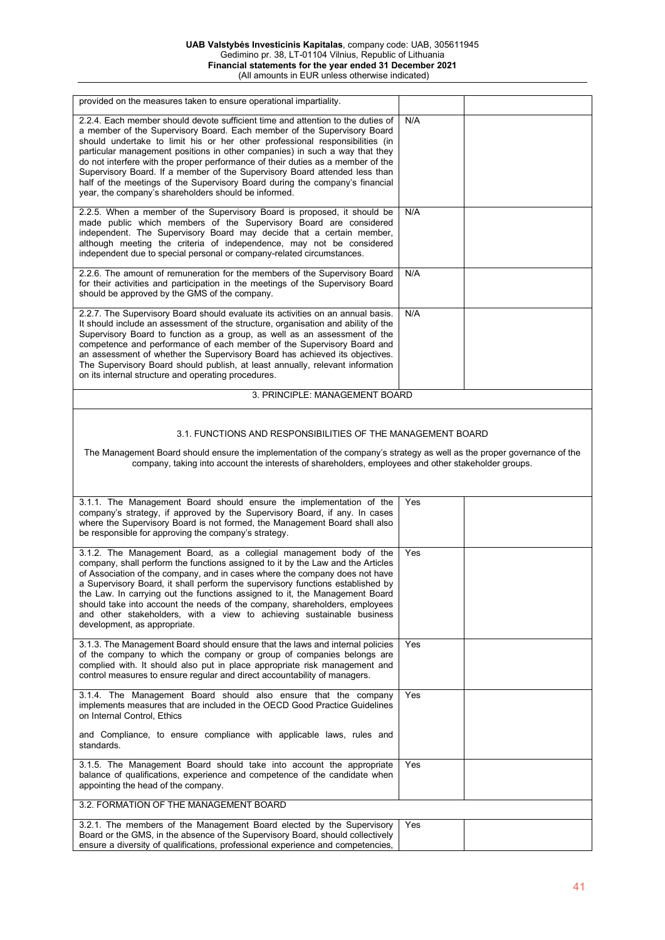| provided on the measures taken to ensure operational impartiality.                                                                                                                                                                                                                                                                                                                                                                                                                                                                                                                                                                 |     |  |
|------------------------------------------------------------------------------------------------------------------------------------------------------------------------------------------------------------------------------------------------------------------------------------------------------------------------------------------------------------------------------------------------------------------------------------------------------------------------------------------------------------------------------------------------------------------------------------------------------------------------------------|-----|--|
| 2.2.4. Each member should devote sufficient time and attention to the duties of<br>a member of the Supervisory Board. Each member of the Supervisory Board<br>should undertake to limit his or her other professional responsibilities (in<br>particular management positions in other companies) in such a way that they<br>do not interfere with the proper performance of their duties as a member of the<br>Supervisory Board. If a member of the Supervisory Board attended less than<br>half of the meetings of the Supervisory Board during the company's financial<br>year, the company's shareholders should be informed. | N/A |  |
| 2.2.5. When a member of the Supervisory Board is proposed, it should be<br>made public which members of the Supervisory Board are considered<br>independent. The Supervisory Board may decide that a certain member,<br>although meeting the criteria of independence, may not be considered<br>independent due to special personal or company-related circumstances.                                                                                                                                                                                                                                                              | N/A |  |
| 2.2.6. The amount of remuneration for the members of the Supervisory Board<br>for their activities and participation in the meetings of the Supervisory Board<br>should be approved by the GMS of the company.                                                                                                                                                                                                                                                                                                                                                                                                                     | N/A |  |
| 2.2.7. The Supervisory Board should evaluate its activities on an annual basis.<br>It should include an assessment of the structure, organisation and ability of the<br>Supervisory Board to function as a group, as well as an assessment of the<br>competence and performance of each member of the Supervisory Board and<br>an assessment of whether the Supervisory Board has achieved its objectives.<br>The Supervisory Board should publish, at least annually, relevant information<br>on its internal structure and operating procedures.                                                                                 | N/A |  |
| 3. PRINCIPLE: MANAGEMENT BOARD                                                                                                                                                                                                                                                                                                                                                                                                                                                                                                                                                                                                     |     |  |
| 3.1. FUNCTIONS AND RESPONSIBILITIES OF THE MANAGEMENT BOARD<br>The Management Board should ensure the implementation of the company's strategy as well as the proper governance of the<br>company, taking into account the interests of shareholders, employees and other stakeholder groups.                                                                                                                                                                                                                                                                                                                                      |     |  |
| 3.1.1. The Management Board should ensure the implementation of the<br>company's strategy, if approved by the Supervisory Board, if any. In cases<br>where the Supervisory Board is not formed, the Management Board shall also<br>be responsible for approving the company's strategy.                                                                                                                                                                                                                                                                                                                                            | Yes |  |
| 3.1.2. The Management Board, as a collegial management body of the<br>company, shall perform the functions assigned to it by the Law and the Articles<br>of Association of the company, and in cases where the company does not have<br>a Supervisory Board, it shall perform the supervisory functions established by<br>the Law. In carrying out the functions assigned to it, the Management Board<br>should take into account the needs of the company, shareholders, employees<br>and other stakeholders, with a view to achieving sustainable business<br>development, as appropriate.                                       | Yes |  |
| 3.1.3. The Management Board should ensure that the laws and internal policies<br>of the company to which the company or group of companies belongs are<br>complied with. It should also put in place appropriate risk management and<br>control measures to ensure regular and direct accountability of managers.                                                                                                                                                                                                                                                                                                                  | Yes |  |
| 3.1.4. The Management Board should also ensure that the company<br>implements measures that are included in the OECD Good Practice Guidelines<br>on Internal Control, Ethics                                                                                                                                                                                                                                                                                                                                                                                                                                                       | Yes |  |
| and Compliance, to ensure compliance with applicable laws, rules and<br>standards.                                                                                                                                                                                                                                                                                                                                                                                                                                                                                                                                                 |     |  |
| 3.1.5. The Management Board should take into account the appropriate<br>balance of qualifications, experience and competence of the candidate when<br>appointing the head of the company.                                                                                                                                                                                                                                                                                                                                                                                                                                          | Yes |  |
| 3.2. FORMATION OF THE MANAGEMENT BOARD                                                                                                                                                                                                                                                                                                                                                                                                                                                                                                                                                                                             |     |  |
| 3.2.1. The members of the Management Board elected by the Supervisory<br>Board or the GMS, in the absence of the Supervisory Board, should collectively<br>ensure a diversity of qualifications, professional experience and competencies,                                                                                                                                                                                                                                                                                                                                                                                         | Yes |  |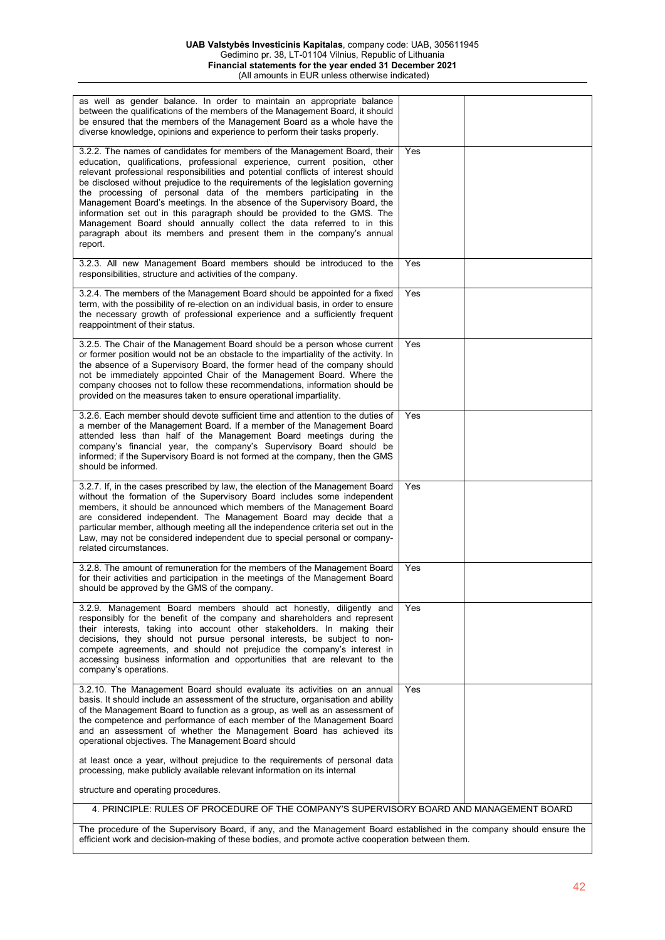#### **UAB Valstybės Investicinis Kapitalas**, company code: UAB, 305611945 Gedimino pr. 38, LT-01104 Vilnius, Republic of Lithuania **Financial statements for the year ended 31 December 2021** (All amounts in EUR unless otherwise indicated)

| as well as gender balance. In order to maintain an appropriate balance<br>between the qualifications of the members of the Management Board, it should<br>be ensured that the members of the Management Board as a whole have the<br>diverse knowledge, opinions and experience to perform their tasks properly.                                                                                                                                                                                                                                                                                                                                                                                                             |     |  |
|------------------------------------------------------------------------------------------------------------------------------------------------------------------------------------------------------------------------------------------------------------------------------------------------------------------------------------------------------------------------------------------------------------------------------------------------------------------------------------------------------------------------------------------------------------------------------------------------------------------------------------------------------------------------------------------------------------------------------|-----|--|
| 3.2.2. The names of candidates for members of the Management Board, their<br>education, qualifications, professional experience, current position, other<br>relevant professional responsibilities and potential conflicts of interest should<br>be disclosed without prejudice to the requirements of the legislation governing<br>the processing of personal data of the members participating in the<br>Management Board's meetings. In the absence of the Supervisory Board, the<br>information set out in this paragraph should be provided to the GMS. The<br>Management Board should annually collect the data referred to in this<br>paragraph about its members and present them in the company's annual<br>report. | Yes |  |
| 3.2.3. All new Management Board members should be introduced to the<br>responsibilities, structure and activities of the company.                                                                                                                                                                                                                                                                                                                                                                                                                                                                                                                                                                                            | Yes |  |
| 3.2.4. The members of the Management Board should be appointed for a fixed<br>term, with the possibility of re-election on an individual basis, in order to ensure<br>the necessary growth of professional experience and a sufficiently frequent<br>reappointment of their status.                                                                                                                                                                                                                                                                                                                                                                                                                                          | Yes |  |
| 3.2.5. The Chair of the Management Board should be a person whose current<br>or former position would not be an obstacle to the impartiality of the activity. In<br>the absence of a Supervisory Board, the former head of the company should<br>not be immediately appointed Chair of the Management Board. Where the<br>company chooses not to follow these recommendations, information should be<br>provided on the measures taken to ensure operational impartiality.                                                                                                                                                                                                                                                   | Yes |  |
| 3.2.6. Each member should devote sufficient time and attention to the duties of<br>a member of the Management Board. If a member of the Management Board<br>attended less than half of the Management Board meetings during the<br>company's financial year, the company's Supervisory Board should be<br>informed; if the Supervisory Board is not formed at the company, then the GMS<br>should be informed.                                                                                                                                                                                                                                                                                                               | Yes |  |
| 3.2.7. If, in the cases prescribed by law, the election of the Management Board<br>without the formation of the Supervisory Board includes some independent<br>members, it should be announced which members of the Management Board<br>are considered independent. The Management Board may decide that a<br>particular member, although meeting all the independence criteria set out in the<br>Law, may not be considered independent due to special personal or company-<br>related circumstances.                                                                                                                                                                                                                       | Yes |  |
| 3.2.8. The amount of remuneration for the members of the Management Board<br>for their activities and participation in the meetings of the Management Board<br>should be approved by the GMS of the company.                                                                                                                                                                                                                                                                                                                                                                                                                                                                                                                 | Yes |  |
| 3.2.9. Management Board members should act honestly, diligently and<br>responsibly for the benefit of the company and shareholders and represent<br>their interests, taking into account other stakeholders. In making their<br>decisions, they should not pursue personal interests, be subject to non-<br>compete agreements, and should not prejudice the company's interest in<br>accessing business information and opportunities that are relevant to the<br>company's operations.                                                                                                                                                                                                                                     | Yes |  |
| 3.2.10. The Management Board should evaluate its activities on an annual<br>basis. It should include an assessment of the structure, organisation and ability<br>of the Management Board to function as a group, as well as an assessment of<br>the competence and performance of each member of the Management Board<br>and an assessment of whether the Management Board has achieved its<br>operational objectives. The Management Board should                                                                                                                                                                                                                                                                           | Yes |  |
| at least once a year, without prejudice to the requirements of personal data<br>processing, make publicly available relevant information on its internal                                                                                                                                                                                                                                                                                                                                                                                                                                                                                                                                                                     |     |  |
| structure and operating procedures.                                                                                                                                                                                                                                                                                                                                                                                                                                                                                                                                                                                                                                                                                          |     |  |
| 4. PRINCIPLE: RULES OF PROCEDURE OF THE COMPANY'S SUPERVISORY BOARD AND MANAGEMENT BOARD                                                                                                                                                                                                                                                                                                                                                                                                                                                                                                                                                                                                                                     |     |  |
| The procedure of the Supervisory Board, if any, and the Management Board established in the company should ensure the<br>efficient work and decision-making of these bodies, and promote active cooperation between them.                                                                                                                                                                                                                                                                                                                                                                                                                                                                                                    |     |  |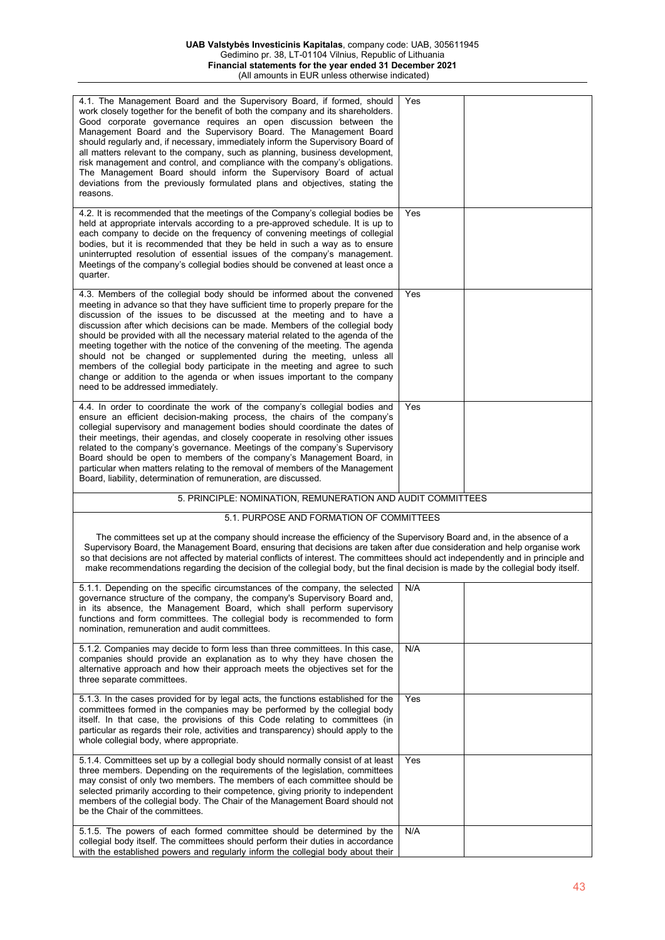| 4.1. The Management Board and the Supervisory Board, if formed, should<br>work closely together for the benefit of both the company and its shareholders.<br>Good corporate governance requires an open discussion between the<br>Management Board and the Supervisory Board. The Management Board<br>should regularly and, if necessary, immediately inform the Supervisory Board of<br>all matters relevant to the company, such as planning, business development,<br>risk management and control, and compliance with the company's obligations.<br>The Management Board should inform the Supervisory Board of actual<br>deviations from the previously formulated plans and objectives, stating the<br>reasons.                                          | Yes |  |
|----------------------------------------------------------------------------------------------------------------------------------------------------------------------------------------------------------------------------------------------------------------------------------------------------------------------------------------------------------------------------------------------------------------------------------------------------------------------------------------------------------------------------------------------------------------------------------------------------------------------------------------------------------------------------------------------------------------------------------------------------------------|-----|--|
| 4.2. It is recommended that the meetings of the Company's collegial bodies be<br>held at appropriate intervals according to a pre-approved schedule. It is up to<br>each company to decide on the frequency of convening meetings of collegial<br>bodies, but it is recommended that they be held in such a way as to ensure<br>uninterrupted resolution of essential issues of the company's management.<br>Meetings of the company's collegial bodies should be convened at least once a<br>quarter.                                                                                                                                                                                                                                                         | Yes |  |
| 4.3. Members of the collegial body should be informed about the convened<br>meeting in advance so that they have sufficient time to properly prepare for the<br>discussion of the issues to be discussed at the meeting and to have a<br>discussion after which decisions can be made. Members of the collegial body<br>should be provided with all the necessary material related to the agenda of the<br>meeting together with the notice of the convening of the meeting. The agenda<br>should not be changed or supplemented during the meeting, unless all<br>members of the collegial body participate in the meeting and agree to such<br>change or addition to the agenda or when issues important to the company<br>need to be addressed immediately. | Yes |  |
| 4.4. In order to coordinate the work of the company's collegial bodies and<br>ensure an efficient decision-making process, the chairs of the company's<br>collegial supervisory and management bodies should coordinate the dates of<br>their meetings, their agendas, and closely cooperate in resolving other issues<br>related to the company's governance. Meetings of the company's Supervisory<br>Board should be open to members of the company's Management Board, in<br>particular when matters relating to the removal of members of the Management<br>Board, liability, determination of remuneration, are discussed.                                                                                                                               | Yes |  |
| 5. PRINCIPLE: NOMINATION, REMUNERATION AND AUDIT COMMITTEES                                                                                                                                                                                                                                                                                                                                                                                                                                                                                                                                                                                                                                                                                                    |     |  |
| 5.1. PURPOSE AND FORMATION OF COMMITTEES                                                                                                                                                                                                                                                                                                                                                                                                                                                                                                                                                                                                                                                                                                                       |     |  |
| The committees set up at the company should increase the efficiency of the Supervisory Board and, in the absence of a<br>Supervisory Board, the Management Board, ensuring that decisions are taken after due consideration and help organise work<br>so that decisions are not affected by material conflicts of interest. The committees should act independently and in principle and<br>make recommendations regarding the decision of the collegial body, but the final decision is made by the collegial body itself.                                                                                                                                                                                                                                    |     |  |
| 5.1.1. Depending on the specific circumstances of the company, the selected  <br>governance structure of the company, the company's Supervisory Board and,<br>in its absence, the Management Board, which shall perform supervisory<br>functions and form committees. The collegial body is recommended to form<br>nomination, remuneration and audit committees.                                                                                                                                                                                                                                                                                                                                                                                              | N/A |  |
| 5.1.2. Companies may decide to form less than three committees. In this case,<br>companies should provide an explanation as to why they have chosen the<br>alternative approach and how their approach meets the objectives set for the<br>three separate committees.                                                                                                                                                                                                                                                                                                                                                                                                                                                                                          | N/A |  |
| 5.1.3. In the cases provided for by legal acts, the functions established for the<br>committees formed in the companies may be performed by the collegial body<br>itself. In that case, the provisions of this Code relating to committees (in<br>particular as regards their role, activities and transparency) should apply to the<br>whole collegial body, where appropriate.                                                                                                                                                                                                                                                                                                                                                                               | Yes |  |
| 5.1.4. Committees set up by a collegial body should normally consist of at least<br>three members. Depending on the requirements of the legislation, committees<br>may consist of only two members. The members of each committee should be<br>selected primarily according to their competence, giving priority to independent<br>members of the collegial body. The Chair of the Management Board should not<br>be the Chair of the committees.                                                                                                                                                                                                                                                                                                              | Yes |  |
| 5.1.5. The powers of each formed committee should be determined by the<br>collegial body itself. The committees should perform their duties in accordance<br>with the established powers and regularly inform the collegial body about their                                                                                                                                                                                                                                                                                                                                                                                                                                                                                                                   | N/A |  |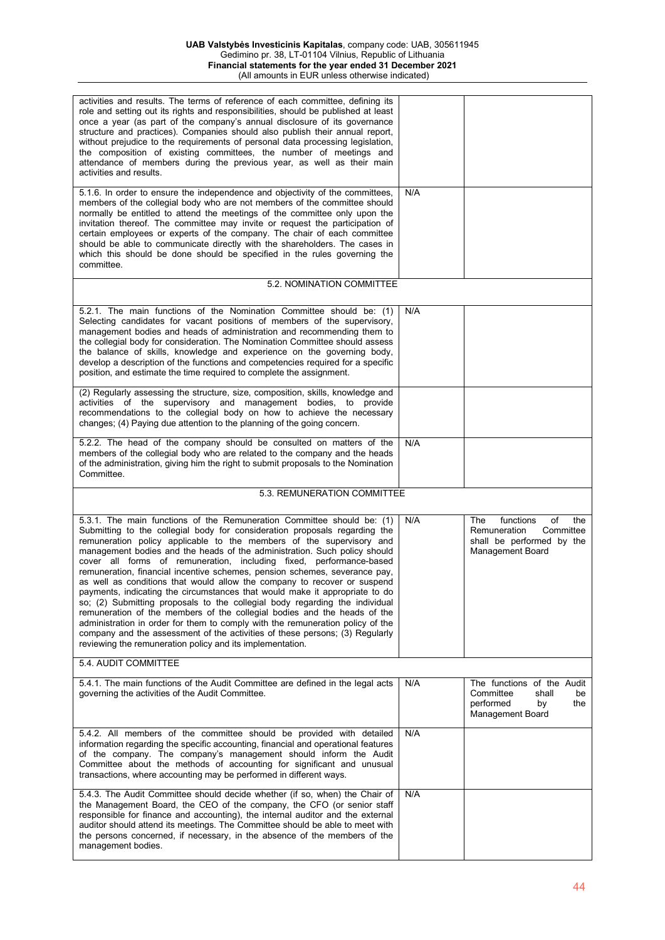| activities and results. The terms of reference of each committee, defining its<br>role and setting out its rights and responsibilities, should be published at least<br>once a year (as part of the company's annual disclosure of its governance<br>structure and practices). Companies should also publish their annual report,<br>without prejudice to the requirements of personal data processing legislation,<br>the composition of existing committees, the number of meetings and<br>attendance of members during the previous year, as well as their main<br>activities and results.                                                                                                                                                                                                                                                                                                                                                                                                                       |     |                                                                                                             |
|---------------------------------------------------------------------------------------------------------------------------------------------------------------------------------------------------------------------------------------------------------------------------------------------------------------------------------------------------------------------------------------------------------------------------------------------------------------------------------------------------------------------------------------------------------------------------------------------------------------------------------------------------------------------------------------------------------------------------------------------------------------------------------------------------------------------------------------------------------------------------------------------------------------------------------------------------------------------------------------------------------------------|-----|-------------------------------------------------------------------------------------------------------------|
| 5.1.6. In order to ensure the independence and objectivity of the committees,<br>members of the collegial body who are not members of the committee should<br>normally be entitled to attend the meetings of the committee only upon the<br>invitation thereof. The committee may invite or request the participation of<br>certain employees or experts of the company. The chair of each committee<br>should be able to communicate directly with the shareholders. The cases in<br>which this should be done should be specified in the rules governing the<br>committee.                                                                                                                                                                                                                                                                                                                                                                                                                                        | N/A |                                                                                                             |
| 5.2. NOMINATION COMMITTEE                                                                                                                                                                                                                                                                                                                                                                                                                                                                                                                                                                                                                                                                                                                                                                                                                                                                                                                                                                                           |     |                                                                                                             |
| 5.2.1. The main functions of the Nomination Committee should be: (1)<br>Selecting candidates for vacant positions of members of the supervisory,<br>management bodies and heads of administration and recommending them to<br>the collegial body for consideration. The Nomination Committee should assess<br>the balance of skills, knowledge and experience on the governing body,<br>develop a description of the functions and competencies required for a specific<br>position, and estimate the time required to complete the assignment.                                                                                                                                                                                                                                                                                                                                                                                                                                                                     | N/A |                                                                                                             |
| (2) Regularly assessing the structure, size, composition, skills, knowledge and<br>activities of the supervisory and management bodies, to provide<br>recommendations to the collegial body on how to achieve the necessary<br>changes; (4) Paying due attention to the planning of the going concern.                                                                                                                                                                                                                                                                                                                                                                                                                                                                                                                                                                                                                                                                                                              |     |                                                                                                             |
| 5.2.2. The head of the company should be consulted on matters of the<br>members of the collegial body who are related to the company and the heads<br>of the administration, giving him the right to submit proposals to the Nomination<br>Committee.                                                                                                                                                                                                                                                                                                                                                                                                                                                                                                                                                                                                                                                                                                                                                               | N/A |                                                                                                             |
| 5.3. REMUNERATION COMMITTEE                                                                                                                                                                                                                                                                                                                                                                                                                                                                                                                                                                                                                                                                                                                                                                                                                                                                                                                                                                                         |     |                                                                                                             |
| 5.3.1. The main functions of the Remuneration Committee should be: (1)<br>Submitting to the collegial body for consideration proposals regarding the<br>remuneration policy applicable to the members of the supervisory and<br>management bodies and the heads of the administration. Such policy should<br>cover all forms of remuneration, including fixed, performance-based<br>remuneration, financial incentive schemes, pension schemes, severance pay,<br>as well as conditions that would allow the company to recover or suspend<br>payments, indicating the circumstances that would make it appropriate to do<br>so; (2) Submitting proposals to the collegial body regarding the individual<br>remuneration of the members of the collegial bodies and the heads of the<br>administration in order for them to comply with the remuneration policy of the<br>company and the assessment of the activities of these persons; (3) Regularly<br>reviewing the remuneration policy and its implementation. | N/A | functions<br>of<br>the<br>The<br>Remuneration<br>Committee<br>shall be performed by the<br>Management Board |
| 5.4. AUDIT COMMITTEE                                                                                                                                                                                                                                                                                                                                                                                                                                                                                                                                                                                                                                                                                                                                                                                                                                                                                                                                                                                                |     |                                                                                                             |
| 5.4.1. The main functions of the Audit Committee are defined in the legal acts<br>governing the activities of the Audit Committee.                                                                                                                                                                                                                                                                                                                                                                                                                                                                                                                                                                                                                                                                                                                                                                                                                                                                                  | N/A | The functions of the Audit<br>Committee<br>shall<br>be<br>performed<br>by<br>the<br>Management Board        |
| 5.4.2. All members of the committee should be provided with detailed<br>information regarding the specific accounting, financial and operational features<br>of the company. The company's management should inform the Audit<br>Committee about the methods of accounting for significant and unusual<br>transactions, where accounting may be performed in different ways.                                                                                                                                                                                                                                                                                                                                                                                                                                                                                                                                                                                                                                        | N/A |                                                                                                             |
| 5.4.3. The Audit Committee should decide whether (if so, when) the Chair of<br>the Management Board, the CEO of the company, the CFO (or senior staff<br>responsible for finance and accounting), the internal auditor and the external<br>auditor should attend its meetings. The Committee should be able to meet with<br>the persons concerned, if necessary, in the absence of the members of the<br>management bodies.                                                                                                                                                                                                                                                                                                                                                                                                                                                                                                                                                                                         | N/A |                                                                                                             |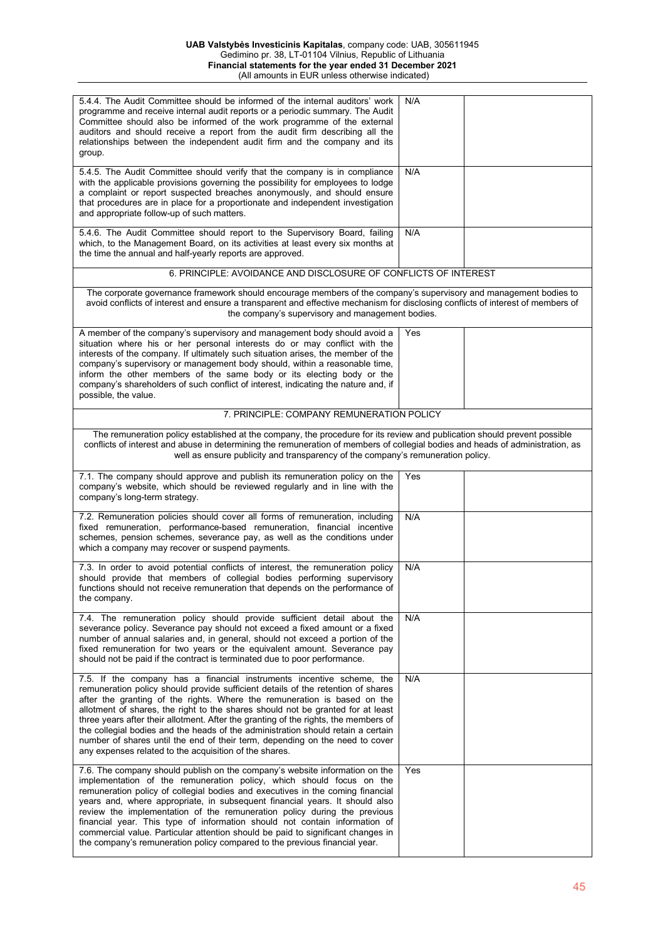| 5.4.4. The Audit Committee should be informed of the internal auditors' work<br>programme and receive internal audit reports or a periodic summary. The Audit<br>Committee should also be informed of the work programme of the external<br>auditors and should receive a report from the audit firm describing all the<br>relationships between the independent audit firm and the company and its<br>group.                                                                                                                                                                                                                                   | N/A |  |
|-------------------------------------------------------------------------------------------------------------------------------------------------------------------------------------------------------------------------------------------------------------------------------------------------------------------------------------------------------------------------------------------------------------------------------------------------------------------------------------------------------------------------------------------------------------------------------------------------------------------------------------------------|-----|--|
| 5.4.5. The Audit Committee should verify that the company is in compliance<br>with the applicable provisions governing the possibility for employees to lodge<br>a complaint or report suspected breaches anonymously, and should ensure<br>that procedures are in place for a proportionate and independent investigation<br>and appropriate follow-up of such matters.                                                                                                                                                                                                                                                                        | N/A |  |
| 5.4.6. The Audit Committee should report to the Supervisory Board, failing<br>which, to the Management Board, on its activities at least every six months at<br>the time the annual and half-yearly reports are approved.                                                                                                                                                                                                                                                                                                                                                                                                                       | N/A |  |
| 6. PRINCIPLE: AVOIDANCE AND DISCLOSURE OF CONFLICTS OF INTEREST                                                                                                                                                                                                                                                                                                                                                                                                                                                                                                                                                                                 |     |  |
| The corporate governance framework should encourage members of the company's supervisory and management bodies to<br>avoid conflicts of interest and ensure a transparent and effective mechanism for disclosing conflicts of interest of members of<br>the company's supervisory and management bodies.                                                                                                                                                                                                                                                                                                                                        |     |  |
| A member of the company's supervisory and management body should avoid a<br>situation where his or her personal interests do or may conflict with the<br>interests of the company. If ultimately such situation arises, the member of the<br>company's supervisory or management body should, within a reasonable time,<br>inform the other members of the same body or its electing body or the<br>company's shareholders of such conflict of interest, indicating the nature and, if<br>possible, the value.                                                                                                                                  | Yes |  |
| 7. PRINCIPLE: COMPANY REMUNERATION POLICY                                                                                                                                                                                                                                                                                                                                                                                                                                                                                                                                                                                                       |     |  |
| The remuneration policy established at the company, the procedure for its review and publication should prevent possible<br>conflicts of interest and abuse in determining the remuneration of members of collegial bodies and heads of administration, as<br>well as ensure publicity and transparency of the company's remuneration policy.                                                                                                                                                                                                                                                                                                   |     |  |
| 7.1. The company should approve and publish its remuneration policy on the<br>company's website, which should be reviewed regularly and in line with the<br>company's long-term strategy.                                                                                                                                                                                                                                                                                                                                                                                                                                                       | Yes |  |
| 7.2. Remuneration policies should cover all forms of remuneration, including<br>fixed remuneration, performance-based remuneration, financial incentive<br>schemes, pension schemes, severance pay, as well as the conditions under<br>which a company may recover or suspend payments.                                                                                                                                                                                                                                                                                                                                                         | N/A |  |
| 7.3. In order to avoid potential conflicts of interest, the remuneration policy<br>should provide that members of collegial bodies performing supervisory<br>functions should not receive remuneration that depends on the performance of<br>the company.                                                                                                                                                                                                                                                                                                                                                                                       | N/A |  |
| 7.4. The remuneration policy should provide sufficient detail about the<br>severance policy. Severance pay should not exceed a fixed amount or a fixed<br>number of annual salaries and, in general, should not exceed a portion of the<br>fixed remuneration for two years or the equivalent amount. Severance pay<br>should not be paid if the contract is terminated due to poor performance.                                                                                                                                                                                                                                                | N/A |  |
| 7.5. If the company has a financial instruments incentive scheme, the<br>remuneration policy should provide sufficient details of the retention of shares<br>after the granting of the rights. Where the remuneration is based on the<br>allotment of shares, the right to the shares should not be granted for at least<br>three years after their allotment. After the granting of the rights, the members of<br>the collegial bodies and the heads of the administration should retain a certain<br>number of shares until the end of their term, depending on the need to cover<br>any expenses related to the acquisition of the shares.   | N/A |  |
| 7.6. The company should publish on the company's website information on the<br>implementation of the remuneration policy, which should focus on the<br>remuneration policy of collegial bodies and executives in the coming financial<br>years and, where appropriate, in subsequent financial years. It should also<br>review the implementation of the remuneration policy during the previous<br>financial year. This type of information should not contain information of<br>commercial value. Particular attention should be paid to significant changes in<br>the company's remuneration policy compared to the previous financial year. | Yes |  |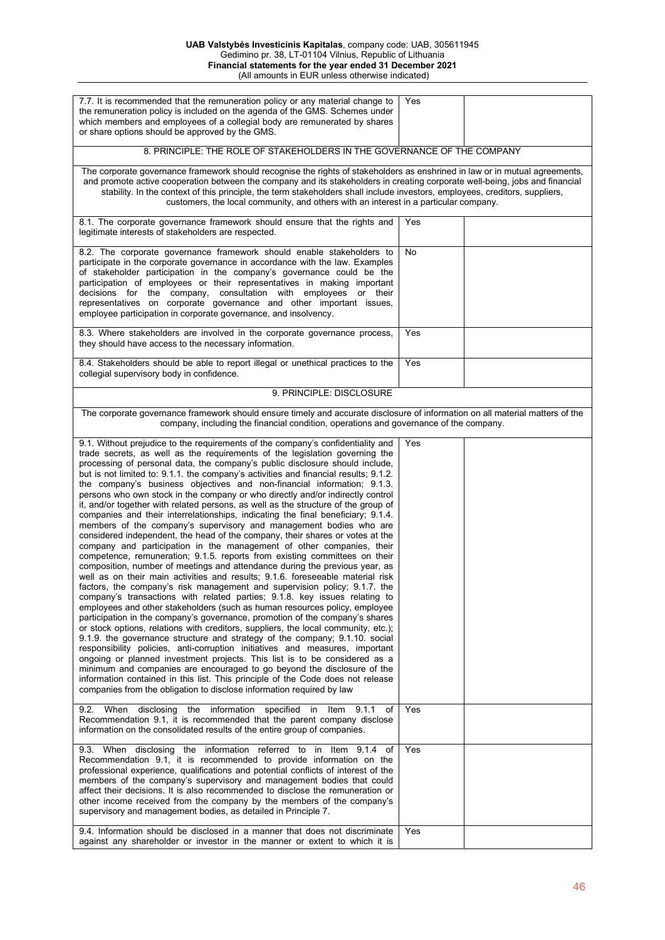| 7.7. It is recommended that the remuneration policy or any material change to<br>the remuneration policy is included on the agenda of the GMS. Schemes under<br>which members and employees of a collegial body are remunerated by shares<br>or share options should be approved by the GMS.                                                                                                                                                                                                                                                                                                                                                                                                                                                                                                                                                                                                                                                                                                                                                                                                                                                                                                                                                                                                                                                                                                                                                                                                                                                                                                                                                                                                                                                                                                                                                                                                                                                                                                                                                                    | Yes |  |
|-----------------------------------------------------------------------------------------------------------------------------------------------------------------------------------------------------------------------------------------------------------------------------------------------------------------------------------------------------------------------------------------------------------------------------------------------------------------------------------------------------------------------------------------------------------------------------------------------------------------------------------------------------------------------------------------------------------------------------------------------------------------------------------------------------------------------------------------------------------------------------------------------------------------------------------------------------------------------------------------------------------------------------------------------------------------------------------------------------------------------------------------------------------------------------------------------------------------------------------------------------------------------------------------------------------------------------------------------------------------------------------------------------------------------------------------------------------------------------------------------------------------------------------------------------------------------------------------------------------------------------------------------------------------------------------------------------------------------------------------------------------------------------------------------------------------------------------------------------------------------------------------------------------------------------------------------------------------------------------------------------------------------------------------------------------------|-----|--|
| 8. PRINCIPLE: THE ROLE OF STAKEHOLDERS IN THE GOVERNANCE OF THE COMPANY                                                                                                                                                                                                                                                                                                                                                                                                                                                                                                                                                                                                                                                                                                                                                                                                                                                                                                                                                                                                                                                                                                                                                                                                                                                                                                                                                                                                                                                                                                                                                                                                                                                                                                                                                                                                                                                                                                                                                                                         |     |  |
| The corporate governance framework should recognise the rights of stakeholders as enshrined in law or in mutual agreements,<br>and promote active cooperation between the company and its stakeholders in creating corporate well-being, jobs and financial<br>stability. In the context of this principle, the term stakeholders shall include investors, employees, creditors, suppliers,<br>customers, the local community, and others with an interest in a particular company.                                                                                                                                                                                                                                                                                                                                                                                                                                                                                                                                                                                                                                                                                                                                                                                                                                                                                                                                                                                                                                                                                                                                                                                                                                                                                                                                                                                                                                                                                                                                                                             |     |  |
| 8.1. The corporate governance framework should ensure that the rights and<br>legitimate interests of stakeholders are respected.                                                                                                                                                                                                                                                                                                                                                                                                                                                                                                                                                                                                                                                                                                                                                                                                                                                                                                                                                                                                                                                                                                                                                                                                                                                                                                                                                                                                                                                                                                                                                                                                                                                                                                                                                                                                                                                                                                                                | Yes |  |
| 8.2. The corporate governance framework should enable stakeholders to<br>participate in the corporate governance in accordance with the law. Examples<br>of stakeholder participation in the company's governance could be the<br>participation of employees or their representatives in making important<br>decisions for the company, consultation with employees or their<br>representatives on corporate governance and other important issues,<br>employee participation in corporate governance, and insolvency.                                                                                                                                                                                                                                                                                                                                                                                                                                                                                                                                                                                                                                                                                                                                                                                                                                                                                                                                                                                                                                                                                                                                                                                                                                                                                                                                                                                                                                                                                                                                          | No  |  |
| 8.3. Where stakeholders are involved in the corporate governance process,<br>they should have access to the necessary information.                                                                                                                                                                                                                                                                                                                                                                                                                                                                                                                                                                                                                                                                                                                                                                                                                                                                                                                                                                                                                                                                                                                                                                                                                                                                                                                                                                                                                                                                                                                                                                                                                                                                                                                                                                                                                                                                                                                              | Yes |  |
| 8.4. Stakeholders should be able to report illegal or unethical practices to the<br>collegial supervisory body in confidence.                                                                                                                                                                                                                                                                                                                                                                                                                                                                                                                                                                                                                                                                                                                                                                                                                                                                                                                                                                                                                                                                                                                                                                                                                                                                                                                                                                                                                                                                                                                                                                                                                                                                                                                                                                                                                                                                                                                                   | Yes |  |
| 9. PRINCIPLE: DISCLOSURE                                                                                                                                                                                                                                                                                                                                                                                                                                                                                                                                                                                                                                                                                                                                                                                                                                                                                                                                                                                                                                                                                                                                                                                                                                                                                                                                                                                                                                                                                                                                                                                                                                                                                                                                                                                                                                                                                                                                                                                                                                        |     |  |
| The corporate governance framework should ensure timely and accurate disclosure of information on all material matters of the<br>company, including the financial condition, operations and governance of the company.                                                                                                                                                                                                                                                                                                                                                                                                                                                                                                                                                                                                                                                                                                                                                                                                                                                                                                                                                                                                                                                                                                                                                                                                                                                                                                                                                                                                                                                                                                                                                                                                                                                                                                                                                                                                                                          |     |  |
| 9.1. Without prejudice to the requirements of the company's confidentiality and<br>trade secrets, as well as the requirements of the legislation governing the<br>processing of personal data, the company's public disclosure should include,<br>but is not limited to: 9.1.1. the company's activities and financial results; 9.1.2.<br>the company's business objectives and non-financial information; 9.1.3.<br>persons who own stock in the company or who directly and/or indirectly control<br>it, and/or together with related persons, as well as the structure of the group of<br>companies and their interrelationships, indicating the final beneficiary; 9.1.4.<br>members of the company's supervisory and management bodies who are<br>considered independent, the head of the company, their shares or votes at the<br>company and participation in the management of other companies, their<br>competence, remuneration; 9.1.5. reports from existing committees on their<br>composition, number of meetings and attendance during the previous year, as<br>well as on their main activities and results; 9.1.6. foreseeable material risk<br>factors, the company's risk management and supervision policy; 9.1.7. the<br>company's transactions with related parties; 9.1.8. key issues relating to<br>employees and other stakeholders (such as human resources policy, employee<br>participation in the company's governance, promotion of the company's shares<br>or stock options, relations with creditors, suppliers, the local community, etc.);<br>9.1.9. the governance structure and strategy of the company; 9.1.10. social<br>responsibility policies, anti-corruption initiatives and measures, important<br>ongoing or planned investment projects. This list is to be considered as a<br>minimum and companies are encouraged to go beyond the disclosure of the<br>information contained in this list. This principle of the Code does not release<br>companies from the obligation to disclose information required by law | Yes |  |
| the information specified in<br>9.2.<br>When disclosing<br>Item<br>9.1.1<br>of<br>Recommendation 9.1, it is recommended that the parent company disclose<br>information on the consolidated results of the entire group of companies.                                                                                                                                                                                                                                                                                                                                                                                                                                                                                                                                                                                                                                                                                                                                                                                                                                                                                                                                                                                                                                                                                                                                                                                                                                                                                                                                                                                                                                                                                                                                                                                                                                                                                                                                                                                                                           | Yes |  |
| 9.3. When disclosing the information referred to in Item 9.1.4<br>of<br>Recommendation 9.1, it is recommended to provide information on the<br>professional experience, qualifications and potential conflicts of interest of the<br>members of the company's supervisory and management bodies that could<br>affect their decisions. It is also recommended to disclose the remuneration or<br>other income received from the company by the members of the company's<br>supervisory and management bodies, as detailed in Principle 7.                                                                                                                                                                                                                                                                                                                                                                                                                                                                                                                                                                                                                                                                                                                                                                                                                                                                                                                                                                                                                                                                                                                                                                                                                                                                                                                                                                                                                                                                                                                        | Yes |  |
| 9.4. Information should be disclosed in a manner that does not discriminate<br>against any shareholder or investor in the manner or extent to which it is                                                                                                                                                                                                                                                                                                                                                                                                                                                                                                                                                                                                                                                                                                                                                                                                                                                                                                                                                                                                                                                                                                                                                                                                                                                                                                                                                                                                                                                                                                                                                                                                                                                                                                                                                                                                                                                                                                       | Yes |  |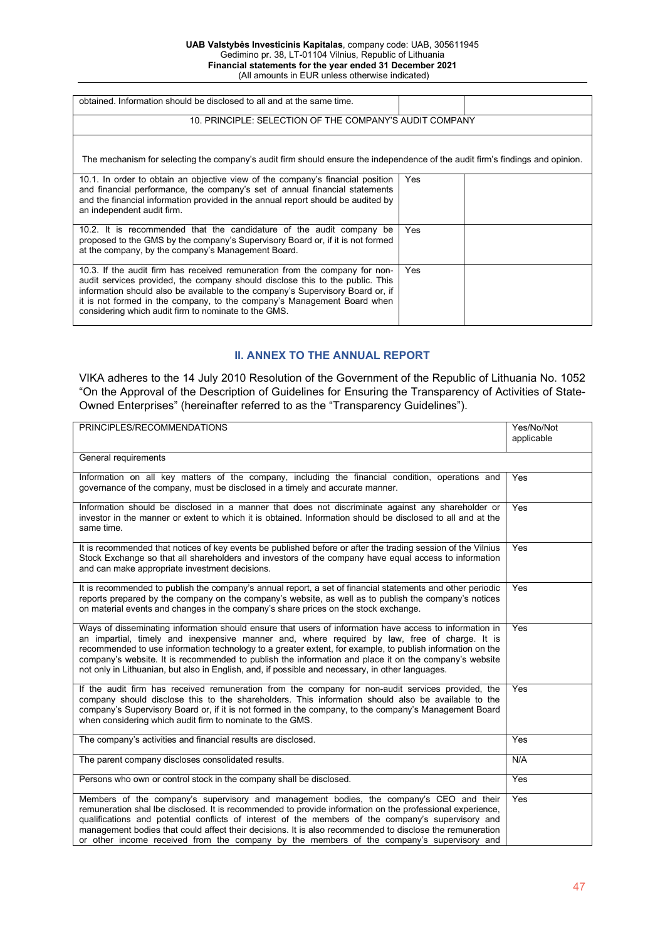| obtained. Information should be disclosed to all and at the same time.                                                                                                                                                                                                                                                                                                            |     |  |
|-----------------------------------------------------------------------------------------------------------------------------------------------------------------------------------------------------------------------------------------------------------------------------------------------------------------------------------------------------------------------------------|-----|--|
| 10. PRINCIPLE: SELECTION OF THE COMPANY'S AUDIT COMPANY                                                                                                                                                                                                                                                                                                                           |     |  |
| The mechanism for selecting the company's audit firm should ensure the independence of the audit firm's findings and opinion.                                                                                                                                                                                                                                                     |     |  |
| 10.1. In order to obtain an objective view of the company's financial position<br>and financial performance, the company's set of annual financial statements<br>and the financial information provided in the annual report should be audited by<br>an independent audit firm.                                                                                                   | Yes |  |
| 10.2. It is recommended that the candidature of the audit company be<br>proposed to the GMS by the company's Supervisory Board or, if it is not formed<br>at the company, by the company's Management Board.                                                                                                                                                                      | Yes |  |
| 10.3. If the audit firm has received remuneration from the company for non-<br>audit services provided, the company should disclose this to the public. This<br>information should also be available to the company's Supervisory Board or, if<br>it is not formed in the company, to the company's Management Board when<br>considering which audit firm to nominate to the GMS. | Yes |  |

# **II. ANNEX TO THE ANNUAL REPORT**

VIKA adheres to the 14 July 2010 Resolution of the Government of the Republic of Lithuania No. 1052 "On the Approval of the Description of Guidelines for Ensuring the Transparency of Activities of State-Owned Enterprises" (hereinafter referred to as the "Transparency Guidelines").

| PRINCIPLES/RECOMMENDATIONS                                                                                                                                                                                                                                                                                                                                                                                                                                                                                                         | Yes/No/Not<br>applicable |
|------------------------------------------------------------------------------------------------------------------------------------------------------------------------------------------------------------------------------------------------------------------------------------------------------------------------------------------------------------------------------------------------------------------------------------------------------------------------------------------------------------------------------------|--------------------------|
| General requirements                                                                                                                                                                                                                                                                                                                                                                                                                                                                                                               |                          |
| Information on all key matters of the company, including the financial condition, operations and<br>governance of the company, must be disclosed in a timely and accurate manner.                                                                                                                                                                                                                                                                                                                                                  | Yes                      |
| Information should be disclosed in a manner that does not discriminate against any shareholder or<br>investor in the manner or extent to which it is obtained. Information should be disclosed to all and at the<br>same time.                                                                                                                                                                                                                                                                                                     | Yes                      |
| It is recommended that notices of key events be published before or after the trading session of the Vilnius<br>Stock Exchange so that all shareholders and investors of the company have equal access to information<br>and can make appropriate investment decisions.                                                                                                                                                                                                                                                            | Yes                      |
| It is recommended to publish the company's annual report, a set of financial statements and other periodic<br>reports prepared by the company on the company's website, as well as to publish the company's notices<br>on material events and changes in the company's share prices on the stock exchange.                                                                                                                                                                                                                         | Yes                      |
| Ways of disseminating information should ensure that users of information have access to information in<br>an impartial, timely and inexpensive manner and, where required by law, free of charge. It is<br>recommended to use information technology to a greater extent, for example, to publish information on the<br>company's website. It is recommended to publish the information and place it on the company's website<br>not only in Lithuanian, but also in English, and, if possible and necessary, in other languages. | Yes                      |
| If the audit firm has received remuneration from the company for non-audit services provided, the<br>company should disclose this to the shareholders. This information should also be available to the<br>company's Supervisory Board or, if it is not formed in the company, to the company's Management Board<br>when considering which audit firm to nominate to the GMS.                                                                                                                                                      | Yes                      |
| The company's activities and financial results are disclosed.                                                                                                                                                                                                                                                                                                                                                                                                                                                                      | Yes                      |
| The parent company discloses consolidated results.                                                                                                                                                                                                                                                                                                                                                                                                                                                                                 | N/A                      |
| Persons who own or control stock in the company shall be disclosed.                                                                                                                                                                                                                                                                                                                                                                                                                                                                | Yes                      |
| Members of the company's supervisory and management bodies, the company's CEO and their<br>remuneration shal lbe disclosed. It is recommended to provide information on the professional experience,<br>qualifications and potential conflicts of interest of the members of the company's supervisory and<br>management bodies that could affect their decisions. It is also recommended to disclose the remuneration<br>or other income received from the company by the members of the company's supervisory and                | Yes                      |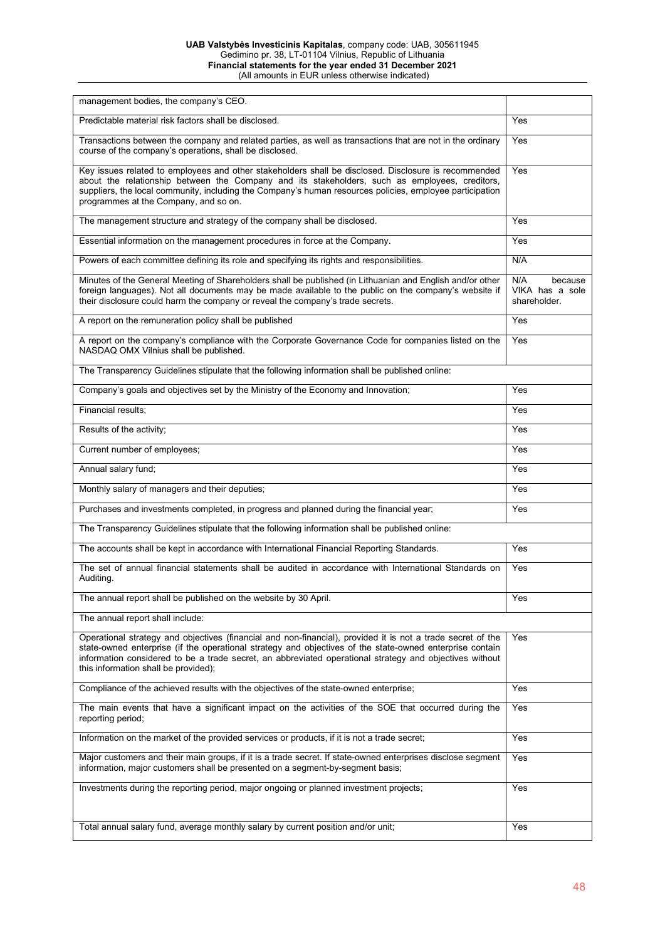#### **UAB Valstybės Investicinis Kapitalas**, company code: UAB, 305611945 Gedimino pr. 38, LT-01104 Vilnius, Republic of Lithuania **Financial statements for the year ended 31 December 2021** (All amounts in EUR unless otherwise indicated)

| management bodies, the company's CEO.                                                                                                                                                                                                                                                                                                                                      |                                                   |
|----------------------------------------------------------------------------------------------------------------------------------------------------------------------------------------------------------------------------------------------------------------------------------------------------------------------------------------------------------------------------|---------------------------------------------------|
| Predictable material risk factors shall be disclosed.                                                                                                                                                                                                                                                                                                                      | Yes                                               |
| Transactions between the company and related parties, as well as transactions that are not in the ordinary<br>course of the company's operations, shall be disclosed.                                                                                                                                                                                                      | Yes                                               |
| Key issues related to employees and other stakeholders shall be disclosed. Disclosure is recommended<br>about the relationship between the Company and its stakeholders, such as employees, creditors,<br>suppliers, the local community, including the Company's human resources policies, employee participation<br>programmes at the Company, and so on.                | Yes                                               |
| The management structure and strategy of the company shall be disclosed.                                                                                                                                                                                                                                                                                                   | Yes                                               |
| Essential information on the management procedures in force at the Company.                                                                                                                                                                                                                                                                                                | Yes                                               |
| Powers of each committee defining its role and specifying its rights and responsibilities.                                                                                                                                                                                                                                                                                 | N/A                                               |
| Minutes of the General Meeting of Shareholders shall be published (in Lithuanian and English and/or other<br>foreign languages). Not all documents may be made available to the public on the company's website if<br>their disclosure could harm the company or reveal the company's trade secrets.                                                                       | N/A<br>because<br>VIKA has a sole<br>shareholder. |
| A report on the remuneration policy shall be published                                                                                                                                                                                                                                                                                                                     | Yes                                               |
| A report on the company's compliance with the Corporate Governance Code for companies listed on the<br>NASDAQ OMX Vilnius shall be published.                                                                                                                                                                                                                              | Yes                                               |
| The Transparency Guidelines stipulate that the following information shall be published online:                                                                                                                                                                                                                                                                            |                                                   |
| Company's goals and objectives set by the Ministry of the Economy and Innovation;                                                                                                                                                                                                                                                                                          | Yes                                               |
| Financial results;                                                                                                                                                                                                                                                                                                                                                         | Yes                                               |
| Results of the activity;                                                                                                                                                                                                                                                                                                                                                   | Yes                                               |
| Current number of employees;                                                                                                                                                                                                                                                                                                                                               | Yes                                               |
| Annual salary fund;                                                                                                                                                                                                                                                                                                                                                        | Yes                                               |
| Monthly salary of managers and their deputies;                                                                                                                                                                                                                                                                                                                             | Yes                                               |
| Purchases and investments completed, in progress and planned during the financial year;                                                                                                                                                                                                                                                                                    | Yes                                               |
| The Transparency Guidelines stipulate that the following information shall be published online:                                                                                                                                                                                                                                                                            |                                                   |
| The accounts shall be kept in accordance with International Financial Reporting Standards.                                                                                                                                                                                                                                                                                 | Yes                                               |
| The set of annual financial statements shall be audited in accordance with International Standards on<br>Auditing.                                                                                                                                                                                                                                                         | Yes                                               |
| The annual report shall be published on the website by 30 April.                                                                                                                                                                                                                                                                                                           | Yes                                               |
| The annual report shall include:                                                                                                                                                                                                                                                                                                                                           |                                                   |
| Operational strategy and objectives (financial and non-financial), provided it is not a trade secret of the<br>state-owned enterprise (if the operational strategy and objectives of the state-owned enterprise contain<br>information considered to be a trade secret, an abbreviated operational strategy and objectives without<br>this information shall be provided); | Yes                                               |
| Compliance of the achieved results with the objectives of the state-owned enterprise;                                                                                                                                                                                                                                                                                      | Yes                                               |
| The main events that have a significant impact on the activities of the SOE that occurred during the<br>reporting period;                                                                                                                                                                                                                                                  | Yes                                               |
| Information on the market of the provided services or products, if it is not a trade secret;                                                                                                                                                                                                                                                                               | Yes                                               |
| Major customers and their main groups, if it is a trade secret. If state-owned enterprises disclose segment<br>information, major customers shall be presented on a segment-by-segment basis;                                                                                                                                                                              | Yes                                               |
| Investments during the reporting period, major ongoing or planned investment projects;                                                                                                                                                                                                                                                                                     | Yes                                               |
| Total annual salary fund, average monthly salary by current position and/or unit;                                                                                                                                                                                                                                                                                          | Yes                                               |